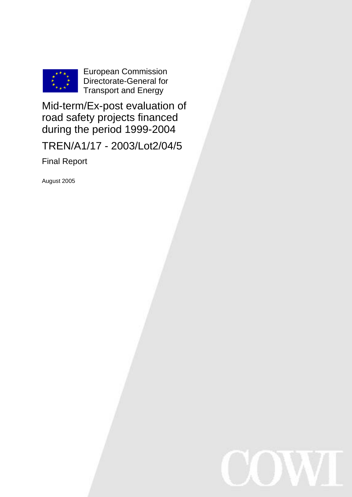

European Commission Directorate-General for Transport and Energy

Mid-term/Ex-post evaluation of road safety projects financed during the period 1999-2004

TREN/A1/17 - 2003/Lot2/04/5

Final Report

August 2005

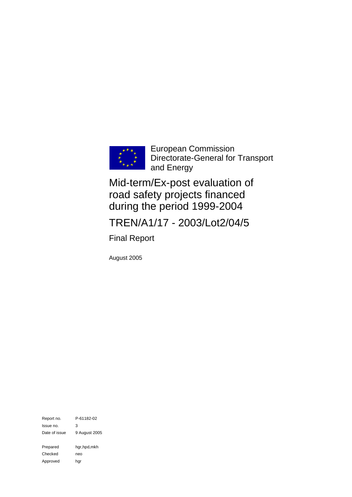

European Commission Directorate-General for Transport and Energy

Mid-term/Ex-post evaluation of road safety projects financed during the period 1999-2004

TREN/A1/17 - 2003/Lot2/04/5

Final Report

August 2005

Report no. P-61182-02 Issue no. 3 Date of issue 9 August 2005 Prepared hgr,hpd,mkh Checked neo Approved hgr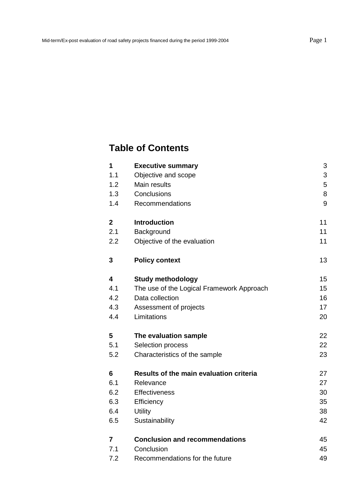# **Table of Contents**

| 1            | <b>Executive summary</b>                  | 3  |
|--------------|-------------------------------------------|----|
| 1.1          | Objective and scope                       | 3  |
| 1.2          | Main results                              | 5  |
| 1.3          | Conclusions                               | 8  |
| 1.4          | Recommendations                           | 9  |
| $\mathbf{2}$ | <b>Introduction</b>                       | 11 |
| 2.1          | Background                                | 11 |
| 2.2          | Objective of the evaluation               | 11 |
| 3            | <b>Policy context</b>                     | 13 |
| 4            | <b>Study methodology</b>                  | 15 |
| 4.1          | The use of the Logical Framework Approach | 15 |
| 4.2          | Data collection                           | 16 |
| 4.3          | Assessment of projects                    | 17 |
| 4.4          | Limitations                               | 20 |
| 5            | The evaluation sample                     | 22 |
| 5.1          | Selection process                         | 22 |
| 5.2          | Characteristics of the sample             | 23 |
| 6            | Results of the main evaluation criteria   | 27 |
| 6.1          | Relevance                                 | 27 |
| 6.2          | <b>Effectiveness</b>                      | 30 |
| 6.3          | Efficiency                                | 35 |
| 6.4          | <b>Utility</b>                            | 38 |
| 6.5          | Sustainability                            | 42 |
| 7            | <b>Conclusion and recommendations</b>     | 45 |
| 7.1          | Conclusion                                | 45 |
| 7.2          | Recommendations for the future            | 49 |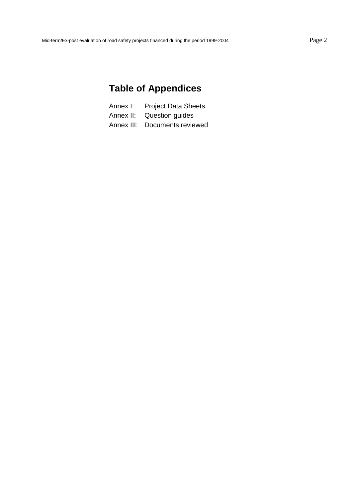# **Table of Appendices**

| <b>Project Data Sheets</b><br>Annex I: |  |
|----------------------------------------|--|
|----------------------------------------|--|

- Annex II: Question guides
- Annex III: Documents reviewed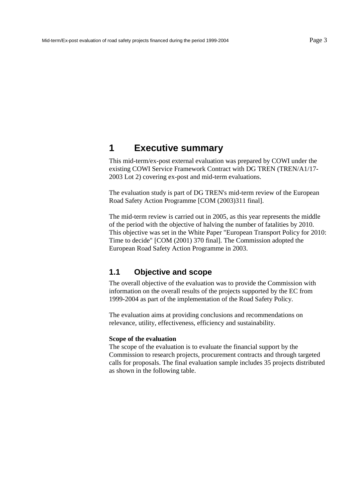## <span id="page-4-0"></span>**1 Executive summary**

This mid-term/ex-post external evaluation was prepared by COWI under the existing COWI Service Framework Contract with DG TREN (TREN/A1/17- 2003 Lot 2) covering ex-post and mid-term evaluations.

The evaluation study is part of DG TREN's mid-term review of the European Road Safety Action Programme [COM (2003)311 final].

The mid-term review is carried out in 2005, as this year represents the middle of the period with the objective of halving the number of fatalities by 2010. This objective was set in the White Paper "European Transport Policy for 2010: Time to decide" [COM (2001) 370 final]. The Commission adopted the European Road Safety Action Programme in 2003.

## **1.1 Objective and scope**

The overall objective of the evaluation was to provide the Commission with information on the overall results of the projects supported by the EC from 1999-2004 as part of the implementation of the Road Safety Policy.

The evaluation aims at providing conclusions and recommendations on relevance, utility, effectiveness, efficiency and sustainability.

#### **Scope of the evaluation**

The scope of the evaluation is to evaluate the financial support by the Commission to research projects, procurement contracts and through targeted calls for proposals. The final evaluation sample includes 35 projects distributed as shown in the following table.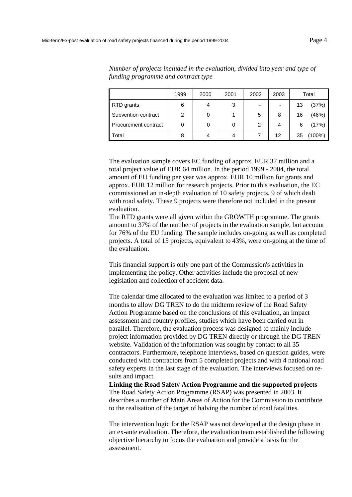|                      | 1999 | 2000 | 2001 | 2002                     | 2003 |    | Total     |
|----------------------|------|------|------|--------------------------|------|----|-----------|
| RTD grants           | 6    |      | 3    | $\overline{\phantom{0}}$ |      | 13 | (37%)     |
| Subvention contract  | 2    | 0    |      | 5                        | 8    | 16 | (46%)     |
| Procurement contract | 0    | 0    | 0    | 2                        | 4    | 6  | (17%)     |
| Total                | 8    | 4    | 4    |                          | 12   | 35 | $(100\%)$ |

*Number of projects included in the evaluation, divided into year and type of funding programme and contract type* 

The evaluation sample covers EC funding of approx. EUR 37 million and a total project value of EUR 64 million. In the period 1999 - 2004, the total amount of EU funding per year was approx. EUR 10 million for grants and approx. EUR 12 million for research projects. Prior to this evaluation, the EC commissioned an in-depth evaluation of 10 safety projects, 9 of which dealt with road safety. These 9 projects were therefore not included in the present evaluation.

The RTD grants were all given within the GROWTH programme. The grants amount to 37% of the number of projects in the evaluation sample, but account for 76% of the EU funding. The sample includes on-going as well as completed projects. A total of 15 projects, equivalent to 43%, were on-going at the time of the evaluation.

This financial support is only one part of the Commission's activities in implementing the policy. Other activities include the proposal of new legislation and collection of accident data.

The calendar time allocated to the evaluation was limited to a period of 3 months to allow DG TREN to do the midterm review of the Road Safety Action Programme based on the conclusions of this evaluation, an impact assessment and country profiles, studies which have been carried out in parallel. Therefore, the evaluation process was designed to mainly include project information provided by DG TREN directly or through the DG TREN website. Validation of the information was sought by contact to all 35 contractors. Furthermore, telephone interviews, based on question guides, were conducted with contractors from 5 completed projects and with 4 national road safety experts in the last stage of the evaluation. The interviews focused on results and impact.

**Linking the Road Safety Action Programme and the supported projects**  The Road Safety Action Programme (RSAP) was presented in 2003. It describes a number of Main Areas of Action for the Commission to contribute to the realisation of the target of halving the number of road fatalities.

The intervention logic for the RSAP was not developed at the design phase in an ex-ante evaluation. Therefore, the evaluation team established the following objective hierarchy to focus the evaluation and provide a basis for the assessment.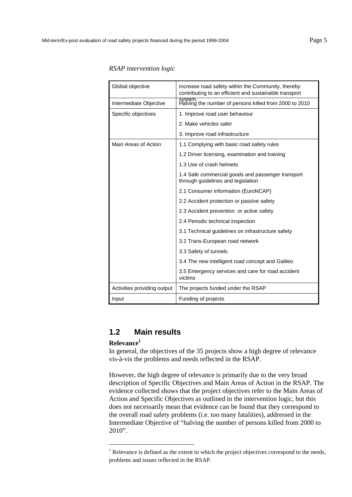| Global objective            | Increase road safety within the Community, thereby<br>contributing to an efficient and sustainable transport |  |  |  |
|-----------------------------|--------------------------------------------------------------------------------------------------------------|--|--|--|
| Intermediate Objective      | system.<br>Halving the number of persons killed from 2000 to 2010                                            |  |  |  |
| Specific objectives         | 1. Improve road user behaviour                                                                               |  |  |  |
|                             | 2. Make vehicles safer                                                                                       |  |  |  |
|                             | 3. Improve road infrastructure                                                                               |  |  |  |
| Main Areas of Action        | 1.1 Complying with basic road safety rules                                                                   |  |  |  |
|                             | 1.2 Driver licensing, examination and training                                                               |  |  |  |
|                             | 1.3 Use of crash helmets                                                                                     |  |  |  |
|                             | 1.4 Safe commercial goods and passenger transport<br>through guidelines and legislation                      |  |  |  |
|                             | 2.1 Consumer information (EuroNCAP)                                                                          |  |  |  |
|                             | 2.2 Accident protection or passive safety                                                                    |  |  |  |
|                             | 2.3 Accident prevention or active safety                                                                     |  |  |  |
|                             | 2.4 Periodic technical inspection                                                                            |  |  |  |
|                             | 3.1 Technical guidelines on infrastructure safety                                                            |  |  |  |
|                             | 3.2 Trans-European road network                                                                              |  |  |  |
|                             | 3.3 Safety of tunnels                                                                                        |  |  |  |
|                             | 3.4 The new intelligent road concept and Galileo                                                             |  |  |  |
|                             | 3.5 Emergency services and care for road accident<br>victims                                                 |  |  |  |
| Activities providing output | The projects funded under the RSAP                                                                           |  |  |  |
| Input                       | Funding of projects                                                                                          |  |  |  |

#### <span id="page-6-0"></span>*RSAP intervention logic*

## **1.2 Main results**

### **Relevance1**

l

In general, the objectives of the 35 projects show a high degree of relevance vis-à-vis the problems and needs reflected in the RSAP.

However, the high degree of relevance is primarily due to the very broad description of Specific Objectives and Main Areas of Action in the RSAP. The evidence collected shows that the project objectives refer to the Main Areas of Action and Specific Objectives as outlined in the intervention logic, but this does not necessarily mean that evidence can be found that they correspond to the overall road safety problems (i.e. too many fatalities), addressed in the Intermediate Objective of "halving the number of persons killed from 2000 to 2010".

 $<sup>1</sup>$  Relevance is defined as the extent to which the project objectives correspond to the needs,</sup> problems and issues reflected in the RSAP.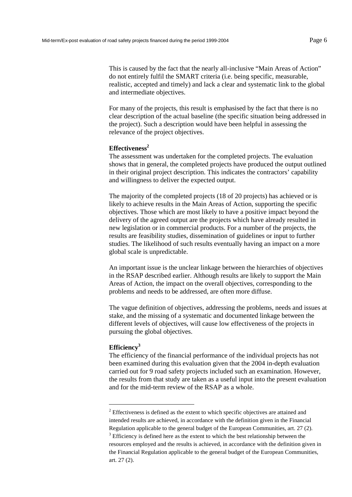This is caused by the fact that the nearly all-inclusive "Main Areas of Action" do not entirely fulfil the SMART criteria (i.e. being specific, measurable, realistic, accepted and timely) and lack a clear and systematic link to the global and intermediate objectives.

For many of the projects, this result is emphasised by the fact that there is no clear description of the actual baseline (the specific situation being addressed in the project). Such a description would have been helpful in assessing the relevance of the project objectives.

#### **Effectiveness2**

The assessment was undertaken for the completed projects. The evaluation shows that in general, the completed projects have produced the output outlined in their original project description. This indicates the contractors' capability and willingness to deliver the expected output.

The majority of the completed projects (18 of 20 projects) has achieved or is likely to achieve results in the Main Areas of Action, supporting the specific objectives. Those which are most likely to have a positive impact beyond the delivery of the agreed output are the projects which have already resulted in new legislation or in commercial products. For a number of the projects, the results are feasibility studies, dissemination of guidelines or input to further studies. The likelihood of such results eventually having an impact on a more global scale is unpredictable.

An important issue is the unclear linkage between the hierarchies of objectives in the RSAP described earlier. Although results are likely to support the Main Areas of Action, the impact on the overall objectives, corresponding to the problems and needs to be addressed, are often more diffuse.

The vague definition of objectives, addressing the problems, needs and issues at stake, and the missing of a systematic and documented linkage between the different levels of objectives, will cause low effectiveness of the projects in pursuing the global objectives.

#### **Efficiency3**

l

The efficiency of the financial performance of the individual projects has not been examined during this evaluation given that the 2004 in-depth evaluation carried out for 9 road safety projects included such an examination. However, the results from that study are taken as a useful input into the present evaluation and for the mid-term review of the RSAP as a whole.

 $2^{2}$  Effectiveness is defined as the extent to which specific objectives are attained and intended results are achieved, in accordance with the definition given in the Financial Regulation applicable to the general budget of the European Communities, art. 27 (2).  $3$  Efficiency is defined here as the extent to which the best relationship between the resources employed and the results is achieved, in accordance with the definition given in

the Financial Regulation applicable to the general budget of the European Communities, art. 27 (2).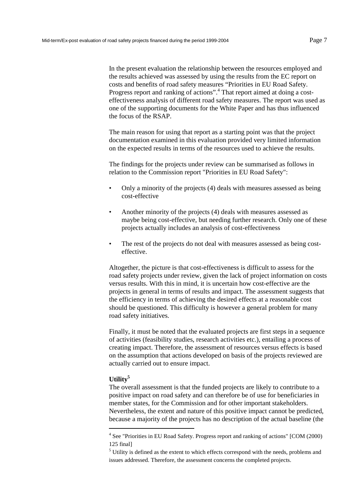In the present evaluation the relationship between the resources employed and the results achieved was assessed by using the results from the EC report on costs and benefits of road safety measures "Priorities in EU Road Safety. Progress report and ranking of actions".<sup>4</sup> That report aimed at doing a costeffectiveness analysis of different road safety measures. The report was used as one of the supporting documents for the White Paper and has thus influenced the focus of the RSAP.

The main reason for using that report as a starting point was that the project documentation examined in this evaluation provided very limited information on the expected results in terms of the resources used to achieve the results.

The findings for the projects under review can be summarised as follows in relation to the Commission report "Priorities in EU Road Safety":

- Only a minority of the projects (4) deals with measures assessed as being cost-effective
- Another minority of the projects (4) deals with measures assessed as maybe being cost-effective, but needing further research. Only one of these projects actually includes an analysis of cost-effectiveness
- The rest of the projects do not deal with measures assessed as being costeffective.

Altogether, the picture is that cost-effectiveness is difficult to assess for the road safety projects under review, given the lack of project information on costs versus results. With this in mind, it is uncertain how cost-effective are the projects in general in terms of results and impact. The assessment suggests that the efficiency in terms of achieving the desired effects at a reasonable cost should be questioned. This difficulty is however a general problem for many road safety initiatives.

Finally, it must be noted that the evaluated projects are first steps in a sequence of activities (feasibility studies, research activities etc.), entailing a process of creating impact. Therefore, the assessment of resources versus effects is based on the assumption that actions developed on basis of the projects reviewed are actually carried out to ensure impact.

#### **Utility5**

l

The overall assessment is that the funded projects are likely to contribute to a positive impact on road safety and can therefore be of use for beneficiaries in member states, for the Commission and for other important stakeholders. Nevertheless, the extent and nature of this positive impact cannot be predicted, because a majority of the projects has no description of the actual baseline (the

<sup>&</sup>lt;sup>4</sup> See "Priorities in EU Road Safety. Progress report and ranking of actions" [COM (2000) 125 final]

<sup>&</sup>lt;sup>5</sup> Utility is defined as the extent to which effects correspond with the needs, problems and issues addressed. Therefore, the assessment concerns the completed projects.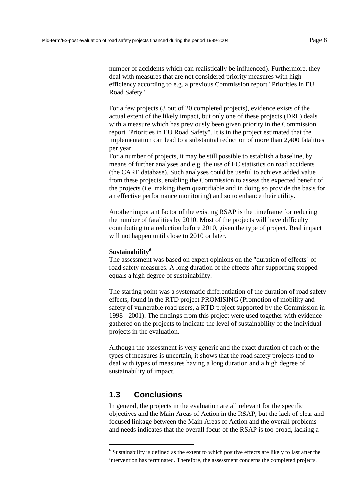number of accidents which can realistically be influenced). Furthermore, they deal with measures that are not considered priority measures with high efficiency according to e.g. a previous Commission report "Priorities in EU Road Safety".

For a few projects (3 out of 20 completed projects), evidence exists of the actual extent of the likely impact, but only one of these projects (DRL) deals with a measure which has previously been given priority in the Commission report "Priorities in EU Road Safety". It is in the project estimated that the implementation can lead to a substantial reduction of more than 2,400 fatalities per year.

For a number of projects, it may be still possible to establish a baseline, by means of further analyses and e.g. the use of EC statistics on road accidents (the CARE database). Such analyses could be useful to achieve added value from these projects, enabling the Commission to assess the expected benefit of the projects (i.e. making them quantifiable and in doing so provide the basis for an effective performance monitoring) and so to enhance their utility.

Another important factor of the existing RSAP is the timeframe for reducing the number of fatalities by 2010. Most of the projects will have difficulty contributing to a reduction before 2010, given the type of project. Real impact will not happen until close to 2010 or later.

#### **Sustainability<sup>6</sup>**

The assessment was based on expert opinions on the "duration of effects" of road safety measures. A long duration of the effects after supporting stopped equals a high degree of sustainability.

The starting point was a systematic differentiation of the duration of road safety effects, found in the RTD project PROMISING (Promotion of mobility and safety of vulnerable road users, a RTD project supported by the Commission in 1998 - 2001). The findings from this project were used together with evidence gathered on the projects to indicate the level of sustainability of the individual projects in the evaluation.

Although the assessment is very generic and the exact duration of each of the types of measures is uncertain, it shows that the road safety projects tend to deal with types of measures having a long duration and a high degree of sustainability of impact.

## **1.3 Conclusions**

l

In general, the projects in the evaluation are all relevant for the specific objectives and the Main Areas of Action in the RSAP, but the lack of clear and focused linkage between the Main Areas of Action and the overall problems and needs indicates that the overall focus of the RSAP is too broad, lacking a

<sup>&</sup>lt;sup>6</sup> Sustainability is defined as the extent to which positive effects are likely to last after the intervention has terminated. Therefore, the assessment concerns the completed projects.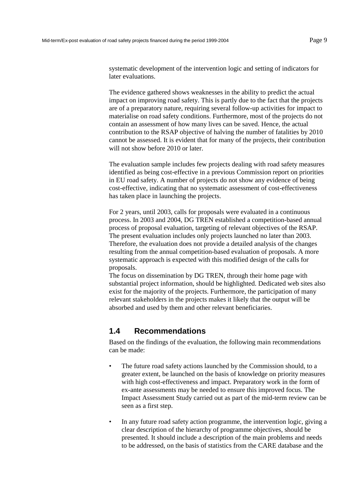<span id="page-10-0"></span>systematic development of the intervention logic and setting of indicators for later evaluations.

The evidence gathered shows weaknesses in the ability to predict the actual impact on improving road safety. This is partly due to the fact that the projects are of a preparatory nature, requiring several follow-up activities for impact to materialise on road safety conditions. Furthermore, most of the projects do not contain an assessment of how many lives can be saved. Hence, the actual contribution to the RSAP objective of halving the number of fatalities by 2010 cannot be assessed. It is evident that for many of the projects, their contribution will not show before 2010 or later.

The evaluation sample includes few projects dealing with road safety measures identified as being cost-effective in a previous Commission report on priorities in EU road safety. A number of projects do not show any evidence of being cost-effective, indicating that no systematic assessment of cost-effectiveness has taken place in launching the projects.

For 2 years, until 2003, calls for proposals were evaluated in a continuous process. In 2003 and 2004, DG TREN established a competition-based annual process of proposal evaluation, targeting of relevant objectives of the RSAP. The present evaluation includes only projects launched no later than 2003. Therefore, the evaluation does not provide a detailed analysis of the changes resulting from the annual competition-based evaluation of proposals. A more systematic approach is expected with this modified design of the calls for proposals.

The focus on dissemination by DG TREN, through their home page with substantial project information, should be highlighted. Dedicated web sites also exist for the majority of the projects. Furthermore, the participation of many relevant stakeholders in the projects makes it likely that the output will be absorbed and used by them and other relevant beneficiaries.

## **1.4 Recommendations**

Based on the findings of the evaluation, the following main recommendations can be made:

- The future road safety actions launched by the Commission should, to a greater extent, be launched on the basis of knowledge on priority measures with high cost-effectiveness and impact. Preparatory work in the form of ex-ante assessments may be needed to ensure this improved focus. The Impact Assessment Study carried out as part of the mid-term review can be seen as a first step.
- In any future road safety action programme, the intervention logic, giving a clear description of the hierarchy of programme objectives, should be presented. It should include a description of the main problems and needs to be addressed, on the basis of statistics from the CARE database and the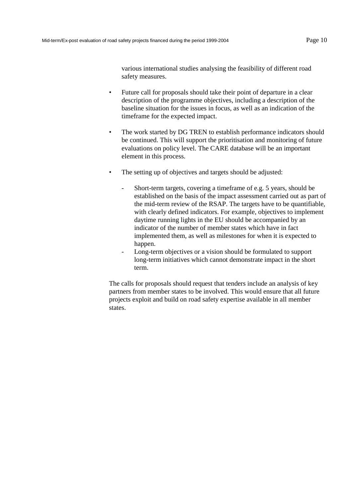various international studies analysing the feasibility of different road safety measures.

- Future call for proposals should take their point of departure in a clear description of the programme objectives, including a description of the baseline situation for the issues in focus, as well as an indication of the timeframe for the expected impact.
- The work started by DG TREN to establish performance indicators should be continued. This will support the prioritisation and monitoring of future evaluations on policy level. The CARE database will be an important element in this process.
- The setting up of objectives and targets should be adjusted:
	- Short-term targets, covering a timeframe of e.g. 5 years, should be established on the basis of the impact assessment carried out as part of the mid-term review of the RSAP. The targets have to be quantifiable, with clearly defined indicators. For example, objectives to implement daytime running lights in the EU should be accompanied by an indicator of the number of member states which have in fact implemented them, as well as milestones for when it is expected to happen.
	- Long-term objectives or a vision should be formulated to support long-term initiatives which cannot demonstrate impact in the short term.

The calls for proposals should request that tenders include an analysis of key partners from member states to be involved. This would ensure that all future projects exploit and build on road safety expertise available in all member states.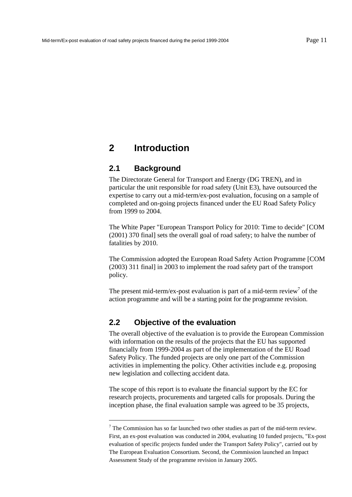## <span id="page-12-0"></span>**2 Introduction**

### **2.1 Background**

The Directorate General for Transport and Energy (DG TREN), and in particular the unit responsible for road safety (Unit E3), have outsourced the expertise to carry out a mid-term/ex-post evaluation, focusing on a sample of completed and on-going projects financed under the EU Road Safety Policy from 1999 to 2004.

The White Paper "European Transport Policy for 2010: Time to decide" [COM (2001) 370 final] sets the overall goal of road safety; to halve the number of fatalities by 2010.

The Commission adopted the European Road Safety Action Programme [COM (2003) 311 final] in 2003 to implement the road safety part of the transport policy.

The present mid-term/ex-post evaluation is part of a mid-term review<sup>7</sup> of the action programme and will be a starting point for the programme revision.

## **2.2 Objective of the evaluation**

l

The overall objective of the evaluation is to provide the European Commission with information on the results of the projects that the EU has supported financially from 1999-2004 as part of the implementation of the EU Road Safety Policy. The funded projects are only one part of the Commission activities in implementing the policy. Other activities include e.g. proposing new legislation and collecting accident data.

The scope of this report is to evaluate the financial support by the EC for research projects, procurements and targeted calls for proposals. During the inception phase, the final evaluation sample was agreed to be 35 projects,

 $7$  The Commission has so far launched two other studies as part of the mid-term review. First, an ex-post evaluation was conducted in 2004, evaluating 10 funded projects, "Ex-post evaluation of specific projects funded under the Transport Safety Policy", carried out by The European Evaluation Consortium. Second, the Commission launched an Impact Assessment Study of the programme revision in January 2005.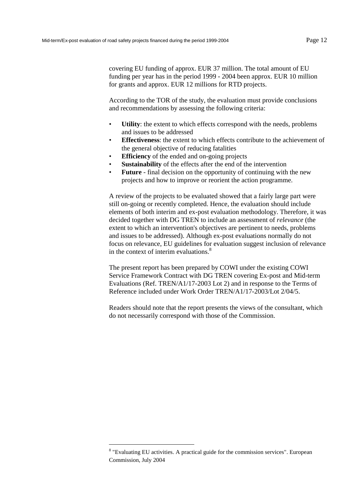covering EU funding of approx. EUR 37 million. The total amount of EU funding per year has in the period 1999 - 2004 been approx. EUR 10 million for grants and approx. EUR 12 millions for RTD projects.

According to the TOR of the study, the evaluation must provide conclusions and recommendations by assessing the following criteria:

- **Utility**: the extent to which effects correspond with the needs, problems and issues to be addressed
- **Effectiveness**: the extent to which effects contribute to the achievement of the general objective of reducing fatalities
- **Efficiency** of the ended and on-going projects
- **Sustainability** of the effects after the end of the intervention
- **Future** final decision on the opportunity of continuing with the new projects and how to improve or reorient the action programme.

A review of the projects to be evaluated showed that a fairly large part were still on-going or recently completed. Hence, the evaluation should include elements of both interim and ex-post evaluation methodology. Therefore, it was decided together with DG TREN to include an assessment of *relevance* (the extent to which an intervention's objectives are pertinent to needs, problems and issues to be addressed). Although ex-post evaluations normally do not focus on relevance, EU guidelines for evaluation suggest inclusion of relevance in the context of interim evaluations.<sup>8</sup>

The present report has been prepared by COWI under the existing COWI Service Framework Contract with DG TREN covering Ex-post and Mid-term Evaluations (Ref. TREN/A1/17-2003 Lot 2) and in response to the Terms of Reference included under Work Order TREN/A1/17-2003/Lot 2/04/5.

Readers should note that the report presents the views of the consultant, which do not necessarily correspond with those of the Commission.

l

<sup>&</sup>lt;sup>8</sup> "Evaluating EU activities. A practical guide for the commission services". European Commission, July 2004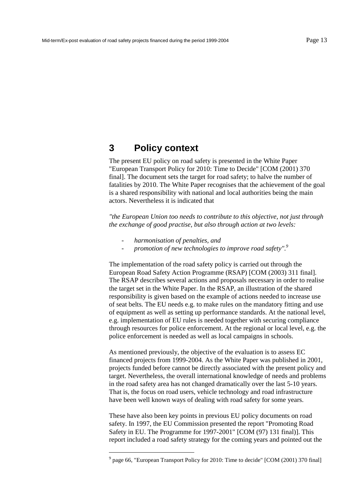## <span id="page-14-0"></span>**3 Policy context**

The present EU policy on road safety is presented in the White Paper "European Transport Policy for 2010: Time to Decide" [COM (2001) 370 final]. The document sets the target for road safety; to halve the number of fatalities by 2010. The White Paper recognises that the achievement of the goal is a shared responsibility with national and local authorities being the main actors. Nevertheless it is indicated that

*"the European Union too needs to contribute to this objective, not just through the exchange of good practise, but also through action at two levels:* 

- *harmonisation of penalties, and* 

l

promotion of new technologies to improve road safety".<sup>9</sup>

The implementation of the road safety policy is carried out through the European Road Safety Action Programme (RSAP) [COM (2003) 311 final]. The RSAP describes several actions and proposals necessary in order to realise the target set in the White Paper. In the RSAP, an illustration of the shared responsibility is given based on the example of actions needed to increase use of seat belts. The EU needs e.g. to make rules on the mandatory fitting and use of equipment as well as setting up performance standards. At the national level, e.g. implementation of EU rules is needed together with securing compliance through resources for police enforcement. At the regional or local level, e.g. the police enforcement is needed as well as local campaigns in schools.

As mentioned previously, the objective of the evaluation is to assess EC financed projects from 1999-2004. As the White Paper was published in 2001, projects funded before cannot be directly associated with the present policy and target. Nevertheless, the overall international knowledge of needs and problems in the road safety area has not changed dramatically over the last 5-10 years. That is, the focus on road users, vehicle technology and road infrastructure have been well known ways of dealing with road safety for some years.

These have also been key points in previous EU policy documents on road safety. In 1997, the EU Commission presented the report "Promoting Road Safety in EU. The Programme for 1997-2001" [COM (97) 131 final)]. This report included a road safety strategy for the coming years and pointed out the

<sup>&</sup>lt;sup>9</sup> page 66, "European Transport Policy for 2010: Time to decide" [COM (2001) 370 final]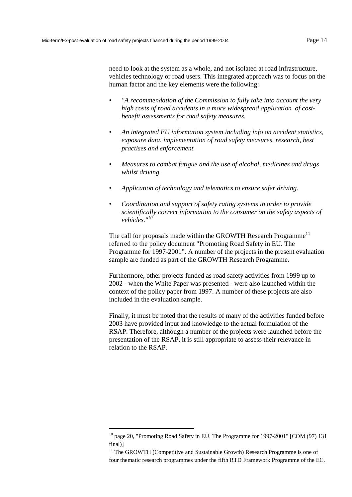l

need to look at the system as a whole, and not isolated at road infrastructure, vehicles technology or road users. This integrated approach was to focus on the human factor and the key elements were the following:

- *"A recommendation of the Commission to fully take into account the very high costs of road accidents in a more widespread application of costbenefit assessments for road safety measures.*
- *An integrated EU information system including info on accident statistics, exposure data, implementation of road safety measures, research, best practises and enforcement.*
- *Measures to combat fatigue and the use of alcohol, medicines and drugs whilst driving.*
- *Application of technology and telematics to ensure safer driving.*
- *Coordination and support of safety rating systems in order to provide scientifically correct information to the consumer on the safety aspects of vehicles."10*

The call for proposals made within the GROWTH Research Programme<sup>11</sup> referred to the policy document "Promoting Road Safety in EU. The Programme for 1997-2001". A number of the projects in the present evaluation sample are funded as part of the GROWTH Research Programme.

Furthermore, other projects funded as road safety activities from 1999 up to 2002 - when the White Paper was presented - were also launched within the context of the policy paper from 1997. A number of these projects are also included in the evaluation sample.

Finally, it must be noted that the results of many of the activities funded before 2003 have provided input and knowledge to the actual formulation of the RSAP. Therefore, although a number of the projects were launched before the presentation of the RSAP, it is still appropriate to assess their relevance in relation to the RSAP.

<sup>&</sup>lt;sup>10</sup> page 20, "Promoting Road Safety in EU. The Programme for 1997-2001" [COM (97) 131 final)]

<sup>&</sup>lt;sup>11</sup> The GROWTH (Competitive and Sustainable Growth) Research Programme is one of four thematic research programmes under the fifth RTD Framework Programme of the EC.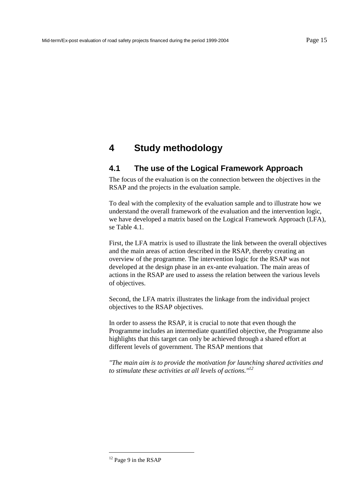## <span id="page-16-0"></span>**4 Study methodology**

## **4.1 The use of the Logical Framework Approach**

The focus of the evaluation is on the connection between the objectives in the RSAP and the projects in the evaluation sample.

To deal with the complexity of the evaluation sample and to illustrate how we understand the overall framework of the evaluation and the intervention logic, we have developed a matrix based on the Logical Framework Approach (LFA), se [Table 4.1.](#page-17-0) 

First, the LFA matrix is used to illustrate the link between the overall objectives and the main areas of action described in the RSAP, thereby creating an overview of the programme. The intervention logic for the RSAP was not developed at the design phase in an ex-ante evaluation. The main areas of actions in the RSAP are used to assess the relation between the various levels of objectives.

Second, the LFA matrix illustrates the linkage from the individual project objectives to the RSAP objectives.

In order to assess the RSAP, it is crucial to note that even though the Programme includes an intermediate quantified objective, the Programme also highlights that this target can only be achieved through a shared effort at different levels of government. The RSAP mentions that

*"The main aim is to provide the motivation for launching shared activities and to stimulate these activities at all levels of actions."12*

l

<sup>&</sup>lt;sup>12</sup> Page 9 in the RSAP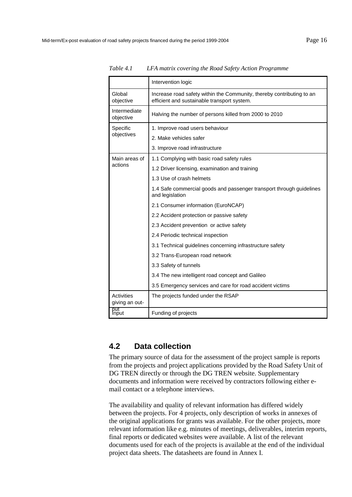|                                     | Intervention logic                                                                                                   |  |  |  |  |  |
|-------------------------------------|----------------------------------------------------------------------------------------------------------------------|--|--|--|--|--|
| Global<br>objective                 | Increase road safety within the Community, thereby contributing to an<br>efficient and sustainable transport system. |  |  |  |  |  |
| Intermediate<br>objective           | Halving the number of persons killed from 2000 to 2010                                                               |  |  |  |  |  |
| Specific                            | 1. Improve road users behaviour                                                                                      |  |  |  |  |  |
| objectives                          | 2. Make vehicles safer                                                                                               |  |  |  |  |  |
|                                     | 3. Improve road infrastructure                                                                                       |  |  |  |  |  |
| Main areas of                       | 1.1 Complying with basic road safety rules                                                                           |  |  |  |  |  |
| actions                             | 1.2 Driver licensing, examination and training                                                                       |  |  |  |  |  |
|                                     | 1.3 Use of crash helmets                                                                                             |  |  |  |  |  |
|                                     | 1.4 Safe commercial goods and passenger transport through guidelines<br>and legislation                              |  |  |  |  |  |
|                                     | 2.1 Consumer information (EuroNCAP)                                                                                  |  |  |  |  |  |
|                                     | 2.2 Accident protection or passive safety                                                                            |  |  |  |  |  |
|                                     | 2.3 Accident prevention or active safety                                                                             |  |  |  |  |  |
|                                     | 2.4 Periodic technical inspection                                                                                    |  |  |  |  |  |
|                                     | 3.1 Technical guidelines concerning infrastructure safety                                                            |  |  |  |  |  |
|                                     | 3.2 Trans-European road network                                                                                      |  |  |  |  |  |
|                                     | 3.3 Safety of tunnels                                                                                                |  |  |  |  |  |
|                                     | 3.4 The new intelligent road concept and Galileo                                                                     |  |  |  |  |  |
|                                     | 3.5 Emergency services and care for road accident victims                                                            |  |  |  |  |  |
| <b>Activities</b><br>giving an out- | The projects funded under the RSAP                                                                                   |  |  |  |  |  |
| put<br>Input                        | Funding of projects                                                                                                  |  |  |  |  |  |

<span id="page-17-0"></span>*Table 4.1 LFA matrix covering the Road Safety Action Programme* 

## **4.2 Data collection**

The primary source of data for the assessment of the project sample is reports from the projects and project applications provided by the Road Safety Unit of DG TREN directly or through the DG TREN website. Supplementary documents and information were received by contractors following either email contact or a telephone interviews.

The availability and quality of relevant information has differed widely between the projects. For 4 projects, only description of works in annexes of the original applications for grants was available. For the other projects, more relevant information like e.g. minutes of meetings, deliverables, interim reports, final reports or dedicated websites were available. A list of the relevant documents used for each of the projects is available at the end of the individual project data sheets. The datasheets are found in Annex I.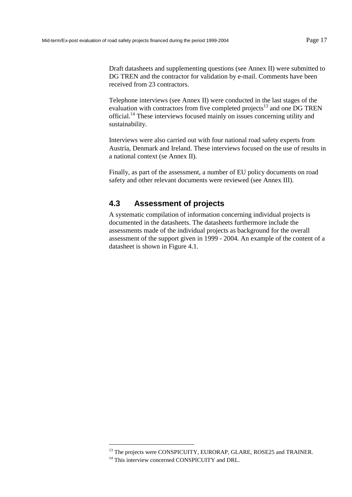<span id="page-18-0"></span>Draft datasheets and supplementing questions (see Annex II) were submitted to DG TREN and the contractor for validation by e-mail. Comments have been received from 23 contractors.

Telephone interviews (see Annex II) were conducted in the last stages of the evaluation with contractors from five completed projects<sup>13</sup> and one DG TREN official.14 These interviews focused mainly on issues concerning utility and sustainability.

Interviews were also carried out with four national road safety experts from Austria, Denmark and Ireland. These interviews focused on the use of results in a national context (se Annex II).

Finally, as part of the assessment, a number of EU policy documents on road safety and other relevant documents were reviewed (see Annex III).

## **4.3 Assessment of projects**

A systematic compilation of information concerning individual projects is documented in the datasheets. The datasheets furthermore include the assessments made of the individual projects as background for the overall assessment of the support given in 1999 - 2004. An example of the content of a datasheet is shown in [Figure 4.1.](#page-19-0) 

l

<sup>&</sup>lt;sup>13</sup> The projects were CONSPICUITY, EURORAP, GLARE, ROSE25 and TRAINER.

<sup>&</sup>lt;sup>14</sup> This interview concerned CONSPICUITY and DRL.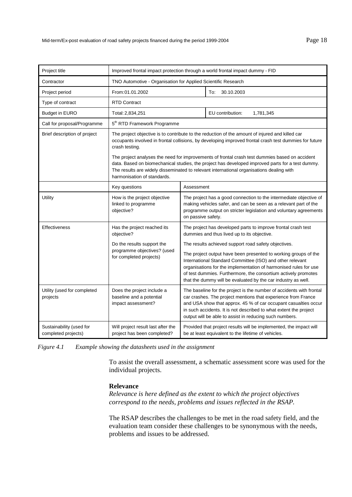<span id="page-19-0"></span>

| Project title                                   | Improved frontal impact protection through a world frontal impact dummy - FID                                                           |                                                                                                                                                                                                                                                                                                                                                                                                                                                                                                             |                                                                                                                                                                                                                                                                                                                                                                                                                                                                                                             |  |  |
|-------------------------------------------------|-----------------------------------------------------------------------------------------------------------------------------------------|-------------------------------------------------------------------------------------------------------------------------------------------------------------------------------------------------------------------------------------------------------------------------------------------------------------------------------------------------------------------------------------------------------------------------------------------------------------------------------------------------------------|-------------------------------------------------------------------------------------------------------------------------------------------------------------------------------------------------------------------------------------------------------------------------------------------------------------------------------------------------------------------------------------------------------------------------------------------------------------------------------------------------------------|--|--|
| Contractor                                      | TNO Automotive - Organisation for Applied Scientific Research                                                                           |                                                                                                                                                                                                                                                                                                                                                                                                                                                                                                             |                                                                                                                                                                                                                                                                                                                                                                                                                                                                                                             |  |  |
| Project period                                  | From: 01.01.2002                                                                                                                        |                                                                                                                                                                                                                                                                                                                                                                                                                                                                                                             | 30.10.2003<br>To:                                                                                                                                                                                                                                                                                                                                                                                                                                                                                           |  |  |
| Type of contract                                | <b>RTD Contract</b>                                                                                                                     |                                                                                                                                                                                                                                                                                                                                                                                                                                                                                                             |                                                                                                                                                                                                                                                                                                                                                                                                                                                                                                             |  |  |
| <b>Budget in EURO</b>                           | Total: 2,834,251                                                                                                                        |                                                                                                                                                                                                                                                                                                                                                                                                                                                                                                             | EU contribution:<br>1,781,345                                                                                                                                                                                                                                                                                                                                                                                                                                                                               |  |  |
| Call for proposal/Programme                     | 5 <sup>th</sup> RTD Framework Programme                                                                                                 |                                                                                                                                                                                                                                                                                                                                                                                                                                                                                                             |                                                                                                                                                                                                                                                                                                                                                                                                                                                                                                             |  |  |
| Brief description of project                    | crash testing.<br>harmonisation of standards.                                                                                           |                                                                                                                                                                                                                                                                                                                                                                                                                                                                                                             | The project objective is to contribute to the reduction of the amount of injured and killed car<br>occupants involved in frontal collisions, by developing improved frontal crash test dummies for future<br>The project analyses the need for improvements of frontal crash test dummies based on accident<br>data. Based on biomechanical studies, the project has developed improved parts for a test dummy.<br>The results are widely disseminated to relevant international organisations dealing with |  |  |
|                                                 | Key questions                                                                                                                           | Assessment                                                                                                                                                                                                                                                                                                                                                                                                                                                                                                  |                                                                                                                                                                                                                                                                                                                                                                                                                                                                                                             |  |  |
| Utility                                         | How is the project objective<br>linked to programme<br>objective?                                                                       | The project has a good connection to the intermediate objective of<br>making vehicles safer, and can be seen as a relevant part of the<br>programme output on stricter legislation and voluntary agreements<br>on passive safety.                                                                                                                                                                                                                                                                           |                                                                                                                                                                                                                                                                                                                                                                                                                                                                                                             |  |  |
| <b>Effectiveness</b>                            | Has the project reached its<br>objective?<br>Do the results support the<br>programme objectives? (used<br>for completed projects)       | The project has developed parts to improve frontal crash test<br>dummies and thus lived up to its objective.<br>The results achieved support road safety objectives.<br>The project output have been presented to working groups of the<br>International Standard Committee (ISO) and other relevant<br>organisations for the implementation of harmonised rules for use<br>of test dummies. Furthermore, the consortium actively promotes<br>that the dummy will be evaluated by the car industry as well. |                                                                                                                                                                                                                                                                                                                                                                                                                                                                                                             |  |  |
| Utility (used for completed<br>projects         | Does the project include a<br>baseline and a potential<br>impact assessment?<br>output will be able to assist in reducing such numbers. |                                                                                                                                                                                                                                                                                                                                                                                                                                                                                                             | The baseline for the project is the number of accidents with frontal<br>car crashes. The project mentions that experience from France<br>and USA show that approx. 45 % of car occupant casualties occur<br>in such accidents. It is not described to what extent the project                                                                                                                                                                                                                               |  |  |
| Sustainability (used for<br>completed projects) | Will project result last after the<br>project has been completed?                                                                       |                                                                                                                                                                                                                                                                                                                                                                                                                                                                                                             | Provided that project results will be implemented, the impact will<br>be at least equivalent to the lifetime of vehicles.                                                                                                                                                                                                                                                                                                                                                                                   |  |  |

*Figure 4.1 Example showing the datasheets used in the assignment* 

To assist the overall assessment, a schematic assessment score was used for the individual projects.

#### **Relevance**

*Relevance is here defined as the extent to which the project objectives correspond to the needs, problems and issues reflected in the RSAP.* 

The RSAP describes the challenges to be met in the road safety field, and the evaluation team consider these challenges to be synonymous with the needs, problems and issues to be addressed.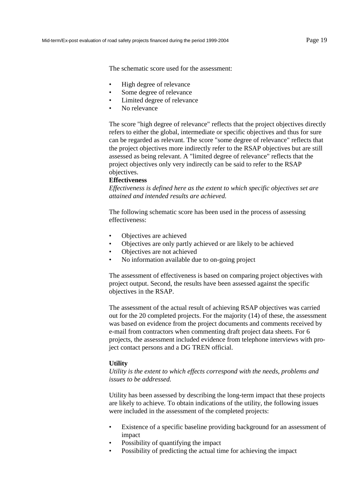The schematic score used for the assessment:

- High degree of relevance
- Some degree of relevance
- Limited degree of relevance
- No relevance

The score "high degree of relevance" reflects that the project objectives directly refers to either the global, intermediate or specific objectives and thus for sure can be regarded as relevant. The score "some degree of relevance" reflects that the project objectives more indirectly refer to the RSAP objectives but are still assessed as being relevant. A "limited degree of relevance" reflects that the project objectives only very indirectly can be said to refer to the RSAP objectives.

#### **Effectiveness**

*Effectiveness is defined here as the extent to which specific objectives set are attained and intended results are achieved.* 

The following schematic score has been used in the process of assessing effectiveness:

- Objectives are achieved
- Objectives are only partly achieved or are likely to be achieved
- Objectives are not achieved
- No information available due to on-going project

The assessment of effectiveness is based on comparing project objectives with project output. Second, the results have been assessed against the specific objectives in the RSAP.

The assessment of the actual result of achieving RSAP objectives was carried out for the 20 completed projects. For the majority (14) of these, the assessment was based on evidence from the project documents and comments received by e-mail from contractors when commenting draft project data sheets. For 6 projects, the assessment included evidence from telephone interviews with project contact persons and a DG TREN official.

#### **Utility**

*Utility is the extent to which effects correspond with the needs, problems and issues to be addressed.* 

Utility has been assessed by describing the long-term impact that these projects are likely to achieve*.* To obtain indications of the utility, the following issues were included in the assessment of the completed projects:

- Existence of a specific baseline providing background for an assessment of impact
- Possibility of quantifying the impact
- Possibility of predicting the actual time for achieving the impact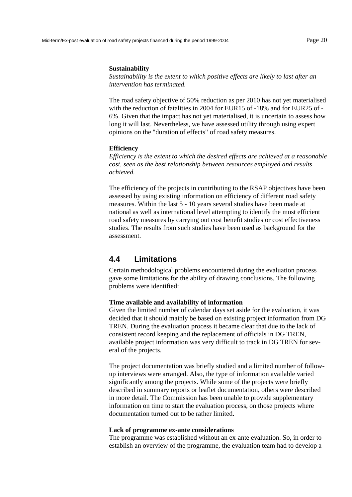#### <span id="page-21-0"></span>**Sustainability**

*Sustainability is the extent to which positive effects are likely to last after an intervention has terminated.* 

The road safety objective of 50% reduction as per 2010 has not yet materialised with the reduction of fatalities in 2004 for EUR15 of -18% and for EUR25 of - 6%. Given that the impact has not yet materialised, it is uncertain to assess how long it will last. Nevertheless, we have assessed utility through using expert opinions on the "duration of effects" of road safety measures.

#### **Efficiency**

*Efficiency is the extent to which the desired effects are achieved at a reasonable cost, seen as the best relationship between resources employed and results achieved.* 

The efficiency of the projects in contributing to the RSAP objectives have been assessed by using existing information on efficiency of different road safety measures. Within the last 5 - 10 years several studies have been made at national as well as international level attempting to identify the most efficient road safety measures by carrying out cost benefit studies or cost effectiveness studies. The results from such studies have been used as background for the assessment.

### **4.4 Limitations**

Certain methodological problems encountered during the evaluation process gave some limitations for the ability of drawing conclusions. The following problems were identified:

#### **Time available and availability of information**

Given the limited number of calendar days set aside for the evaluation, it was decided that it should mainly be based on existing project information from DG TREN. During the evaluation process it became clear that due to the lack of consistent record keeping and the replacement of officials in DG TREN, available project information was very difficult to track in DG TREN for several of the projects.

The project documentation was briefly studied and a limited number of followup interviews were arranged. Also, the type of information available varied significantly among the projects. While some of the projects were briefly described in summary reports or leaflet documentation, others were described in more detail. The Commission has been unable to provide supplementary information on time to start the evaluation process, on those projects where documentation turned out to be rather limited.

#### **Lack of programme ex-ante considerations**

The programme was established without an ex-ante evaluation. So, in order to establish an overview of the programme, the evaluation team had to develop a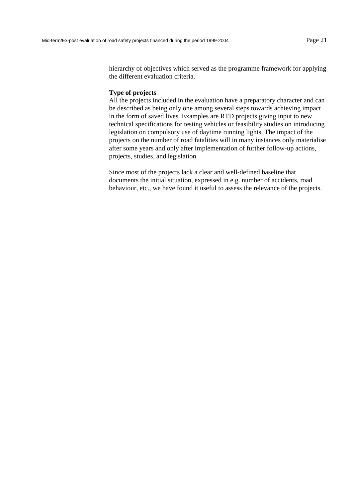hierarchy of objectives which served as the programme framework for applying the different evaluation criteria.

#### **Type of projects**

All the projects included in the evaluation have a preparatory character and can be described as being only one among several steps towards achieving impact in the form of saved lives. Examples are RTD projects giving input to new technical specifications for testing vehicles or feasibility studies on introducing legislation on compulsory use of daytime running lights. The impact of the projects on the number of road fatalities will in many instances only materialise after some years and only after implementation of further follow-up actions, projects, studies, and legislation.

Since most of the projects lack a clear and well-defined baseline that documents the initial situation, expressed in e.g. number of accidents, road behaviour, etc., we have found it useful to assess the relevance of the projects.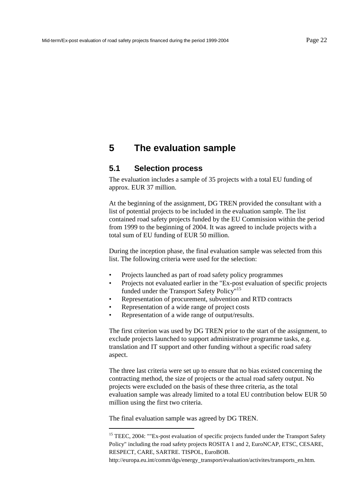## <span id="page-23-0"></span>**5 The evaluation sample**

### **5.1 Selection process**

The evaluation includes a sample of 35 projects with a total EU funding of approx. EUR 37 million.

At the beginning of the assignment, DG TREN provided the consultant with a list of potential projects to be included in the evaluation sample. The list contained road safety projects funded by the EU Commission within the period from 1999 to the beginning of 2004. It was agreed to include projects with a total sum of EU funding of EUR 50 million.

During the inception phase, the final evaluation sample was selected from this list. The following criteria were used for the selection:

- Projects launched as part of road safety policy programmes
- Projects not evaluated earlier in the "Ex-post evaluation of specific projects funded under the Transport Safety Policy"<sup>15</sup>
- Representation of procurement, subvention and RTD contracts
- Representation of a wide range of project costs
- Representation of a wide range of output/results.

The first criterion was used by DG TREN prior to the start of the assignment, to exclude projects launched to support administrative programme tasks, e.g. translation and IT support and other funding without a specific road safety aspect.

The three last criteria were set up to ensure that no bias existed concerning the contracting method, the size of projects or the actual road safety output. No projects were excluded on the basis of these three criteria, as the total evaluation sample was already limited to a total EU contribution below EUR 50 million using the first two criteria.

The final evaluation sample was agreed by DG TREN.

l

<sup>&</sup>lt;sup>15</sup> TEEC, 2004: ""Ex-post evaluation of specific projects funded under the Transport Safety Policy" including the road safety projects ROSITA 1 and 2, EuroNCAP, ETSC, CESARE, RESPECT, CARE, SARTRE. TISPOL, EuroBOB.

http://europa.eu.int/comm/dgs/energy\_transport/evaluation/activites/transports\_en.htm.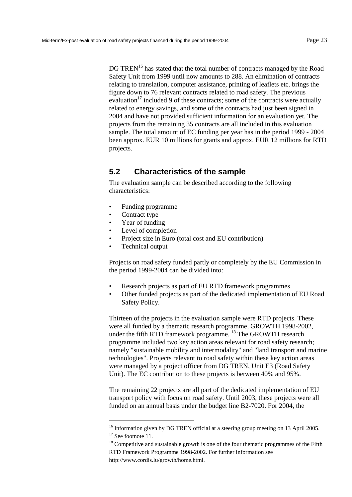<span id="page-24-0"></span>DG TREN<sup>16</sup> has stated that the total number of contracts managed by the Road Safety Unit from 1999 until now amounts to 288. An elimination of contracts relating to translation, computer assistance, printing of leaflets etc. brings the figure down to 76 relevant contracts related to road safety. The previous evaluation<sup>17</sup> included 9 of these contracts; some of the contracts were actually related to energy savings, and some of the contracts had just been signed in 2004 and have not provided sufficient information for an evaluation yet. The projects from the remaining 35 contracts are all included in this evaluation sample. The total amount of EC funding per year has in the period 1999 - 2004 been approx. EUR 10 millions for grants and approx. EUR 12 millions for RTD projects.

## **5.2 Characteristics of the sample**

The evaluation sample can be described according to the following characteristics:

- Funding programme
- Contract type
- Year of funding
- Level of completion
- Project size in Euro (total cost and EU contribution)
- Technical output

Projects on road safety funded partly or completely by the EU Commission in the period 1999-2004 can be divided into:

- Research projects as part of EU RTD framework programmes
- Other funded projects as part of the dedicated implementation of EU Road Safety Policy.

Thirteen of the projects in the evaluation sample were RTD projects. These were all funded by a thematic research programme, GROWTH 1998-2002, under the fifth RTD framework programme. <sup>18</sup> The GROWTH research programme included two key action areas relevant for road safety research; namely "sustainable mobility and intermodality" and "land transport and marine technologies". Projects relevant to road safety within these key action areas were managed by a project officer from DG TREN, Unit E3 (Road Safety Unit). The EC contribution to these projects is between 40% and 95%.

The remaining 22 projects are all part of the dedicated implementation of EU transport policy with focus on road safety. Until 2003, these projects were all funded on an annual basis under the budget line B2-7020. For 2004, the

l

 $18$  Competitive and sustainable growth is one of the four thematic programmes of the Fifth RTD Framework Programme 1998-2002. For further information see

<sup>&</sup>lt;sup>16</sup> Information given by DG TREN official at a steering group meeting on 13 April 2005.

<sup>&</sup>lt;sup>17</sup> See footnote 11.

http://www.cordis.lu/growth/home.html.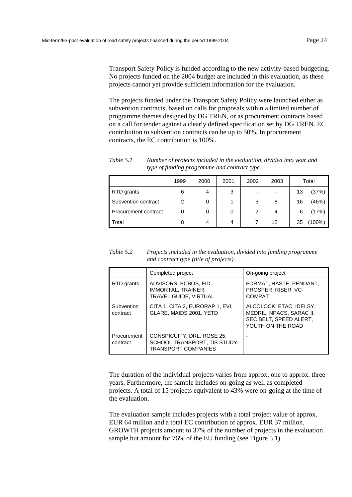The projects funded under the Transport Safety Policy were launched either as subvention contracts, based on calls for proposals within a limited number of programme themes designed by DG TREN, or as procurement contracts based on a call for tender against a clearly defined specification set by DG TREN. EC contribution to subvention contracts can be up to 50%. In procurement contracts, the EC contribution is 100%.

*Table 5.1 Number of projects included in the evaluation, divided into year and type of funding programme and contract type* 

|                      | 1999 | 2000 | 2001 | 2002 | 2003                     |    | Total  |
|----------------------|------|------|------|------|--------------------------|----|--------|
| RTD grants           | 6    | 4    | 3    | ۰    | $\overline{\phantom{0}}$ | 13 | (37%)  |
| Subvention contract  | 2    | 0    |      | 5    | 8                        | 16 | (46%)  |
| Procurement contract |      | 0    | 0    | 2    | 4                        | 6  | (17%)  |
| Total                | 8    | 4    | 4    |      | 12                       | 35 | (100%) |

*Table 5.2 Projects included in the evaluation, divided into funding programme and contract type (title of projects)* 

|                         | Completed project                                                                        | On-going project                                                                                   |
|-------------------------|------------------------------------------------------------------------------------------|----------------------------------------------------------------------------------------------------|
| RTD grants              | ADVISORS, ECBOS, FID.<br>IMMORTAL, TRAINER,<br>TRAVEL GUIDE, VIRTUAL                     | FORMAT, HASTE, PENDANT,<br>PROSPER, RISER, VC-<br>COMPAT                                           |
| Subvention<br>contract  | CITA 1, CITA 2, EURORAP 1, EVI,<br>GLARE, MAIDS 2001, YETD                               | ALCOLOCK, ETAC, IDELSY,<br>MEDRIL, NPACS, SARAC II,<br>SEC BELT, SPEED ALERT,<br>YOUTH ON THE ROAD |
| Procurement<br>contract | CONSPICUITY, DRL, ROSE 25,<br>SCHOOL TRANSPORT, TIS STUDY,<br><b>TRANSPORT COMPANIES</b> |                                                                                                    |

The duration of the individual projects varies from approx. one to approx. three years. Furthermore, the sample includes on-going as well as completed projects. A total of 15 projects equivalent to 43% were on-going at the time of the evaluation.

The evaluation sample includes projects with a total project value of approx. EUR 64 million and a total EC contribution of approx. EUR 37 million. GROWTH projects amount to 37% of the number of projects in the evaluation sample but amount for 76% of the EU funding (see [Figure 5.1\).](#page-26-0)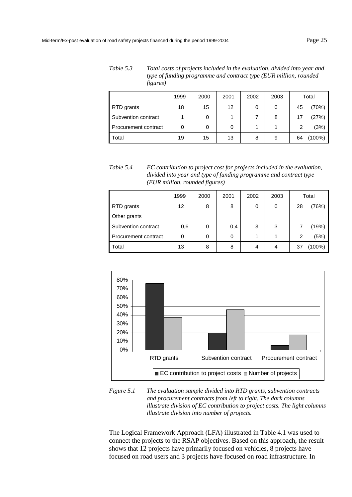<span id="page-26-0"></span>*Table 5.3 Total costs of projects included in the evaluation, divided into year and type of funding programme and contract type (EUR million, rounded figures)* 

|                      | 1999 | 2000 | 2001              | 2002 | 2003 |    | Total |
|----------------------|------|------|-------------------|------|------|----|-------|
| RTD grants           | 18   | 15   | $12 \overline{ }$ | 0    | 0    | 45 | (70%) |
| Subvention contract  |      | 0    |                   |      | 8    | 17 | (27%) |
| Procurement contract | 0    | 0    | 0                 |      |      | 2  | (3%)  |
| Total                | 19   | 15   | 13                | 8    | 9    | 64 | 100%) |

*Table 5.4 EC contribution to project cost for projects included in the evaluation, divided into year and type of funding programme and contract type (EUR million, rounded figures)* 

|                      | 1999 | 2000 | 2001 | 2002 | 2003 |    | Total |
|----------------------|------|------|------|------|------|----|-------|
| RTD grants           | 12   | 8    | 8    | 0    | 0    | 28 | (76%) |
| Other grants         |      |      |      |      |      |    |       |
| Subvention contract  | 0,6  | 0    | 0,4  | 3    | 3    |    | (19%) |
| Procurement contract | 0    | 0    | 0    |      | 4    | 2  | (5%)  |
| Total                | 13   | 8    | 8    | 4    | 4    | 37 | 100%) |



*Figure 5.1 The evaluation sample divided into RTD grants, subvention contracts and procurement contracts from left to right. The dark columns illustrate division of EC contribution to project costs. The light columns illustrate division into number of projects.* 

The Logical Framework Approach (LFA) illustrated i[n Table 4.1 w](#page-17-0)as used to connect the projects to the RSAP objectives. Based on this approach, the result shows that 12 projects have primarily focused on vehicles, 8 projects have focused on road users and 3 projects have focused on road infrastructure. In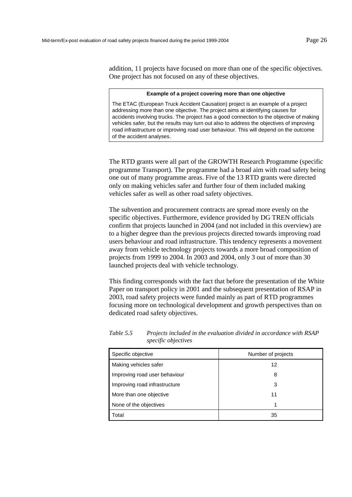addition, 11 projects have focused on more than one of the specific objectives. One project has not focused on any of these objectives.

#### **Example of a project covering more than one objective**

The ETAC (European Truck Accident Causation) project is an example of a project addressing more than one objective. The project aims at identifying causes for accidents involving trucks. The project has a good connection to the objective of making vehicles safer, but the results may turn out also to address the objectives of improving road infrastructure or improving road user behaviour. This will depend on the outcome of the accident analyses.

The RTD grants were all part of the GROWTH Research Programme (specific programme Transport). The programme had a broad aim with road safety being one out of many programme areas. Five of the 13 RTD grants were directed only on making vehicles safer and further four of them included making vehicles safer as well as other road safety objectives.

The subvention and procurement contracts are spread more evenly on the specific objectives. Furthermore, evidence provided by DG TREN officials confirm that projects launched in 2004 (and not included in this overview) are to a higher degree than the previous projects directed towards improving road users behaviour and road infrastructure. This tendency represents a movement away from vehicle technology projects towards a more broad composition of projects from 1999 to 2004. In 2003 and 2004, only 3 out of more than 30 launched projects deal with vehicle technology.

This finding corresponds with the fact that before the presentation of the White Paper on transport policy in 2001 and the subsequent presentation of RSAP in 2003, road safety projects were funded mainly as part of RTD programmes focusing more on technological development and growth perspectives than on dedicated road safety objectives.

| Specific objective            | Number of projects |
|-------------------------------|--------------------|
| Making vehicles safer         | 12                 |
| Improving road user behaviour | 8                  |
| Improving road infrastructure | 3                  |
| More than one objective       | 11                 |
| None of the objectives        | 1                  |
| Total                         | 35                 |

*Table 5.5 Projects included in the evaluation divided in accordance with RSAP specific objectives*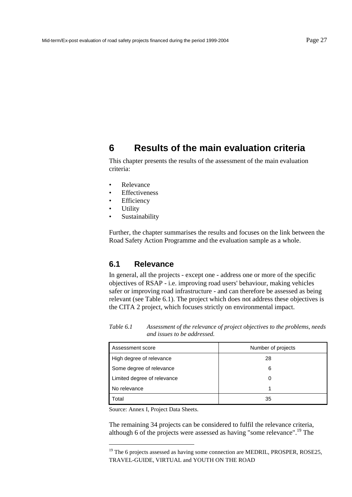## <span id="page-28-0"></span>**6 Results of the main evaluation criteria**

This chapter presents the results of the assessment of the main evaluation criteria:

- Relevance
- Effectiveness
- Efficiency
- **Utility**
- **Sustainability**

Further, the chapter summarises the results and focuses on the link between the Road Safety Action Programme and the evaluation sample as a whole.

### **6.1 Relevance**

In general, all the projects - except one - address one or more of the specific objectives of RSAP - i.e. improving road users' behaviour, making vehicles safer or improving road infrastructure - and can therefore be assessed as being relevant (see Table 6.1). The project which does not address these objectives is the CITA 2 project, which focuses strictly on environmental impact.

*Table 6.1 Assessment of the relevance of project objectives to the problems, needs and issues to be addressed.* 

| Assessment score            | Number of projects |
|-----------------------------|--------------------|
| High degree of relevance    | 28                 |
| Some degree of relevance    | 6                  |
| Limited degree of relevance |                    |
| No relevance                |                    |
| Total                       | 35                 |

Source: Annex I, Project Data Sheets.

l

The remaining 34 projects can be considered to fulfil the relevance criteria, although 6 of the projects were assessed as having "some relevance".19 The

 $19$  The 6 projects assessed as having some connection are MEDRIL, PROSPER, ROSE25, TRAVEL-GUIDE, VIRTUAL and YOUTH ON THE ROAD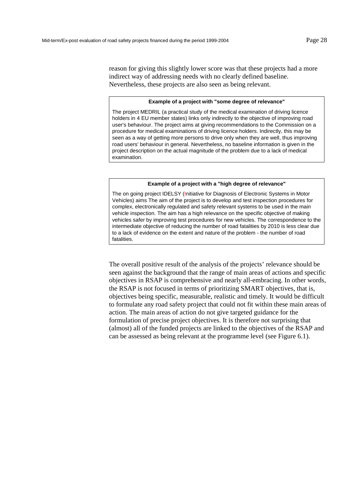reason for giving this slightly lower score was that these projects had a more indirect way of addressing needs with no clearly defined baseline. Nevertheless, these projects are also seen as being relevant.

#### **Example of a project with "some degree of relevance"**

The project MEDRIL (a practical study of the medical examination of driving licence holders in 4 EU member states) links only indirectly to the objective of improving road user's behaviour. The project aims at giving recommendations to the Commission on a procedure for medical examinations of driving licence holders. Indirectly, this may be seen as a way of getting more persons to drive only when they are well, thus improving road users' behaviour in general. Nevertheless, no baseline information is given in the project description on the actual magnitude of the problem due to a lack of medical examination.

#### **Example of a project with a "high degree of relevance"**

The on going project IDELSY (Initiative for Diagnosis of Electronic Systems in Motor Vehicles) aims The aim of the project is to develop and test inspection procedures for complex, electronically regulated and safety relevant systems to be used in the main vehicle inspection. The aim has a high relevance on the specific objective of making vehicles safer by improving test procedures for new vehicles. The correspondence to the intermediate objective of reducing the number of road fatalities by 2010 is less clear due to a lack of evidence on the extent and nature of the problem - the number of road fatalities.

The overall positive result of the analysis of the projects' relevance should be seen against the background that the range of main areas of actions and specific objectives in RSAP is comprehensive and nearly all-embracing. In other words, the RSAP is not focused in terms of prioritizing SMART objectives, that is, objectives being specific, measurable, realistic and timely. It would be difficult to formulate any road safety project that could not fit within these main areas of action. The main areas of action do not give targeted guidance for the formulation of precise project objectives. It is therefore not surprising that (almost) all of the funded projects are linked to the objectives of the RSAP and can be assessed as being relevant at the programme level (see [Figure 6.1\)](#page-30-0).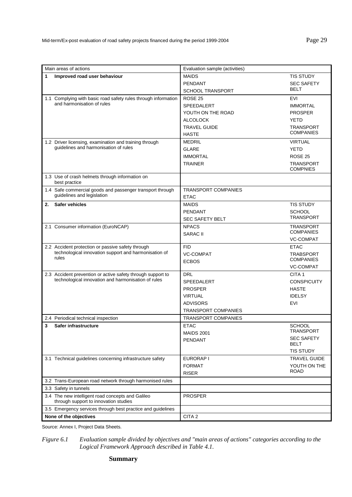<span id="page-30-0"></span>

| Main areas of actions  |                                                                                                            | Evaluation sample (activities) |                                      |  |
|------------------------|------------------------------------------------------------------------------------------------------------|--------------------------------|--------------------------------------|--|
| 1                      | Improved road user behaviour                                                                               | <b>MAIDS</b>                   | <b>TIS STUDY</b>                     |  |
|                        |                                                                                                            | PFNDANT                        | <b>SEC SAFETY</b>                    |  |
|                        |                                                                                                            | <b>SCHOOL TRANSPORT</b>        | <b>BELT</b>                          |  |
|                        | 1.1 Complying with basic road safety rules through information                                             | ROSE <sub>25</sub>             | EVI                                  |  |
|                        | and harmonisation of rules                                                                                 | SPEEDALERT                     | <b>IMMORTAL</b>                      |  |
|                        |                                                                                                            | YOUTH ON THE ROAD              | <b>PROSPER</b>                       |  |
|                        |                                                                                                            | <b>ALCOLOCK</b>                | <b>YETD</b>                          |  |
|                        |                                                                                                            | <b>TRAVEL GUIDE</b>            | <b>TRANSPORT</b><br><b>COMPANIES</b> |  |
|                        |                                                                                                            | <b>HASTE</b>                   |                                      |  |
|                        | 1.2 Driver licensing, examination and training through<br>guidelines and harmonisation of rules            | <b>MEDRIL</b>                  | <b>VIRTUAL</b>                       |  |
|                        |                                                                                                            | <b>GLARE</b>                   | <b>YETD</b>                          |  |
|                        |                                                                                                            | <b>IMMORTAL</b>                | ROSE 25                              |  |
|                        |                                                                                                            | <b>TRAINER</b>                 | <b>TRANSPORT</b><br><b>COMPNIES</b>  |  |
|                        | 1.3 Use of crash helmets through information on<br>best practice                                           |                                |                                      |  |
|                        | 1.4 Safe commercial goods and passenger transport through                                                  | <b>TRANSPORT COMPANIES</b>     |                                      |  |
|                        | guidelines and legislation                                                                                 | <b>ETAC</b>                    |                                      |  |
| 2.                     | <b>Safer vehicles</b>                                                                                      | <b>MAIDS</b>                   | <b>TIS STUDY</b>                     |  |
|                        |                                                                                                            | <b>PENDANT</b>                 | <b>SCHOOL</b>                        |  |
|                        |                                                                                                            | <b>SEC SAFETY BELT</b>         | <b>TRANSPORT</b>                     |  |
|                        | 2.1 Consumer information (EuroNCAP)                                                                        | <b>NPACS</b>                   | <b>TRANSPORT</b>                     |  |
|                        |                                                                                                            | <b>SARAC II</b>                | <b>COMPANIES</b>                     |  |
|                        |                                                                                                            |                                | <b>VC-COMPAT</b>                     |  |
|                        | 2.2 Accident protection or passive safety through<br>technological innovation support and harmonisation of | <b>FID</b>                     | <b>ETAC</b>                          |  |
|                        | rules                                                                                                      | <b>VC-COMPAT</b>               | <b>TRABSPORT</b><br><b>COMPANIES</b> |  |
|                        |                                                                                                            | <b>ECBOS</b>                   | VC-COMPAT                            |  |
|                        | 2.3 Accident prevention or active safety through support to                                                | <b>DRL</b>                     | CITA <sub>1</sub>                    |  |
|                        | technological innovation and harmonisation of rules                                                        | SPEEDALERT                     | <b>CONSPICUITY</b>                   |  |
|                        |                                                                                                            | <b>PROSPER</b>                 | <b>HASTE</b>                         |  |
|                        |                                                                                                            | <b>VIRTUAL</b>                 | <b>IDELSY</b>                        |  |
|                        |                                                                                                            | <b>ADVISORS</b>                | <b>EVI</b>                           |  |
|                        |                                                                                                            | TRANSPORT COMPANIES            |                                      |  |
|                        | 2.4 Periodical technical inspection                                                                        | <b>TRANSPORT COMPANIES</b>     |                                      |  |
| 3                      | Safer infrastructure                                                                                       | <b>ETAC</b>                    | <b>SCHOOL</b>                        |  |
|                        |                                                                                                            | <b>MAIDS 2001</b>              | <b>TRANSPORT</b>                     |  |
|                        |                                                                                                            | PENDANT                        | <b>SEC SAFETY</b>                    |  |
|                        |                                                                                                            |                                | <b>BELT</b>                          |  |
|                        |                                                                                                            |                                | <b>TIS STUDY</b>                     |  |
|                        | 3.1 Technical guidelines concerning infrastructure safety                                                  | EURORAP I<br><b>FORMAT</b>     | <b>TRAVEL GUIDE</b><br>YOUTH ON THE  |  |
|                        |                                                                                                            | <b>RISER</b>                   | <b>ROAD</b>                          |  |
|                        | 3.2 Trans-European road network through harmonised rules                                                   |                                |                                      |  |
|                        | 3.3 Safety in tunnels                                                                                      |                                |                                      |  |
|                        | 3.4 The new intelligent road concepts and Galileo                                                          | <b>PROSPER</b>                 |                                      |  |
|                        | through support to innovation studies                                                                      |                                |                                      |  |
|                        | 3.5 Emergency services through best practice and guidelines                                                |                                |                                      |  |
| None of the objectives |                                                                                                            | CITA <sub>2</sub>              |                                      |  |

Source: Annex I, Project Data Sheets.

*Figure 6.1 Evaluation sample divided by objectives and "main areas of actions" categories according to the Logical Framework Approach described i[n Table 4.1.](#page-17-0)* 

#### **Summary**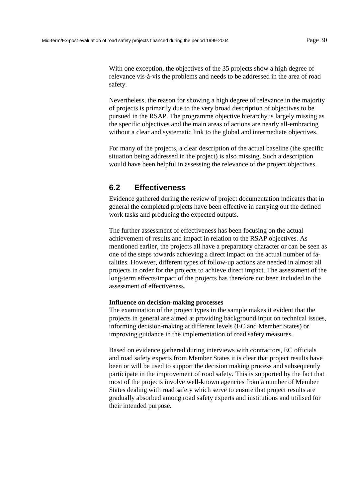<span id="page-31-0"></span>With one exception, the objectives of the 35 projects show a high degree of relevance vis-à-vis the problems and needs to be addressed in the area of road safety.

Nevertheless, the reason for showing a high degree of relevance in the majority of projects is primarily due to the very broad description of objectives to be pursued in the RSAP. The programme objective hierarchy is largely missing as the specific objectives and the main areas of actions are nearly all-embracing without a clear and systematic link to the global and intermediate objectives.

For many of the projects, a clear description of the actual baseline (the specific situation being addressed in the project) is also missing. Such a description would have been helpful in assessing the relevance of the project objectives.

## **6.2 Effectiveness**

Evidence gathered during the review of project documentation indicates that in general the completed projects have been effective in carrying out the defined work tasks and producing the expected outputs.

The further assessment of effectiveness has been focusing on the actual achievement of results and impact in relation to the RSAP objectives. As mentioned earlier, the projects all have a preparatory character or can be seen as one of the steps towards achieving a direct impact on the actual number of fatalities. However, different types of follow-up actions are needed in almost all projects in order for the projects to achieve direct impact. The assessment of the long-term effects/impact of the projects has therefore not been included in the assessment of effectiveness.

#### **Influence on decision-making processes**

The examination of the project types in the sample makes it evident that the projects in general are aimed at providing background input on technical issues, informing decision-making at different levels (EC and Member States) or improving guidance in the implementation of road safety measures.

Based on evidence gathered during interviews with contractors, EC officials and road safety experts from Member States it is clear that project results have been or will be used to support the decision making process and subsequently participate in the improvement of road safety. This is supported by the fact that most of the projects involve well-known agencies from a number of Member States dealing with road safety which serve to ensure that project results are gradually absorbed among road safety experts and institutions and utilised for their intended purpose.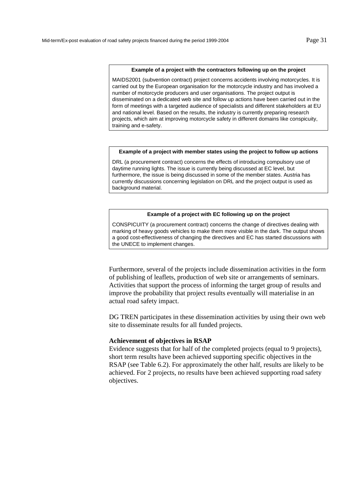#### **Example of a project with the contractors following up on the project**

MAIDS2001 (subvention contract) project concerns accidents involving motorcycles. It is carried out by the European organisation for the motorcycle industry and has involved a number of motorcycle producers and user organisations. The project output is disseminated on a dedicated web site and follow up actions have been carried out in the form of meetings with a targeted audience of specialists and different stakeholders at EU and national level. Based on the results, the industry is currently preparing research projects, which aim at improving motorcycle safety in different domains like conspicuity, training and e-safety.

#### **Example of a project with member states using the project to follow up actions**

DRL (a procurement contract) concerns the effects of introducing compulsory use of daytime running lights. The issue is currently being discussed at EC level, but furthermore, the issue is being discussed in some of the member states. Austria has currently discussions concerning legislation on DRL and the project output is used as background material.

#### **Example of a project with EC following up on the project**

CONSPICUITY (a procurement contract) concerns the change of directives dealing with marking of heavy goods vehicles to make them more visible in the dark. The output shows a good cost-effectiveness of changing the directives and EC has started discussions with the UNECE to implement changes.

Furthermore, several of the projects include dissemination activities in the form of publishing of leaflets, production of web site or arrangements of seminars. Activities that support the process of informing the target group of results and improve the probability that project results eventually will materialise in an actual road safety impact.

DG TREN participates in these dissemination activities by using their own web site to disseminate results for all funded projects.

#### **Achievement of objectives in RSAP**

Evidence suggests that for half of the completed projects (equal to 9 projects), short term results have been achieved supporting specific objectives in the RSAP (see [Table 6.2\)](#page-33-0). For approximately the other half, results are likely to be achieved. For 2 projects, no results have been achieved supporting road safety objectives.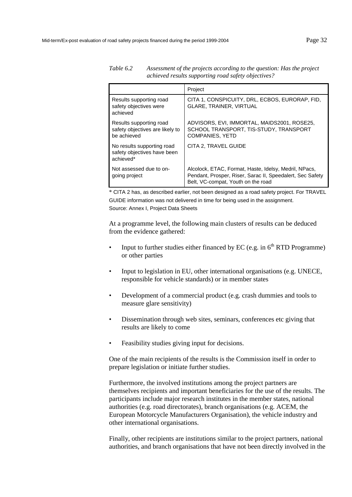|                                                                           | Project                                                                                                                                                  |
|---------------------------------------------------------------------------|----------------------------------------------------------------------------------------------------------------------------------------------------------|
| Results supporting road<br>safety objectives were<br>achieved             | CITA 1, CONSPICUITY, DRL, ECBOS, EURORAP, FID,<br><b>GLARE, TRAINER, VIRTUAL</b>                                                                         |
| Results supporting road<br>safety objectives are likely to<br>be achieved | ADVISORS, EVI, IMMORTAL, MAIDS2001, ROSE25,<br>SCHOOL TRANSPORT, TIS-STUDY, TRANSPORT<br><b>COMPANIES, YETD</b>                                          |
| No results supporting road<br>safety objectives have been<br>achieved*    | CITA 2. TRAVEL GUIDE                                                                                                                                     |
| Not assessed due to on-<br>going project                                  | Alcolock, ETAC, Format, Haste, Idelsy, Medril, NPacs,<br>Pendant, Prosper, Riser, Sarac II, Speedalert, Sec Safety<br>Belt, VC-compat, Youth on the road |

<span id="page-33-0"></span>*Table 6.2 Assessment of the projects according to the question: Has the project achieved results supporting road safety objectives?* 

\* CITA 2 has, as described earlier, not been designed as a road safety project. For TRAVEL GUIDE information was not delivered in time for being used in the assignment. Source: Annex I, Project Data Sheets

At a programme level, the following main clusters of results can be deduced from the evidence gathered:

- Input to further studies either financed by EC (e.g. in  $6<sup>th</sup>$  RTD Programme) or other parties
- Input to legislation in EU, other international organisations (e.g. UNECE, responsible for vehicle standards) or in member states
- Development of a commercial product (e.g. crash dummies and tools to measure glare sensitivity)
- Dissemination through web sites, seminars, conferences etc giving that results are likely to come
- Feasibility studies giving input for decisions.

One of the main recipients of the results is the Commission itself in order to prepare legislation or initiate further studies.

Furthermore, the involved institutions among the project partners are themselves recipients and important beneficiaries for the use of the results. The participants include major research institutes in the member states, national authorities (e.g. road directorates), branch organisations (e.g. ACEM, the European Motorcycle Manufacturers Organisation), the vehicle industry and other international organisations.

Finally, other recipients are institutions similar to the project partners, national authorities, and branch organisations that have not been directly involved in the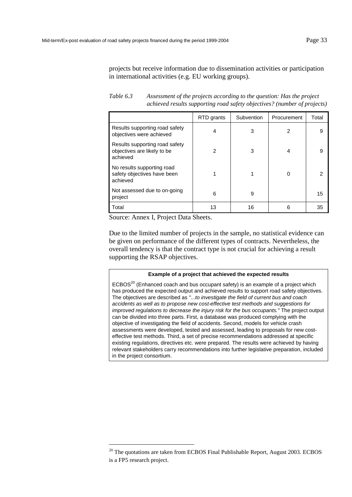projects but receive information due to dissemination activities or participation in international activities (e.g. EU working groups).

*Table 6.3 Assessment of the projects according to the question: Has the project achieved results supporting road safety objectives? (number of projects)* 

|                                                                           | RTD grants | Subvention | Procurement    | Total |
|---------------------------------------------------------------------------|------------|------------|----------------|-------|
| Results supporting road safety<br>objectives were achieved                | 4          | 3          | $\overline{2}$ | 9     |
| Results supporting road safety<br>objectives are likely to be<br>achieved | 2          | 3          | 4              | 9     |
| No results supporting road<br>safety objectives have been<br>achieved     |            |            | 0              | 2     |
| Not assessed due to on-going<br>project                                   | 6          | 9          |                | 15    |
| Total                                                                     | 13         | 16         | 6              | 35    |

Source: Annex I, Project Data Sheets.

l

Due to the limited number of projects in the sample, no statistical evidence can be given on performance of the different types of contracts. Nevertheless, the overall tendency is that the contract type is not crucial for achieving a result supporting the RSAP objectives.

#### **Example of a project that achieved the expected results**

ECBOS<sup>20</sup> (Enhanced coach and bus occupant safety) is an example of a project which has produced the expected output and achieved results to support road safety objectives. The objectives are described as *"...to investigate the field of current bus and coach accidents as well as to propose new cost-effective test methods and suggestions for improved regulations to decrease the injury risk for the bus occupants."* The project output can be divided into three parts. First, a database was produced complying with the objective of investigating the field of accidents. Second, models for vehicle crash assessments were developed, tested and assessed, leading to proposals for new costeffective test methods. Third, a set of precise recommendations addressed at specific existing regulations, directives etc. were prepared. The results were achieved by having relevant stakeholders carry recommendations into further legislative preparation, included in the project consortium.

 $20$  The quotations are taken from ECBOS Final Publishable Report, August 2003. ECBOS is a FP5 research project.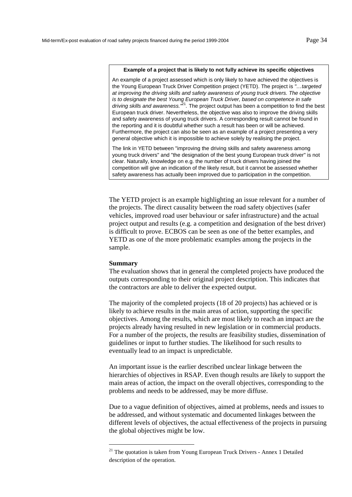#### **Example of a project that is likely to not fully achieve its specific objectives**

An example of a project assessed which is only likely to have achieved the objectives is the Young European Truck Driver Competition project (YETD). The project is *"…targeted at improving the driving skills and safety awareness of young truck drivers. The objective is to designate the best Young European Truck Driver, based on competence in safe driving skills and awareness."*<sup>21</sup>*.* The project output has been a competition to find the best European truck driver. Nevertheless, the objective was also to improve the driving skills and safety awareness of young truck drivers. A corresponding result cannot be found in the reporting and it is doubtful whether such a result has been or will be achieved. Furthermore, the project can also be seen as an example of a project presenting a very general objective which it is impossible to achieve solely by realising the project.

The link in YETD between "improving the driving skills and safety awareness among young truck drivers" and "the designation of the best young European truck driver" is not clear. Naturally, knowledge on e.g. the number of truck drivers having joined the competition will give an indication of the likely result, but it cannot be assessed whether safety awareness has actually been improved due to participation in the competition.

The YETD project is an example highlighting an issue relevant for a number of the projects. The direct causality between the road safety objectives (safer vehicles, improved road user behaviour or safer infrastructure) and the actual project output and results (e.g. a competition and designation of the best driver) is difficult to prove. ECBOS can be seen as one of the better examples, and YETD as one of the more problematic examples among the projects in the sample.

#### **Summary**

l

The evaluation shows that in general the completed projects have produced the outputs corresponding to their original project description. This indicates that the contractors are able to deliver the expected output.

The majority of the completed projects (18 of 20 projects) has achieved or is likely to achieve results in the main areas of action, supporting the specific objectives. Among the results, which are most likely to reach an impact are the projects already having resulted in new legislation or in commercial products. For a number of the projects, the results are feasibility studies, dissemination of guidelines or input to further studies. The likelihood for such results to eventually lead to an impact is unpredictable.

An important issue is the earlier described unclear linkage between the hierarchies of objectives in RSAP. Even though results are likely to support the main areas of action, the impact on the overall objectives, corresponding to the problems and needs to be addressed, may be more diffuse.

Due to a vague definition of objectives, aimed at problems, needs and issues to be addressed, and without systematic and documented linkages between the different levels of objectives, the actual effectiveness of the projects in pursuing the global objectives might be low.

<sup>&</sup>lt;sup>21</sup> The quotation is taken from Young European Truck Drivers - Annex 1 Detailed description of the operation.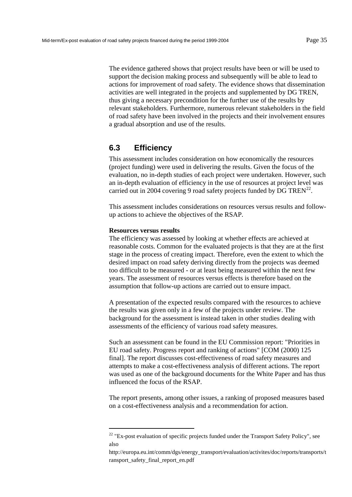The evidence gathered shows that project results have been or will be used to support the decision making process and subsequently will be able to lead to actions for improvement of road safety. The evidence shows that dissemination activities are well integrated in the projects and supplemented by DG TREN, thus giving a necessary precondition for the further use of the results by relevant stakeholders. Furthermore, numerous relevant stakeholders in the field of road safety have been involved in the projects and their involvement ensures a gradual absorption and use of the results.

## **6.3 Efficiency**

This assessment includes consideration on how economically the resources (project funding) were used in delivering the results. Given the focus of the evaluation, no in-depth studies of each project were undertaken. However, such an in-depth evaluation of efficiency in the use of resources at project level was carried out in 2004 covering 9 road safety projects funded by DG TREN<sup>22</sup>.

This assessment includes considerations on resources versus results and followup actions to achieve the objectives of the RSAP.

### **Resources versus results**

l

The efficiency was assessed by looking at whether effects are achieved at reasonable costs. Common for the evaluated projects is that they are at the first stage in the process of creating impact. Therefore, even the extent to which the desired impact on road safety deriving directly from the projects was deemed too difficult to be measured - or at least being measured within the next few years. The assessment of resources versus effects is therefore based on the assumption that follow-up actions are carried out to ensure impact.

A presentation of the expected results compared with the resources to achieve the results was given only in a few of the projects under review. The background for the assessment is instead taken in other studies dealing with assessments of the efficiency of various road safety measures.

Such an assessment can be found in the EU Commission report: "Priorities in EU road safety. Progress report and ranking of actions" [COM (2000) 125 final]. The report discusses cost-effectiveness of road safety measures and attempts to make a cost-effectiveness analysis of different actions. The report was used as one of the background documents for the White Paper and has thus influenced the focus of the RSAP.

The report presents, among other issues, a ranking of proposed measures based on a cost-effectiveness analysis and a recommendation for action.

 $22$  "Ex-post evaluation of specific projects funded under the Transport Safety Policy", see also

[http://europa.eu.int/comm/dgs/energy\\_transport/evaluation/activites/doc/reports/transports/t](http://europa.eu.int/comm/dgs/energy_transport/evaluation/activites/doc/reports/transports/transport_safety_final_report_en.pdf) [ransport\\_safety\\_final\\_report\\_en.pdf](http://europa.eu.int/comm/dgs/energy_transport/evaluation/activites/doc/reports/transports/transport_safety_final_report_en.pdf)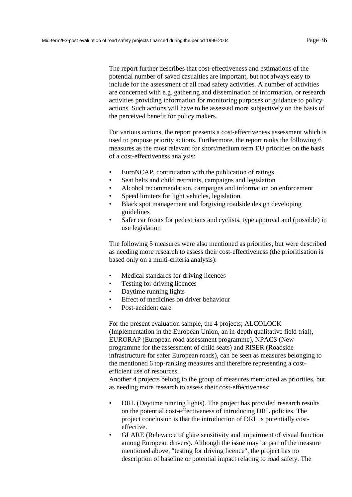The report further describes that cost-effectiveness and estimations of the potential number of saved casualties are important, but not always easy to include for the assessment of all road safety activities. A number of activities are concerned with e.g. gathering and dissemination of information, or research activities providing information for monitoring purposes or guidance to policy actions. Such actions will have to be assessed more subjectively on the basis of the perceived benefit for policy makers.

For various actions, the report presents a cost-effectiveness assessment which is used to propose priority actions. Furthermore, the report ranks the following 6 measures as the most relevant for short/medium term EU priorities on the basis of a cost-effectiveness analysis:

- EuroNCAP, continuation with the publication of ratings
- Seat belts and child restraints, campaigns and legislation
- Alcohol recommendation, campaigns and information on enforcement
- Speed limiters for light vehicles, legislation
- Black spot management and forgiving roadside design developing guidelines
- Safer car fronts for pedestrians and cyclists, type approval and (possible) in use legislation

The following 5 measures were also mentioned as priorities, but were described as needing more research to assess their cost-effectiveness (the prioritisation is based only on a multi-criteria analysis):

- Medical standards for driving licences
- Testing for driving licences
- Daytime running lights
- Effect of medicines on driver behaviour
- Post-accident care

For the present evaluation sample, the 4 projects; ALCOLOCK (Implementation in the European Union, an in-depth qualitative field trial), EURORAP (European road assessment programme), NPACS (New programme for the assessment of child seats) and RISER (Roadside infrastructure for safer European roads), can be seen as measures belonging to the mentioned 6 top-ranking measures and therefore representing a costefficient use of resources.

Another 4 projects belong to the group of measures mentioned as priorities, but as needing more research to assess their cost-effectiveness:

- DRL (Daytime running lights). The project has provided research results on the potential cost-effectiveness of introducing DRL policies. The project conclusion is that the introduction of DRL is potentially costeffective.
- GLARE (Relevance of glare sensitivity and impairment of visual function among European drivers). Although the issue may be part of the measure mentioned above, "testing for driving licence", the project has no description of baseline or potential impact relating to road safety. The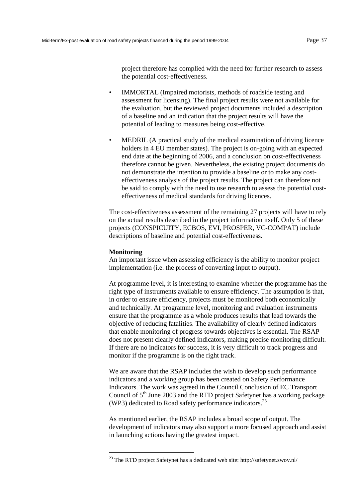project therefore has complied with the need for further research to assess the potential cost-effectiveness.

- IMMORTAL (Impaired motorists, methods of roadside testing and assessment for licensing). The final project results were not available for the evaluation, but the reviewed project documents included a description of a baseline and an indication that the project results will have the potential of leading to measures being cost-effective.
- MEDRIL (A practical study of the medical examination of driving licence holders in 4 EU member states). The project is on-going with an expected end date at the beginning of 2006, and a conclusion on cost-effectiveness therefore cannot be given. Nevertheless, the existing project documents do not demonstrate the intention to provide a baseline or to make any costeffectiveness analysis of the project results. The project can therefore not be said to comply with the need to use research to assess the potential costeffectiveness of medical standards for driving licences.

The cost-effectiveness assessment of the remaining 27 projects will have to rely on the actual results described in the project information itself. Only 5 of these projects (CONSPICUITY, ECBOS, EVI, PROSPER, VC-COMPAT) include descriptions of baseline and potential cost-effectiveness.

### **Monitoring**

l

An important issue when assessing efficiency is the ability to monitor project implementation (i.e. the process of converting input to output).

At programme level, it is interesting to examine whether the programme has the right type of instruments available to ensure efficiency. The assumption is that, in order to ensure efficiency, projects must be monitored both economically and technically. At programme level, monitoring and evaluation instruments ensure that the programme as a whole produces results that lead towards the objective of reducing fatalities. The availability of clearly defined indicators that enable monitoring of progress towards objectives is essential. The RSAP does not present clearly defined indicators, making precise monitoring difficult. If there are no indicators for success, it is very difficult to track progress and monitor if the programme is on the right track.

We are aware that the RSAP includes the wish to develop such performance indicators and a working group has been created on Safety Performance Indicators. The work was agreed in the Council Conclusion of EC Transport Council of  $5<sup>th</sup>$  June 2003 and the RTD project Safetynet has a working package (WP3) dedicated to Road safety performance indicators.<sup>23</sup>

As mentioned earlier, the RSAP includes a broad scope of output. The development of indicators may also support a more focused approach and assist in launching actions having the greatest impact.

<sup>&</sup>lt;sup>23</sup> The RTD project Safetynet has a dedicated web site: http://safetynet.swov.nl/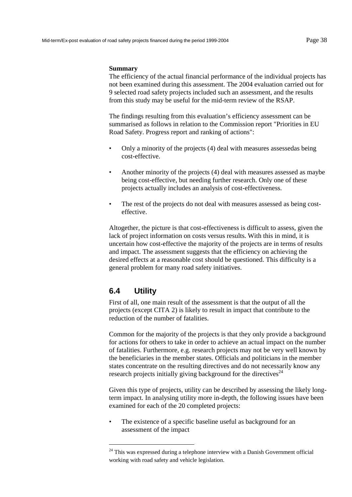#### **Summary**

The efficiency of the actual financial performance of the individual projects has not been examined during this assessment. The 2004 evaluation carried out for 9 selected road safety projects included such an assessment, and the results from this study may be useful for the mid-term review of the RSAP.

The findings resulting from this evaluation's efficiency assessment can be summarised as follows in relation to the Commission report "Priorities in EU Road Safety. Progress report and ranking of actions":

- Only a minority of the projects (4) deal with measures assessedas being cost-effective.
- Another minority of the projects (4) deal with measures assessed as maybe being cost-effective, but needing further research. Only one of these projects actually includes an analysis of cost-effectiveness.
- The rest of the projects do not deal with measures assessed as being costeffective.

Altogether, the picture is that cost-effectiveness is difficult to assess, given the lack of project information on costs versus results. With this in mind, it is uncertain how cost-effective the majority of the projects are in terms of results and impact. The assessment suggests that the efficiency on achieving the desired effects at a reasonable cost should be questioned. This difficulty is a general problem for many road safety initiatives.

## **6.4 Utility**

l

First of all, one main result of the assessment is that the output of all the projects (except CITA 2) is likely to result in impact that contribute to the reduction of the number of fatalities.

Common for the majority of the projects is that they only provide a background for actions for others to take in order to achieve an actual impact on the number of fatalities. Furthermore, e.g. research projects may not be very well known by the beneficiaries in the member states. Officials and politicians in the member states concentrate on the resulting directives and do not necessarily know any research projects initially giving background for the directives<sup> $24$ </sup>

Given this type of projects, utility can be described by assessing the likely longterm impact*.* In analysing utility more in-depth, the following issues have been examined for each of the 20 completed projects:

The existence of a specific baseline useful as background for an assessment of the impact

<sup>&</sup>lt;sup>24</sup> This was expressed during a telephone interview with a Danish Government official working with road safety and vehicle legislation.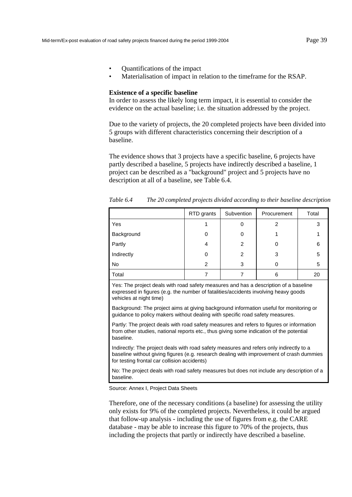- Quantifications of the impact
- Materialisation of impact in relation to the timeframe for the RSAP.

#### **Existence of a specific baseline**

In order to assess the likely long term impact, it is essential to consider the evidence on the actual baseline; i.e. the situation addressed by the project.

Due to the variety of projects, the 20 completed projects have been divided into 5 groups with different characteristics concerning their description of a baseline.

The evidence shows that 3 projects have a specific baseline, 6 projects have partly described a baseline, 5 projects have indirectly described a baseline, 1 project can be described as a "background" project and 5 projects have no description at all of a baseline, see Table 6.4.

|            | RTD grants | Subvention | Procurement | Total |
|------------|------------|------------|-------------|-------|
| Yes        |            | 0          | 2           | 3     |
| Background | 0          | 0          |             |       |
| Partly     | 4          | 2          | 0           | 6     |
| Indirectly | 0          | 2          | 3           | 5     |
| No         | 2          | 3          |             | 5     |
| Total      |            |            | 6           | 20    |

*Table 6.4 The 20 completed projects divided according to their baseline description* 

Yes: The project deals with road safety measures and has a description of a baseline expressed in figures (e.g. the number of fatalities/accidents involving heavy goods vehicles at night time)

Background: The project aims at giving background information useful for monitoring or guidance to policy makers without dealing with specific road safety measures.

Partly: The project deals with road safety measures and refers to figures or information from other studies, national reports etc., thus giving some indication of the potential baseline.

Indirectly: The project deals with road safety measures and refers only indirectly to a baseline without giving figures (e.g. research dealing with improvement of crash dummies for testing frontal car collision accidents)

No: The project deals with road safety measures but does not include any description of a baseline.

Source: Annex I, Project Data Sheets

Therefore, one of the necessary conditions (a baseline) for assessing the utility only exists for 9% of the completed projects. Nevertheless, it could be argued that follow-up analysis - including the use of figures from e.g. the CARE database - may be able to increase this figure to 70% of the projects, thus including the projects that partly or indirectly have described a baseline.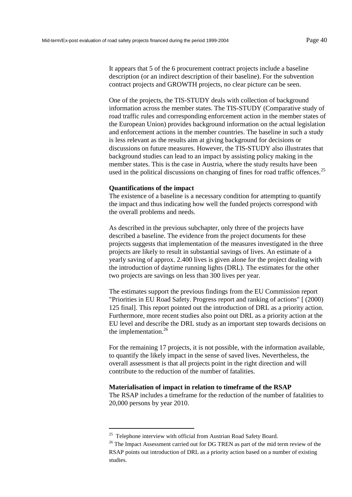It appears that 5 of the 6 procurement contract projects include a baseline description (or an indirect description of their baseline). For the subvention contract projects and GROWTH projects, no clear picture can be seen.

One of the projects, the TIS-STUDY deals with collection of background information across the member states. The TIS-STUDY (Comparative study of road traffic rules and corresponding enforcement action in the member states of the European Union) provides background information on the actual legislation and enforcement actions in the member countries. The baseline in such a study is less relevant as the results aim at giving background for decisions or discussions on future measures. However, the TIS-STUDY also illustrates that background studies can lead to an impact by assisting policy making in the member states. This is the case in Austria, where the study results have been used in the political discussions on changing of fines for road traffic offences.<sup>25</sup>

#### **Quantifications of the impact**

The existence of a baseline is a necessary condition for attempting to quantify the impact and thus indicating how well the funded projects correspond with the overall problems and needs.

As described in the previous subchapter, only three of the projects have described a baseline. The evidence from the project documents for these projects suggests that implementation of the measures investigated in the three projects are likely to result in substantial savings of lives. An estimate of a yearly saving of approx. 2.400 lives is given alone for the project dealing with the introduction of daytime running lights (DRL). The estimates for the other two projects are savings on less than 300 lives per year.

The estimates support the previous findings from the EU Commission report "Priorities in EU Road Safety. Progress report and ranking of actions" [ (2000) 125 final]. This report pointed out the introduction of DRL as a priority action. Furthermore, more recent studies also point out DRL as a priority action at the EU level and describe the DRL study as an important step towards decisions on the implementation.<sup>26</sup>

For the remaining 17 projects, it is not possible, with the information available, to quantify the likely impact in the sense of saved lives. Nevertheless, the overall assessment is that all projects point in the right direction and will contribute to the reduction of the number of fatalities.

#### **Materialisation of impact in relation to timeframe of the RSAP**

The RSAP includes a timeframe for the reduction of the number of fatalities to 20,000 persons by year 2010.

l

<sup>&</sup>lt;sup>25</sup> Telephone interview with official from Austrian Road Safety Board.

<sup>&</sup>lt;sup>26</sup> The Impact Assessment carried out for DG TREN as part of the mid term review of the RSAP points out introduction of DRL as a priority action based on a number of existing studies.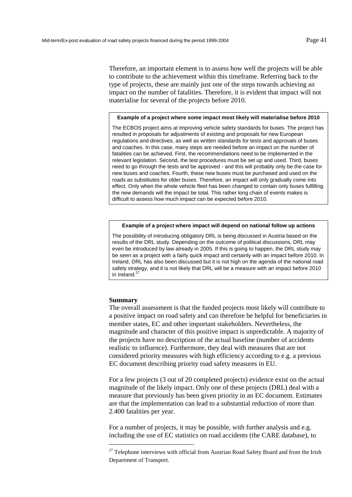Therefore, an important element is to assess how well the projects will be able to contribute to the achievement within this timeframe. Referring back to the type of projects, these are mainly just one of the steps towards achieving an impact on the number of fatalities. Therefore, it is evident that impact will not materialise for several of the projects before 2010.

#### **Example of a project where some impact most likely will materialise before 2010**

The ECBOS project aims at improving vehicle safety standards for buses. The project has resulted in proposals for adjustments of existing and proposals for new European regulations and directives, as well as written standards for tests and approvals of buses and coaches. In this case, many steps are needed before an impact on the number of fatalities can be achieved. First, the recommendations need to be implemented in the relevant legislation. Second, the test procedures must be set up and used. Third, buses need to go through the tests and be approved - and this will probably only be the case for new buses and coaches. Fourth, these new buses must be purchased and used on the roads as substitutes for older buses. Therefore, an impact will only gradually come into effect. Only when the whole vehicle fleet has been changed to contain only buses fulfilling the new demands will the impact be total. This rather long chain of events makes is difficult to assess how much impact can be expected before 2010.

#### **Example of a project where impact will depend on national follow up actions**

The possibility of introducing obligatory DRL is being discussed in Austria based on the results of the DRL study. Depending on the outcome of political discussions, DRL may even be introduced by law already in 2005. If this is going to happen, the DRL study may be seen as a project with a fairly quick impact and certainly with an impact before 2010. In Ireland, DRL has also been discussed but it is not high on the agenda of the national road safety strategy, and it is not likely that DRL will be a measure with an impact before 2010 in Ireland.<sup>27</sup>

#### **Summary**

l

The overall assessment is that the funded projects most likely will contribute to a positive impact on road safety and can therefore be helpful for beneficiaries in member states, EC and other important stakeholders. Nevertheless, the magnitude and character of this positive impact is unpredictable. A majority of the projects have no description of the actual baseline (number of accidents realistic to influence). Furthermore, they deal with measures that are not considered priority measures with high efficiency according to e.g. a previous EC document describing priority road safety measures in EU.

For a few projects (3 out of 20 completed projects) evidence exist on the actual magnitude of the likely impact. Only one of these projects (DRL) deal with a measure that previously has been given priority in an EC document. Estimates are that the implementation can lead to a substantial reduction of more than 2.400 fatalities per year.

For a number of projects, it may be possible, with further analysis and e.g. including the use of EC statistics on road accidents (the CARE database), to

<sup>&</sup>lt;sup>27</sup> Telephone interviews with official from Austrian Road Safety Board and from the Irish Department of Transport.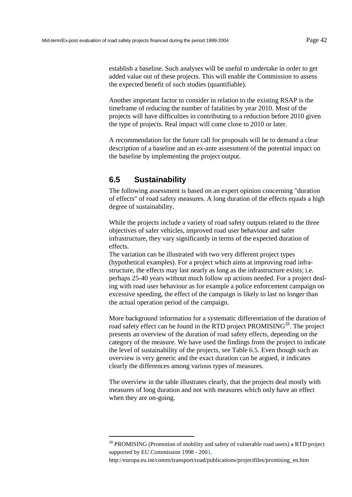establish a baseline. Such analyses will be useful to undertake in order to get added value out of these projects. This will enable the Commission to assess the expected benefit of such studies (quantifiable).

Another important factor to consider in relation to the existing RSAP is the timeframe of reducing the number of fatalities by year 2010. Most of the projects will have difficulties in contributing to a reduction before 2010 given the type of projects. Real impact will come close to 2010 or later.

A recommendation for the future call for proposals will be to demand a clear description of a baseline and an ex-ante assessment of the potential impact on the baseline by implementing the project output.

## **6.5 Sustainability**

l

The following assessment is based on an expert opinion concerning "duration of effects" of road safety measures. A long duration of the effects equals a high degree of sustainability.

While the projects include a variety of road safety outputs related to the three objectives of safer vehicles, improved road user behaviour and safer infrastructure, they vary significantly in terms of the expected duration of effects.

The variation can be illustrated with two very different project types (hypothetical examples). For a project which aims at improving road infrastructure, the effects may last nearly as long as the infrastructure exists; i.e. perhaps 25-40 years without much follow up actions needed. For a project dealing with road user behaviour as for example a police enforcement campaign on excessive speeding, the effect of the campaign is likely to last no longer than the actual operation period of the campaign.

More background information for a systematic differentiation of the duration of road safety effect can be found in the RTD project PROMISING<sup>28</sup>. The project presents an overview of the duration of road safety effects, depending on the category of the measure. We have used the findings from the project to indicate the level of sustainability of the projects, see Table 6.5. Even though such an overview is very generic and the exact durat[ion can be a](#page-44-0)rgued, it indicates clearly the differences among various types of measures.

The overview in the table illustrates clearly, that the projects deal mostly with measures of long duration and not with measures which only have an effect when they are on-going.

<sup>&</sup>lt;sup>28</sup> PROMISING (Promotion of mobility and safety of vulnerable road users) a RTD project supported by EU Commission 1998 - 2001,

http://europa.eu.int/comm/transport/road/publications/projectfiles/promising\_en.htm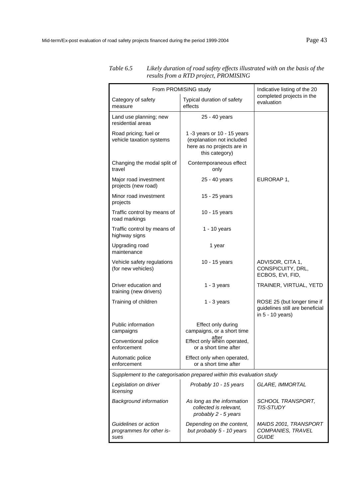| From PROMISING study                                     | Indicative listing of the 20                                                                             |                                                                                    |  |  |  |
|----------------------------------------------------------|----------------------------------------------------------------------------------------------------------|------------------------------------------------------------------------------------|--|--|--|
| Category of safety<br>measure                            | Typical duration of safety<br>effects                                                                    | completed projects in the<br>evaluation                                            |  |  |  |
| Land use planning; new<br>residential areas              | 25 - 40 years                                                                                            |                                                                                    |  |  |  |
| Road pricing; fuel or<br>vehicle taxation systems        | 1 -3 years or 10 - 15 years<br>(explanation not included<br>here as no projects are in<br>this category) |                                                                                    |  |  |  |
| Changing the modal split of<br>travel                    | Contemporaneous effect<br>only                                                                           |                                                                                    |  |  |  |
| Major road investment<br>projects (new road)             | 25 - 40 years                                                                                            | EURORAP 1,                                                                         |  |  |  |
| Minor road investment<br>projects                        | 15 - 25 years                                                                                            |                                                                                    |  |  |  |
| Traffic control by means of<br>road markings             | 10 - 15 years                                                                                            |                                                                                    |  |  |  |
| Traffic control by means of<br>highway signs             | 1 - 10 years                                                                                             |                                                                                    |  |  |  |
| Upgrading road<br>maintenance                            | 1 year                                                                                                   |                                                                                    |  |  |  |
| Vehicle safety regulations<br>(for new vehicles)         | 10 - 15 years                                                                                            | ADVISOR, CITA 1,<br>CONSPICUITY, DRL,<br>ECBOS, EVI, FID,                          |  |  |  |
| Driver education and<br>training (new drivers)           | $1 - 3$ years                                                                                            | TRAINER, VIRTUAL, YETD                                                             |  |  |  |
| Training of children                                     | $1 - 3$ years                                                                                            | ROSE 25 (but longer time if<br>guidelines still are beneficial<br>in 5 - 10 years) |  |  |  |
| Public information<br>campaigns                          | Effect only during<br>campaigns, or a short time                                                         |                                                                                    |  |  |  |
| Conventional police<br>enforcement                       | after<br>Effect only when operated,<br>or a short time after                                             |                                                                                    |  |  |  |
| Automatic police<br>enforcement                          | Effect only when operated,<br>or a short time after                                                      |                                                                                    |  |  |  |
|                                                          | Supplement to the categorisation prepared within this evaluation study                                   |                                                                                    |  |  |  |
| Legislation on driver<br>licensing                       | Probably 10 - 15 years                                                                                   | <b>GLARE, IMMORTAL</b>                                                             |  |  |  |
| <b>Background information</b>                            | As long as the information<br>collected is relevant,<br>probably 2 - 5 years                             | SCHOOL TRANSPORT,<br><b>TIS-STUDY</b>                                              |  |  |  |
| Guidelines or action<br>programmes for other is-<br>sues | Depending on the content,<br>but probably 5 - 10 years                                                   | MAIDS 2001, TRANSPORT<br>COMPANIES, TRAVEL<br><b>GUIDE</b>                         |  |  |  |

### <span id="page-44-0"></span>*Table 6.5 Likely duration of road safety effects illustrated with on the basis of the results from a RTD project, PROMISING*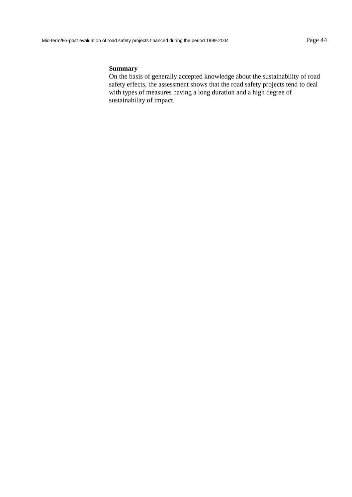### **Summary**

On the basis of generally accepted knowledge about the sustainability of road safety effects, the assessment shows that the road safety projects tend to deal with types of measures having a long duration and a high degree of sustainability of impact.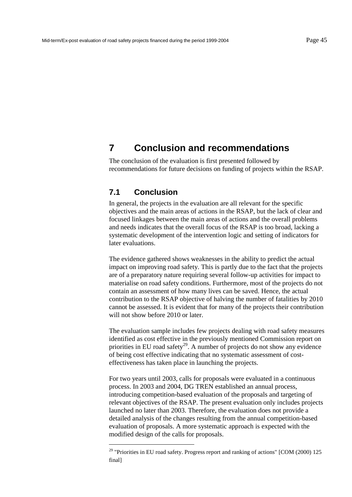# **7 Conclusion and recommendations**

The conclusion of the evaluation is first presented followed by recommendations for future decisions on funding of projects within the RSAP.

## **7.1 Conclusion**

l

In general, the projects in the evaluation are all relevant for the specific objectives and the main areas of actions in the RSAP, but the lack of clear and focused linkages between the main areas of actions and the overall problems and needs indicates that the overall focus of the RSAP is too broad, lacking a systematic development of the intervention logic and setting of indicators for later evaluations.

The evidence gathered shows weaknesses in the ability to predict the actual impact on improving road safety. This is partly due to the fact that the projects are of a preparatory nature requiring several follow-up activities for impact to materialise on road safety conditions. Furthermore, most of the projects do not contain an assessment of how many lives can be saved. Hence, the actual contribution to the RSAP objective of halving the number of fatalities by 2010 cannot be assessed. It is evident that for many of the projects their contribution will not show before 2010 or later.

The evaluation sample includes few projects dealing with road safety measures identified as cost effective in the previously mentioned Commission report on priorities in EU road safety<sup>29</sup>. A number of projects do not show any evidence of being cost effective indicating that no systematic assessment of costeffectiveness has taken place in launching the projects.

For two years until 2003, calls for proposals were evaluated in a continuous process. In 2003 and 2004, DG TREN established an annual process, introducing competition-based evaluation of the proposals and targeting of relevant objectives of the RSAP. The present evaluation only includes projects launched no later than 2003. Therefore, the evaluation does not provide a detailed analysis of the changes resulting from the annual competition-based evaluation of proposals. A more systematic approach is expected with the modified design of the calls for proposals.

<sup>&</sup>lt;sup>29</sup> "Priorities in EU road safety. Progress report and ranking of actions" [COM (2000) 125 final]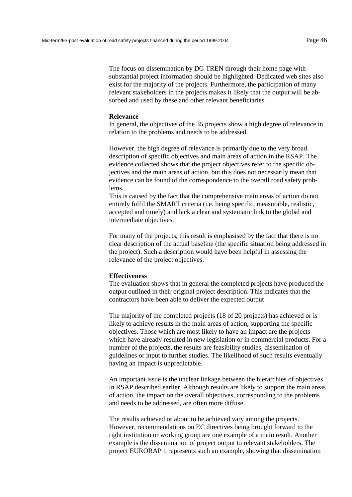The focus on dissemination by DG TREN through their home page with substantial project information should be highlighted. Dedicated web sites also exist for the majority of the projects. Furthermore, the participation of many relevant stakeholders in the projects makes it likely that the output will be absorbed and used by these and other relevant beneficiaries.

#### **Relevance**

In general, the objectives of the 35 projects show a high degree of relevance in relation to the problems and needs to be addressed.

However, the high degree of relevance is primarily due to the very broad description of specific objectives and main areas of action in the RSAP. The evidence collected shows that the project objectives refer to the specific objectives and the main areas of action, but this does not necessarily mean that evidence can be found of the correspondence to the overall road safety problems.

This is caused by the fact that the comprehensive main areas of action do not entirely fulfil the SMART criteria (i.e. being specific, measurable, realistic, accepted and timely) and lack a clear and systematic link to the global and intermediate objectives.

For many of the projects, this result is emphasised by the fact that there is no clear description of the actual baseline (the specific situation being addressed in the project). Such a description would have been helpful in assessing the relevance of the project objectives.

### **Effectiveness**

The evaluation shows that in general the completed projects have produced the output outlined in their original project description. This indicates that the contractors have been able to deliver the expected output

The majority of the completed projects (18 of 20 projects) has achieved or is likely to achieve results in the main areas of action, supporting the specific objectives. Those which are most likely to have an impact are the projects which have already resulted in new legislation or in commercial products. For a number of the projects, the results are feasibility studies, dissemination of guidelines or input to further studies. The likelihood of such results eventually having an impact is unpredictable.

An important issue is the unclear linkage between the hierarchies of objectives in RSAP described earlier. Although results are likely to support the main areas of action, the impact on the overall objectives, corresponding to the problems and needs to be addressed, are often more diffuse.

The results achieved or about to be achieved vary among the projects. However, recommendations on EC directives being brought forward to the right institution or working group are one example of a main result. Another example is the dissemination of project output to relevant stakeholders. The project EURORAP 1 represents such an example, showing that dissemination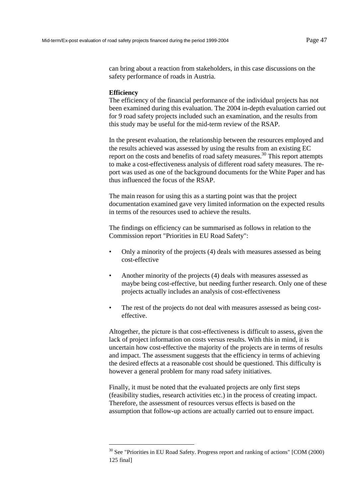can bring about a reaction from stakeholders, in this case discussions on the safety performance of roads in Austria.

#### **Efficiency**

l

The efficiency of the financial performance of the individual projects has not been examined during this evaluation. The 2004 in-depth evaluation carried out for 9 road safety projects included such an examination, and the results from this study may be useful for the mid-term review of the RSAP.

In the present evaluation, the relationship between the resources employed and the results achieved was assessed by using the results from an existing EC report on the costs and benefits of road safety measures.<sup>30</sup> This report attempts to make a cost-effectiveness analysis of different road safety measures. The report was used as one of the background documents for the White Paper and has thus influenced the focus of the RSAP.

The main reason for using this as a starting point was that the project documentation examined gave very limited information on the expected results in terms of the resources used to achieve the results.

The findings on efficiency can be summarised as follows in relation to the Commission report "Priorities in EU Road Safety":

- Only a minority of the projects (4) deals with measures assessed as being cost-effective
- Another minority of the projects (4) deals with measures assessed as maybe being cost-effective, but needing further research. Only one of these projects actually includes an analysis of cost-effectiveness
- The rest of the projects do not deal with measures assessed as being costeffective.

Altogether, the picture is that cost-effectiveness is difficult to assess, given the lack of project information on costs versus results. With this in mind, it is uncertain how cost-effective the majority of the projects are in terms of results and impact. The assessment suggests that the efficiency in terms of achieving the desired effects at a reasonable cost should be questioned. This difficulty is however a general problem for many road safety initiatives.

Finally, it must be noted that the evaluated projects are only first steps (feasibility studies, research activities etc.) in the process of creating impact. Therefore, the assessment of resources versus effects is based on the assumption that follow-up actions are actually carried out to ensure impact.

 $30$  See "Priorities in EU Road Safety. Progress report and ranking of actions" [COM (2000) 125 final]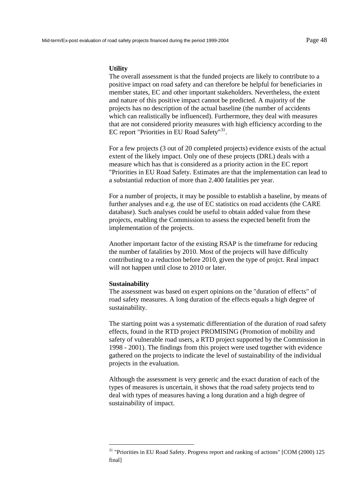#### **Utility**

The overall assessment is that the funded projects are likely to contribute to a positive impact on road safety and can therefore be helpful for beneficiaries in member states, EC and other important stakeholders. Nevertheless, the extent and nature of this positive impact cannot be predicted. A majority of the projects has no description of the actual baseline (the number of accidents which can realistically be influenced). Furthermore, they deal with measures that are not considered priority measures with high efficiency according to the EC report "Priorities in EU Road Safety"<sup>31</sup>.

For a few projects (3 out of 20 completed projects) evidence exists of the actual extent of the likely impact. Only one of these projects (DRL) deals with a measure which has that is considered as a priority action in the EC report "Priorities in EU Road Safety. Estimates are that the implementation can lead to a substantial reduction of more than 2.400 fatalities per year.

For a number of projects, it may be possible to establish a baseline, by means of further analyses and e.g. the use of EC statistics on road accidents (the CARE database). Such analyses could be useful to obtain added value from these projects, enabling the Commission to assess the expected benefit from the implementation of the projects.

Another important factor of the existing RSAP is the timeframe for reducing the number of fatalities by 2010. Most of the projects will have difficulty contributing to a reduction before 2010, given the type of projct. Real impact will not happen until close to 2010 or later.

#### **Sustainability**

l

The assessment was based on expert opinions on the "duration of effects" of road safety measures. A long duration of the effects equals a high degree of sustainability.

The starting point was a systematic differentiation of the duration of road safety effects, found in the RTD project PROMISING (Promotion of mobility and safety of vulnerable road users, a RTD project supported by the Commission in 1998 - 2001). The findings from this project were used together with evidence gathered on the projects to indicate the level of sustainability of the individual projects in the evaluation.

Although the assessment is very generic and the exact duration of each of the types of measures is uncertain, it shows that the road safety projects tend to deal with types of measures having a long duration and a high degree of sustainability of impact.

<sup>&</sup>lt;sup>31</sup> "Priorities in EU Road Safety. Progress report and ranking of actions" [COM (2000) 125 final]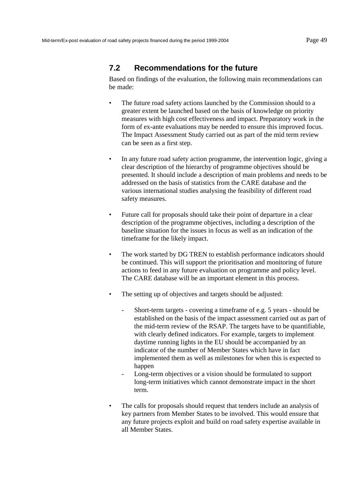## **7.2 Recommendations for the future**

Based on findings of the evaluation, the following main recommendations can be made:

- The future road safety actions launched by the Commission should to a greater extent be launched based on the basis of knowledge on priority measures with high cost effectiveness and impact. Preparatory work in the form of ex-ante evaluations may be needed to ensure this improved focus. The Impact Assessment Study carried out as part of the mid term review can be seen as a first step.
- In any future road safety action programme, the intervention logic, giving a clear description of the hierarchy of programme objectives should be presented. It should include a description of main problems and needs to be addressed on the basis of statistics from the CARE database and the various international studies analysing the feasibility of different road safety measures.
- Future call for proposals should take their point of departure in a clear description of the programme objectives, including a description of the baseline situation for the issues in focus as well as an indication of the timeframe for the likely impact.
- The work started by DG TREN to establish performance indicators should be continued. This will support the prioritisation and monitoring of future actions to feed in any future evaluation on programme and policy level. The CARE database will be an important element in this process.
- The setting up of objectives and targets should be adjusted:
	- Short-term targets covering a timeframe of e.g. 5 years should be established on the basis of the impact assessment carried out as part of the mid-term review of the RSAP. The targets have to be quantifiable, with clearly defined indicators. For example, targets to implement daytime running lights in the EU should be accompanied by an indicator of the number of Member States which have in fact implemented them as well as milestones for when this is expected to happen
	- Long-term objectives or a vision should be formulated to support long-term initiatives which cannot demonstrate impact in the short term.
- The calls for proposals should request that tenders include an analysis of key partners from Member States to be involved. This would ensure that any future projects exploit and build on road safety expertise available in all Member States.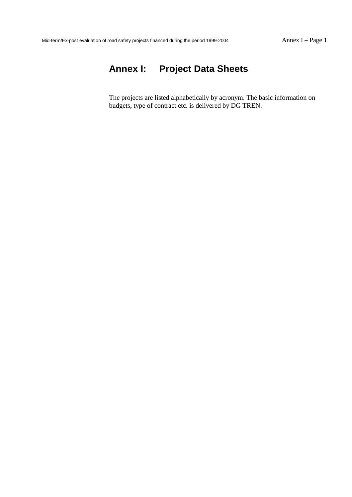# **Annex I: Project Data Sheets**

The projects are listed alphabetically by acronym. The basic information on budgets, type of contract etc. is delivered by DG TREN.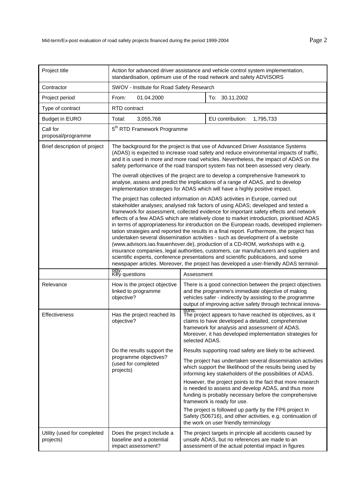| Project title                            | Action for advanced driver assistance and vehicle control system implementation,<br>standardisation, optimum use of the road network and safety ADVISORS                                                                                                                                                                                                                                                                                                                                                                                                                                                                                                                                                                                                                                                                                                                                                                                                                                          |                          |                                                                                                                                                                                                                                            |  |
|------------------------------------------|---------------------------------------------------------------------------------------------------------------------------------------------------------------------------------------------------------------------------------------------------------------------------------------------------------------------------------------------------------------------------------------------------------------------------------------------------------------------------------------------------------------------------------------------------------------------------------------------------------------------------------------------------------------------------------------------------------------------------------------------------------------------------------------------------------------------------------------------------------------------------------------------------------------------------------------------------------------------------------------------------|--------------------------|--------------------------------------------------------------------------------------------------------------------------------------------------------------------------------------------------------------------------------------------|--|
| Contractor                               | SWOV - Institute for Road Safety Research                                                                                                                                                                                                                                                                                                                                                                                                                                                                                                                                                                                                                                                                                                                                                                                                                                                                                                                                                         |                          |                                                                                                                                                                                                                                            |  |
| Project period                           | 01.04.2000<br>To: 30.11.2002<br>From:                                                                                                                                                                                                                                                                                                                                                                                                                                                                                                                                                                                                                                                                                                                                                                                                                                                                                                                                                             |                          |                                                                                                                                                                                                                                            |  |
| Type of contract                         | <b>RTD</b> contract                                                                                                                                                                                                                                                                                                                                                                                                                                                                                                                                                                                                                                                                                                                                                                                                                                                                                                                                                                               |                          |                                                                                                                                                                                                                                            |  |
| <b>Budget in EURO</b>                    | 3,055,768<br>Total:                                                                                                                                                                                                                                                                                                                                                                                                                                                                                                                                                                                                                                                                                                                                                                                                                                                                                                                                                                               |                          | EU contribution:<br>1,795,733                                                                                                                                                                                                              |  |
| Call for<br>proposal/programme           | 5 <sup>th</sup> RTD Framework Programme                                                                                                                                                                                                                                                                                                                                                                                                                                                                                                                                                                                                                                                                                                                                                                                                                                                                                                                                                           |                          |                                                                                                                                                                                                                                            |  |
| Brief description of project             | The background for the project is that use of Advanced Driver Assistance Systems<br>(ADAS) is expected to increase road safety and reduce environmental impacts of traffic,<br>and it is used in more and more road vehicles. Nevertheless, the impact of ADAS on the<br>safety performance of the road transport system has not been assessed very clearly.                                                                                                                                                                                                                                                                                                                                                                                                                                                                                                                                                                                                                                      |                          |                                                                                                                                                                                                                                            |  |
|                                          | The overall objectives of the project are to develop a comprehensive framework to<br>analyse, assess and predict the implications of a range of ADAS, and to develop<br>implementation strategies for ADAS which will have a highly positive impact.                                                                                                                                                                                                                                                                                                                                                                                                                                                                                                                                                                                                                                                                                                                                              |                          |                                                                                                                                                                                                                                            |  |
|                                          | The project has collected information on ADAS activities in Europe, carried out<br>stakeholder analyses; analysed risk factors of using ADAS; developed and tested a<br>framework for assessment, collected evidence for important safety effects and network<br>effects of a few ADAS which are relatively close to market introduction, prioritised ADAS<br>in terms of appropriateness for introduction on the European roads, developed implemen-<br>tation strategies and reported the results in a final report. Furthermore, the project has<br>undertaken several dissemination activities - such as development of a website<br>(www.advisors.iao.frauenhover.de), production of a CD-ROM, workshops with e.g.<br>insurance companies, legal authorities, customers, car manufacturers and suppliers and<br>scientific experts, conference presentations and scientific publications, and some<br>newspaper articles. Moreover, the project has developed a user-friendly ADAS terminol- |                          |                                                                                                                                                                                                                                            |  |
|                                          | ogy.<br>Key questions<br>Assessment                                                                                                                                                                                                                                                                                                                                                                                                                                                                                                                                                                                                                                                                                                                                                                                                                                                                                                                                                               |                          |                                                                                                                                                                                                                                            |  |
| Relevance                                | How is the project objective<br>linked to programme<br>objective?                                                                                                                                                                                                                                                                                                                                                                                                                                                                                                                                                                                                                                                                                                                                                                                                                                                                                                                                 |                          | There is a good connection between the project objectives<br>and the programme's immediate objective of making<br>vehicles safer - indirectly by assisting to the programme<br>output of improving active safety through technical innova- |  |
| Effectiveness                            | Has the project reached its<br>objective?                                                                                                                                                                                                                                                                                                                                                                                                                                                                                                                                                                                                                                                                                                                                                                                                                                                                                                                                                         | tions.<br>selected ADAS. | The project appears to have reached its objectives, as it<br>claims to have developed a detailed, comprehensive<br>framework for analysis and assessment of ADAS.<br>Moreover, it has developed implementation strategies for              |  |
|                                          | Do the results support the                                                                                                                                                                                                                                                                                                                                                                                                                                                                                                                                                                                                                                                                                                                                                                                                                                                                                                                                                                        |                          | Results supporting road safety are likely to be achieved.                                                                                                                                                                                  |  |
|                                          | programme objectives?<br>(used for completed<br>projects)                                                                                                                                                                                                                                                                                                                                                                                                                                                                                                                                                                                                                                                                                                                                                                                                                                                                                                                                         |                          | The project has undertaken several dissemination activities<br>which support the likelihood of the results being used by<br>informing key stakeholders of the possibilities of ADAS.                                                       |  |
|                                          |                                                                                                                                                                                                                                                                                                                                                                                                                                                                                                                                                                                                                                                                                                                                                                                                                                                                                                                                                                                                   |                          | However, the project points to the fact that more research<br>is needed to assess and develop ADAS, and thus more<br>funding is probably necessary before the comprehensive<br>framework is ready for use.                                 |  |
|                                          |                                                                                                                                                                                                                                                                                                                                                                                                                                                                                                                                                                                                                                                                                                                                                                                                                                                                                                                                                                                                   |                          | The project is followed up partly by the FP6 project In<br>Safety (506716), and other activities, e.g. continuation of<br>the work on user friendly terminology                                                                            |  |
| Utility (used for completed<br>projects) | Does the project include a<br>baseline and a potential<br>impact assessment?                                                                                                                                                                                                                                                                                                                                                                                                                                                                                                                                                                                                                                                                                                                                                                                                                                                                                                                      |                          | The project targets in principle all accidents caused by<br>unsafe ADAS, but no references are made to an<br>assessment of the actual potential impact in figures                                                                          |  |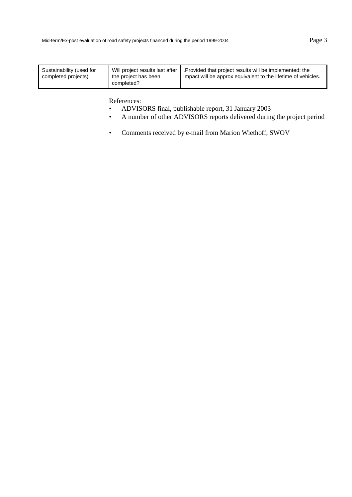- ADVISORS final, publishable report, 31 January 2003
- A number of other ADVISORS reports delivered during the project period
- Comments received by e-mail from Marion Wiethoff, SWOV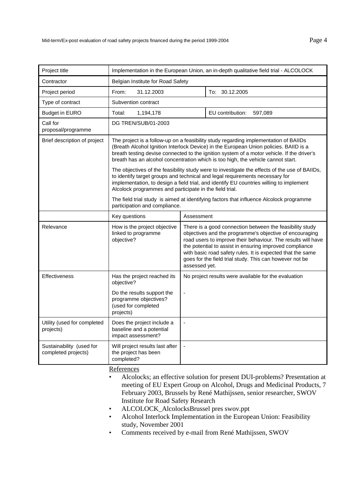| Project title                                   | Implementation in the European Union, an in-depth qualitative field trial - ALCOLOCK                                                                                                                                                                                                                                                                            |                                                                                                                                                                                                                                                                                                                                                                                          |  |
|-------------------------------------------------|-----------------------------------------------------------------------------------------------------------------------------------------------------------------------------------------------------------------------------------------------------------------------------------------------------------------------------------------------------------------|------------------------------------------------------------------------------------------------------------------------------------------------------------------------------------------------------------------------------------------------------------------------------------------------------------------------------------------------------------------------------------------|--|
| Contractor                                      | Belgian Institute for Road Safety                                                                                                                                                                                                                                                                                                                               |                                                                                                                                                                                                                                                                                                                                                                                          |  |
| Project period                                  | From:<br>31.12.2003                                                                                                                                                                                                                                                                                                                                             | To: 30.12.2005                                                                                                                                                                                                                                                                                                                                                                           |  |
| Type of contract                                | Subvention contract                                                                                                                                                                                                                                                                                                                                             |                                                                                                                                                                                                                                                                                                                                                                                          |  |
| <b>Budget in EURO</b>                           | 1,194,178<br>Total:                                                                                                                                                                                                                                                                                                                                             | EU contribution:<br>597,089                                                                                                                                                                                                                                                                                                                                                              |  |
| Call for<br>proposal/programme                  | DG TREN/SUB/01-2003                                                                                                                                                                                                                                                                                                                                             |                                                                                                                                                                                                                                                                                                                                                                                          |  |
| Brief description of project                    | The project is a follow-up on a feasibility study regarding implementation of BAIIDs<br>(Breath Alcohol Ignition Interlock Device) in the European Union policies. BAIID is a<br>breath testing devise connected to the ignition system of a motor vehicle. If the driver's<br>breath has an alcohol concentration which is too high, the vehicle cannot start. |                                                                                                                                                                                                                                                                                                                                                                                          |  |
|                                                 | The objectives of the feasibility study were to investigate the effects of the use of BAIIDs,<br>to identify target groups and technical and legal requirements necessary for<br>implementation, to design a field trial, and identify EU countries willing to implement<br>Alcolock programmes and participate in the field trial.                             |                                                                                                                                                                                                                                                                                                                                                                                          |  |
|                                                 | The field trial study is aimed at identifying factors that influence Alcolock programme<br>participation and compliance.                                                                                                                                                                                                                                        |                                                                                                                                                                                                                                                                                                                                                                                          |  |
|                                                 | Key questions                                                                                                                                                                                                                                                                                                                                                   | Assessment                                                                                                                                                                                                                                                                                                                                                                               |  |
| Relevance                                       | How is the project objective<br>linked to programme<br>objective?                                                                                                                                                                                                                                                                                               | There is a good connection between the feasibility study<br>objectives and the programme's objective of encouraging<br>road users to improve their behaviour. The results will have<br>the potential to assist in ensuring improved compliance<br>with basic road safety rules. It is expected that the same<br>goes for the field trial study. This can however not be<br>assessed yet. |  |
| <b>Effectiveness</b>                            | Has the project reached its<br>objective?                                                                                                                                                                                                                                                                                                                       | No project results were available for the evaluation                                                                                                                                                                                                                                                                                                                                     |  |
|                                                 | Do the results support the<br>programme objectives?<br>(used for completed<br>projects)                                                                                                                                                                                                                                                                         | ÷,                                                                                                                                                                                                                                                                                                                                                                                       |  |
| Utility (used for completed<br>projects)        | Does the project include a<br>baseline and a potential<br>impact assessment?                                                                                                                                                                                                                                                                                    | ÷,                                                                                                                                                                                                                                                                                                                                                                                       |  |
| Sustainability (used for<br>completed projects) | Will project results last after<br>the project has been<br>completed?                                                                                                                                                                                                                                                                                           | $\overline{a}$                                                                                                                                                                                                                                                                                                                                                                           |  |

- Alcolocks; an effective solution for present DUI-problems? Presentation at meeting of EU Expert Group on Alcohol, Drugs and Medicinal Products, 7 February 2003, Brussels by René Mathijssen, senior researcher, SWOV Institute for Road Safety Research
- ALCOLOCK\_AlcolocksBrussel pres swov.ppt
- Alcohol Interlock Implementation in the European Union: Feasibility study, November 2001
- Comments received by e-mail from René Mathijssen, SWOV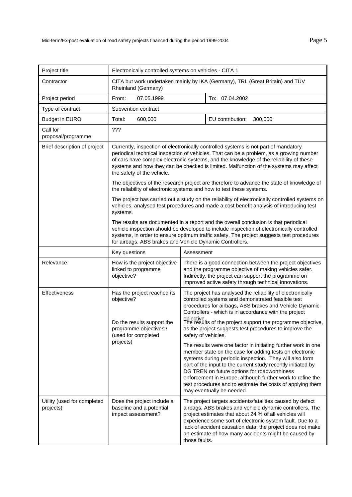| Project title                            | Electronically controlled systems on vehicles - CITA 1                                                                                                                                                                                                                                                                                                                                          |                     |                                                                                                                                                                                                                                                                                                                                                                                                                                                              |
|------------------------------------------|-------------------------------------------------------------------------------------------------------------------------------------------------------------------------------------------------------------------------------------------------------------------------------------------------------------------------------------------------------------------------------------------------|---------------------|--------------------------------------------------------------------------------------------------------------------------------------------------------------------------------------------------------------------------------------------------------------------------------------------------------------------------------------------------------------------------------------------------------------------------------------------------------------|
| Contractor                               | CITA but work undertaken mainly by IKA (Germany), TRL (Great Britain) and TÜV<br>Rheinland (Germany)                                                                                                                                                                                                                                                                                            |                     |                                                                                                                                                                                                                                                                                                                                                                                                                                                              |
| Project period                           | 07.05.1999<br>From:                                                                                                                                                                                                                                                                                                                                                                             |                     | To: 07.04.2002                                                                                                                                                                                                                                                                                                                                                                                                                                               |
| Type of contract                         | Subvention contract                                                                                                                                                                                                                                                                                                                                                                             |                     |                                                                                                                                                                                                                                                                                                                                                                                                                                                              |
| <b>Budget in EURO</b>                    | 600,000<br>Total:                                                                                                                                                                                                                                                                                                                                                                               |                     | EU contribution:<br>300,000                                                                                                                                                                                                                                                                                                                                                                                                                                  |
| Call for<br>proposal/programme           | ???                                                                                                                                                                                                                                                                                                                                                                                             |                     |                                                                                                                                                                                                                                                                                                                                                                                                                                                              |
| Brief description of project             | Currently, inspection of electronically controlled systems is not part of mandatory<br>periodical technical inspection of vehicles. That can be a problem, as a growing number<br>of cars have complex electronic systems, and the knowledge of the reliability of these<br>systems and how they can be checked is limited. Malfunction of the systems may affect<br>the safety of the vehicle. |                     |                                                                                                                                                                                                                                                                                                                                                                                                                                                              |
|                                          | the reliability of electronic systems and how to test these systems.                                                                                                                                                                                                                                                                                                                            |                     | The objectives of the research project are therefore to advance the state of knowledge of                                                                                                                                                                                                                                                                                                                                                                    |
|                                          | systems.                                                                                                                                                                                                                                                                                                                                                                                        |                     | The project has carried out a study on the reliability of electronically controlled systems on<br>vehicles, analysed test procedures and made a cost benefit analysis of introducing test                                                                                                                                                                                                                                                                    |
|                                          | The results are documented in a report and the overall conclusion is that periodical<br>vehicle inspection should be developed to include inspection of electronically controlled<br>systems, in order to ensure optimum traffic safety. The project suggests test procedures<br>for airbags, ABS brakes and Vehicle Dynamic Controllers.                                                       |                     |                                                                                                                                                                                                                                                                                                                                                                                                                                                              |
|                                          | Key questions                                                                                                                                                                                                                                                                                                                                                                                   | Assessment          |                                                                                                                                                                                                                                                                                                                                                                                                                                                              |
| Relevance                                | How is the project objective<br>linked to programme<br>objective?                                                                                                                                                                                                                                                                                                                               |                     | There is a good connection between the project objectives<br>and the programme objective of making vehicles safer.<br>Indirectly, the project can support the programme on<br>improved active safety through technical innovations.                                                                                                                                                                                                                          |
| Effectiveness                            | Has the project reached its<br>objective?<br>Do the results support the<br>programme objectives?<br>(used for completed<br>projects)                                                                                                                                                                                                                                                            | safety of vehicles. | The project has analysed the reliability of electronically<br>controlled systems and demonstrated feasible test<br>procedures for airbags, ABS brakes and Vehicle Dynamic<br>Controllers - which is in accordance with the project<br>objective<br>The results of the project support the programme objective,<br>as the project suggests test procedures to improve the                                                                                     |
|                                          |                                                                                                                                                                                                                                                                                                                                                                                                 |                     | The results were one factor in initiating further work in one<br>member state on the case for adding tests on electronic<br>systems during periodic inspection. They will also form<br>part of the input to the current study recently initiated by<br>DG TREN on future options for roadworthiness<br>enforcement in Europe, although further work to refine the<br>test procedures and to estimate the costs of applying them<br>may eventually be needed. |
| Utility (used for completed<br>projects) | Does the project include a<br>baseline and a potential<br>impact assessment?                                                                                                                                                                                                                                                                                                                    | those faults.       | The project targets accidents/fatalities caused by defect<br>airbags, ABS brakes and vehicle dynamic controllers. The<br>project estimates that about 24 % of all vehicles will<br>experience some sort of electronic system fault. Due to a<br>lack of accident causation data, the project does not make<br>an estimate of how many accidents might be caused by                                                                                           |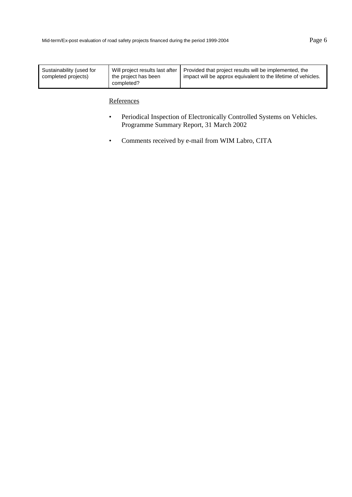| Will project results last after<br>the project has been | Provided that project results will be implemented, the<br>impact will be approx equivalent to the lifetime of vehicles. |
|---------------------------------------------------------|-------------------------------------------------------------------------------------------------------------------------|
|                                                         |                                                                                                                         |
|                                                         | completed?                                                                                                              |

- Periodical Inspection of Electronically Controlled Systems on Vehicles. Programme Summary Report, 31 March 2002
- Comments received by e-mail from WIM Labro, CITA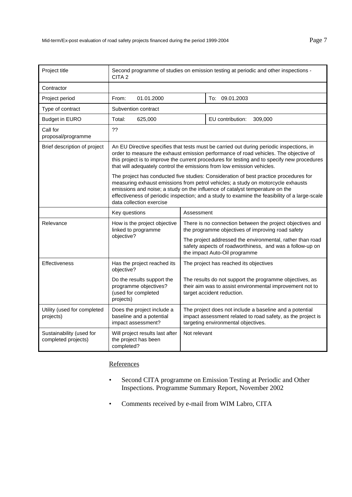| Project title                                   | Second programme of studies on emission testing at periodic and other inspections -<br>CITA <sub>2</sub>                                                                                                                                                                                                                                                                               |                                                                                                                |                                                                                                                                                               |
|-------------------------------------------------|----------------------------------------------------------------------------------------------------------------------------------------------------------------------------------------------------------------------------------------------------------------------------------------------------------------------------------------------------------------------------------------|----------------------------------------------------------------------------------------------------------------|---------------------------------------------------------------------------------------------------------------------------------------------------------------|
| Contractor                                      |                                                                                                                                                                                                                                                                                                                                                                                        |                                                                                                                |                                                                                                                                                               |
| Project period                                  | 01.01.2000<br>From:                                                                                                                                                                                                                                                                                                                                                                    |                                                                                                                | To: 09.01.2003                                                                                                                                                |
| Type of contract                                | Subvention contract                                                                                                                                                                                                                                                                                                                                                                    |                                                                                                                |                                                                                                                                                               |
| <b>Budget in EURO</b>                           | 625,000<br>Total:                                                                                                                                                                                                                                                                                                                                                                      |                                                                                                                | EU contribution:<br>309,000                                                                                                                                   |
| Call for<br>proposal/programme                  | ??                                                                                                                                                                                                                                                                                                                                                                                     |                                                                                                                |                                                                                                                                                               |
| Brief description of project                    | An EU Directive specifies that tests must be carried out during periodic inspections, in<br>order to measure the exhaust emission performance of road vehicles. The objective of<br>this project is to improve the current procedures for testing and to specify new procedures<br>that will adequately control the emissions from low emission vehicles.                              |                                                                                                                |                                                                                                                                                               |
|                                                 | The project has conducted five studies: Consideration of best practice procedures for<br>measuring exhaust emissions from petrol vehicles; a study on motorcycle exhausts<br>emissions and noise; a study on the influence of catalyst temperature on the<br>effectiveness of periodic inspection; and a study to examine the feasibility of a large-scale<br>data collection exercise |                                                                                                                |                                                                                                                                                               |
|                                                 | Key questions<br>Assessment                                                                                                                                                                                                                                                                                                                                                            |                                                                                                                |                                                                                                                                                               |
| Relevance                                       | How is the project objective<br>linked to programme                                                                                                                                                                                                                                                                                                                                    | There is no connection between the project objectives and<br>the programme objectives of improving road safety |                                                                                                                                                               |
|                                                 | objective?                                                                                                                                                                                                                                                                                                                                                                             |                                                                                                                | The project addressed the environmental, rather than road<br>safety aspects of roadworthiness, and was a follow-up on<br>the impact Auto-Oil programme        |
| <b>Effectiveness</b>                            | Has the project reached its<br>objective?                                                                                                                                                                                                                                                                                                                                              |                                                                                                                | The project has reached its objectives                                                                                                                        |
|                                                 | Do the results support the<br>programme objectives?<br>(used for completed<br>projects)                                                                                                                                                                                                                                                                                                |                                                                                                                | The results do not support the programme objectives, as<br>their aim was to assist environmental improvement not to<br>target accident reduction.             |
| Utility (used for completed<br>projects)        | Does the project include a<br>baseline and a potential<br>impact assessment?                                                                                                                                                                                                                                                                                                           |                                                                                                                | The project does not include a baseline and a potential<br>impact assessment related to road safety, as the project is<br>targeting environmental objectives. |
| Sustainability (used for<br>completed projects) | Will project results last after<br>the project has been<br>completed?                                                                                                                                                                                                                                                                                                                  | Not relevant                                                                                                   |                                                                                                                                                               |

- Second CITA programme on Emission Testing at Periodic and Other Inspections. Programme Summary Report, November 2002
- Comments received by e-mail from WIM Labro, CITA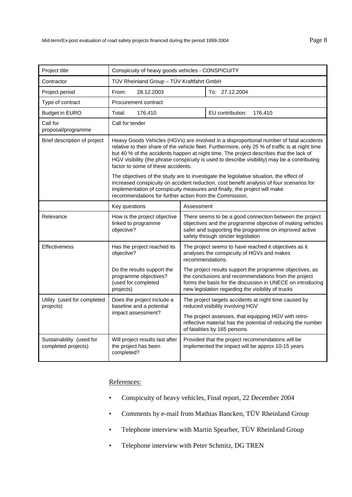| Project title                                   | Conspicuity of heavy goods vehicles - CONSPICUITY                                                                                                                                                                                                                                                                                                                                                                                                                                                                                                                                                                  |  |                                                                                                                                                                                                                                      |
|-------------------------------------------------|--------------------------------------------------------------------------------------------------------------------------------------------------------------------------------------------------------------------------------------------------------------------------------------------------------------------------------------------------------------------------------------------------------------------------------------------------------------------------------------------------------------------------------------------------------------------------------------------------------------------|--|--------------------------------------------------------------------------------------------------------------------------------------------------------------------------------------------------------------------------------------|
| Contractor                                      | TÜV Rheinland Group - TÜV Kraftfahrt GmbH                                                                                                                                                                                                                                                                                                                                                                                                                                                                                                                                                                          |  |                                                                                                                                                                                                                                      |
| Project period                                  | From:<br>28.12.2003                                                                                                                                                                                                                                                                                                                                                                                                                                                                                                                                                                                                |  | To: 27.12.2004                                                                                                                                                                                                                       |
| Type of contract                                | Procurement contract                                                                                                                                                                                                                                                                                                                                                                                                                                                                                                                                                                                               |  |                                                                                                                                                                                                                                      |
| <b>Budget in EURO</b>                           | 176,410<br>Total:                                                                                                                                                                                                                                                                                                                                                                                                                                                                                                                                                                                                  |  | EU contribution:<br>176,410                                                                                                                                                                                                          |
| Call for<br>proposal/programme                  | Call for tender                                                                                                                                                                                                                                                                                                                                                                                                                                                                                                                                                                                                    |  |                                                                                                                                                                                                                                      |
| Brief description of project                    | Heavy Goods Vehicles (HGVs) are involved in a disproportional number of fatal accidents<br>relative to their share of the vehicle fleet. Furthermore, only 25 % of traffic is at night time<br>but 40 % of the accidents happen at night time. The project describes that the lack of<br>HGV visibility (the phrase conspicuity is used to describe visibility) may be a contributing<br>factor to some of these accidents.<br>The objectives of the study are to investigate the legislative situation, the effect of<br>increased conspicuity on accident reduction, cost benefit analysis of four scenarios for |  |                                                                                                                                                                                                                                      |
|                                                 | implementation of conspicuity measures and finally, the project will make<br>recommendations for further action from the Commission.                                                                                                                                                                                                                                                                                                                                                                                                                                                                               |  |                                                                                                                                                                                                                                      |
|                                                 | Key questions<br>Assessment                                                                                                                                                                                                                                                                                                                                                                                                                                                                                                                                                                                        |  |                                                                                                                                                                                                                                      |
| Relevance                                       | How is the project objective<br>linked to programme<br>objective?                                                                                                                                                                                                                                                                                                                                                                                                                                                                                                                                                  |  | There seems to be a good connection between the project<br>objectives and the programme objective of making vehicles<br>safer and supporting the programme on improved active<br>safety through stricter legislation                 |
| <b>Effectiveness</b>                            | Has the project reached its<br>objective?                                                                                                                                                                                                                                                                                                                                                                                                                                                                                                                                                                          |  | The project seems to have reached it objectives as it<br>analyses the conspicuity of HGVs and makes<br>recommendations.                                                                                                              |
|                                                 | Do the results support the<br>programme objectives?<br>(used for completed<br>projects)                                                                                                                                                                                                                                                                                                                                                                                                                                                                                                                            |  | The project results support the programme objectives, as<br>the conclusions and recommendations from the project<br>forms the basis for the discussion in UNECE on introducing<br>new legislation regarding the visibility of trucks |
| Utility (used for completed<br>projects)        | Does the project include a<br>baseline and a potential                                                                                                                                                                                                                                                                                                                                                                                                                                                                                                                                                             |  | The project targets accidents at night time caused by<br>reduced visibility involving HGV                                                                                                                                            |
|                                                 | impact assessment?                                                                                                                                                                                                                                                                                                                                                                                                                                                                                                                                                                                                 |  | The project assesses, that equipping HGV with retro-<br>reflective material has the potential of reducing the number<br>of fatalities by 165 persons.                                                                                |
| Sustainability (used for<br>completed projects) | Will project results last after<br>the project has been<br>completed?                                                                                                                                                                                                                                                                                                                                                                                                                                                                                                                                              |  | Provided that the project recommendations will be<br>implemented the impact will be approx 10-15 years                                                                                                                               |

- Conspicuity of heavy vehicles, Final report, 22 December 2004
- Comments by e-mail from Mathias Bancken, TÜV Rheinland Group
- Telephone interview with Martin Spearber, TÜV Rheinland Group
- Telephone interview with Peter Schmitz, DG TREN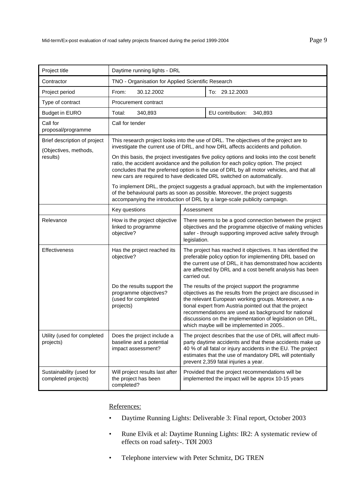| Project title                                         | Daytime running lights - DRL                                                                                                                                                                                                                                                                                                                                                                                                                                                                                                           |              |                                                                                                                                                                                                                                                                                                                                                                                                   |
|-------------------------------------------------------|----------------------------------------------------------------------------------------------------------------------------------------------------------------------------------------------------------------------------------------------------------------------------------------------------------------------------------------------------------------------------------------------------------------------------------------------------------------------------------------------------------------------------------------|--------------|---------------------------------------------------------------------------------------------------------------------------------------------------------------------------------------------------------------------------------------------------------------------------------------------------------------------------------------------------------------------------------------------------|
| Contractor                                            | TNO - Organisation for Applied Scientific Research                                                                                                                                                                                                                                                                                                                                                                                                                                                                                     |              |                                                                                                                                                                                                                                                                                                                                                                                                   |
| Project period                                        | 30.12.2002<br>From:                                                                                                                                                                                                                                                                                                                                                                                                                                                                                                                    |              | To: 29.12.2003                                                                                                                                                                                                                                                                                                                                                                                    |
| Type of contract                                      | Procurement contract                                                                                                                                                                                                                                                                                                                                                                                                                                                                                                                   |              |                                                                                                                                                                                                                                                                                                                                                                                                   |
| <b>Budget in EURO</b>                                 | Total:<br>340,893                                                                                                                                                                                                                                                                                                                                                                                                                                                                                                                      |              | EU contribution:<br>340,893                                                                                                                                                                                                                                                                                                                                                                       |
| Call for<br>proposal/programme                        | Call for tender                                                                                                                                                                                                                                                                                                                                                                                                                                                                                                                        |              |                                                                                                                                                                                                                                                                                                                                                                                                   |
| Brief description of project<br>(Objectives, methods, | This research project looks into the use of DRL. The objectives of the project are to<br>investigate the current use of DRL, and how DRL affects accidents and pollution.<br>On this basis, the project investigates five policy options and looks into the cost benefit<br>ratio, the accident avoidance and the pollution for each policy option. The project<br>concludes that the preferred option is the use of DRL by all motor vehicles, and that all<br>new cars are required to have dedicated DRL switched on automatically. |              |                                                                                                                                                                                                                                                                                                                                                                                                   |
| results)                                              |                                                                                                                                                                                                                                                                                                                                                                                                                                                                                                                                        |              |                                                                                                                                                                                                                                                                                                                                                                                                   |
|                                                       | To implement DRL, the project suggests a gradual approach, but with the implementation<br>of the behavioural parts as soon as possible. Moreover, the project suggests<br>accompanying the introduction of DRL by a large-scale publicity campaign.                                                                                                                                                                                                                                                                                    |              |                                                                                                                                                                                                                                                                                                                                                                                                   |
|                                                       | Key questions<br>Assessment                                                                                                                                                                                                                                                                                                                                                                                                                                                                                                            |              |                                                                                                                                                                                                                                                                                                                                                                                                   |
| Relevance                                             | How is the project objective<br>linked to programme<br>objective?                                                                                                                                                                                                                                                                                                                                                                                                                                                                      | legislation. | There seems to be a good connection between the project<br>objectives and the programme objective of making vehicles<br>safer - through supporting improved active safety through                                                                                                                                                                                                                 |
| Effectiveness                                         | Has the project reached its<br>objective?                                                                                                                                                                                                                                                                                                                                                                                                                                                                                              | carried out. | The project has reached it objectives. It has identified the<br>preferable policy option for implementing DRL based on<br>the current use of DRL, it has demonstrated how accidents<br>are affected by DRL and a cost benefit analysis has been                                                                                                                                                   |
|                                                       | Do the results support the<br>programme objectives?<br>(used for completed<br>projects)                                                                                                                                                                                                                                                                                                                                                                                                                                                |              | The results of the project support the programme<br>objectives as the results from the project are discussed in<br>the relevant European working groups. Moreover, a na-<br>tional expert from Austria pointed out that the project<br>recommendations are used as background for national<br>discussions on the implementation of legislation on DRL,<br>which maybe will be implemented in 2005 |
| Utility (used for completed<br>projects)              | Does the project include a<br>baseline and a potential<br>impact assessment?                                                                                                                                                                                                                                                                                                                                                                                                                                                           |              | The project describes that the use of DRL will affect multi-<br>party daytime accidents and that these accidents make up<br>40 % of all fatal or injury accidents in the EU. The project<br>estimates that the use of mandatory DRL will potentially<br>prevent 2,359 fatal injuries a year.                                                                                                      |
| Sustainability (used for<br>completed projects)       | Will project results last after<br>the project has been<br>completed?                                                                                                                                                                                                                                                                                                                                                                                                                                                                  |              | Provided that the project recommendations will be<br>implemented the impact will be approx 10-15 years                                                                                                                                                                                                                                                                                            |

- Daytime Running Lights: Deliverable 3: Final report, October 2003
- Rune Elvik et al: Daytime Running Lights: IR2: A systematic review of effects on road safety-. TØI 2003
- Telephone interview with Peter Schmitz, DG TREN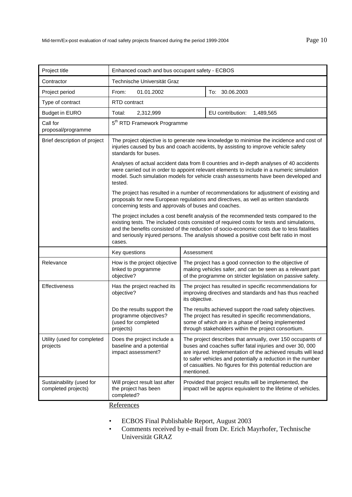| Project title                                   | Enhanced coach and bus occupant safety - ECBOS                                                                                                                                                                                                                                                                                                                                       |                |                                                                                                                                                                                                                                                                                                                      |
|-------------------------------------------------|--------------------------------------------------------------------------------------------------------------------------------------------------------------------------------------------------------------------------------------------------------------------------------------------------------------------------------------------------------------------------------------|----------------|----------------------------------------------------------------------------------------------------------------------------------------------------------------------------------------------------------------------------------------------------------------------------------------------------------------------|
| Contractor                                      | Technische Universität Graz                                                                                                                                                                                                                                                                                                                                                          |                |                                                                                                                                                                                                                                                                                                                      |
| Project period                                  | 01.01.2002<br>From:                                                                                                                                                                                                                                                                                                                                                                  |                | To: 30.06.2003                                                                                                                                                                                                                                                                                                       |
| Type of contract                                | RTD contract                                                                                                                                                                                                                                                                                                                                                                         |                |                                                                                                                                                                                                                                                                                                                      |
| <b>Budget in EURO</b>                           | Total:<br>2,312,999                                                                                                                                                                                                                                                                                                                                                                  |                | EU contribution:<br>1,489,565                                                                                                                                                                                                                                                                                        |
| Call for<br>proposal/programme                  | 5 <sup>th</sup> RTD Framework Programme                                                                                                                                                                                                                                                                                                                                              |                |                                                                                                                                                                                                                                                                                                                      |
| Brief description of project                    | The project objective is to generate new knowledge to minimise the incidence and cost of<br>injuries caused by bus and coach accidents, by assisting to improve vehicle safety<br>standards for buses.                                                                                                                                                                               |                |                                                                                                                                                                                                                                                                                                                      |
|                                                 | tested.                                                                                                                                                                                                                                                                                                                                                                              |                | Analyses of actual accident data from 8 countries and in-depth analyses of 40 accidents<br>were carried out in order to appoint relevant elements to include in a numeric simulation<br>model. Such simulation models for vehicle crash assessments have been developed and                                          |
|                                                 | The project has resulted in a number of recommendations for adjustment of existing and<br>proposals for new European regulations and directives, as well as written standards<br>concerning tests and approvals of buses and coaches.                                                                                                                                                |                |                                                                                                                                                                                                                                                                                                                      |
|                                                 | The project includes a cost benefit analysis of the recommended tests compared to the<br>existing tests. The included costs consisted of required costs for tests and simulations,<br>and the benefits consisted of the reduction of socio-economic costs due to less fatalities<br>and seriously injured persons. The analysis showed a positive cost befit ratio in most<br>cases. |                |                                                                                                                                                                                                                                                                                                                      |
|                                                 | Key questions                                                                                                                                                                                                                                                                                                                                                                        | Assessment     |                                                                                                                                                                                                                                                                                                                      |
| Relevance                                       | How is the project objective<br>linked to programme<br>objective?                                                                                                                                                                                                                                                                                                                    |                | The project has a good connection to the objective of<br>making vehicles safer, and can be seen as a relevant part<br>of the programme on stricter legislation on passive safety.                                                                                                                                    |
| Effectiveness                                   | Has the project reached its<br>objective?                                                                                                                                                                                                                                                                                                                                            | its objective. | The project has resulted in specific recommendations for<br>improving directives and standards and has thus reached                                                                                                                                                                                                  |
|                                                 | Do the results support the<br>programme objectives?<br>(used for completed<br>projects)                                                                                                                                                                                                                                                                                              |                | The results achieved support the road safety objectives.<br>The project has resulted in specific recommendations,<br>some of which are in a phase of being implemented<br>through stakeholders within the project consortium.                                                                                        |
| Utility (used for completed<br>projects         | Does the project include a<br>baseline and a potential<br>impact assessment?                                                                                                                                                                                                                                                                                                         | mentioned.     | The project describes that annually, over 150 occupants of<br>buses and coaches suffer fatal injuries and over 30, 000<br>are injured. Implementation of the achieved results will lead<br>to safer vehicles and potentially a reduction in the number<br>of casualties. No figures for this potential reduction are |
| Sustainability (used for<br>completed projects) | Will project result last after<br>the project has been<br>completed?<br>$\mathbf{c}$                                                                                                                                                                                                                                                                                                 |                | Provided that project results will be implemented, the<br>impact will be approx equivalent to the lifetime of vehicles.                                                                                                                                                                                              |

- ECBOS Final Publishable Report, August 2003
- Comments received by e-mail from Dr. Erich Mayrhofer, Technische Universität GRAZ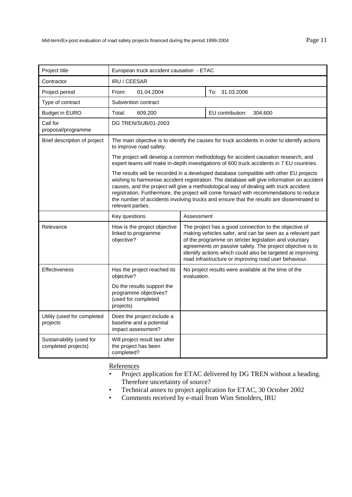| Project title                                   | European truck accident causation - ETAC                                                                                                                                                                                                                                                                                                                                                                                                                                                  |             |                                                                                                                                                                                                                                                                                                                                                                  |
|-------------------------------------------------|-------------------------------------------------------------------------------------------------------------------------------------------------------------------------------------------------------------------------------------------------------------------------------------------------------------------------------------------------------------------------------------------------------------------------------------------------------------------------------------------|-------------|------------------------------------------------------------------------------------------------------------------------------------------------------------------------------------------------------------------------------------------------------------------------------------------------------------------------------------------------------------------|
| Contractor                                      | IRU / CEESAR                                                                                                                                                                                                                                                                                                                                                                                                                                                                              |             |                                                                                                                                                                                                                                                                                                                                                                  |
| Project period                                  | From:<br>01.04.2004                                                                                                                                                                                                                                                                                                                                                                                                                                                                       |             | To: 31.03.2006                                                                                                                                                                                                                                                                                                                                                   |
| Type of contract                                | Subvention contract                                                                                                                                                                                                                                                                                                                                                                                                                                                                       |             |                                                                                                                                                                                                                                                                                                                                                                  |
| <b>Budget in EURO</b>                           | Total:<br>609,200                                                                                                                                                                                                                                                                                                                                                                                                                                                                         |             | EU contribution:<br>304,600                                                                                                                                                                                                                                                                                                                                      |
| Call for<br>proposal/programme                  | DG TREN/SUB/01-2003                                                                                                                                                                                                                                                                                                                                                                                                                                                                       |             |                                                                                                                                                                                                                                                                                                                                                                  |
| Brief description of project                    | The main objective is to identify the causes for truck accidents in order to identify actions<br>to improve road safety.                                                                                                                                                                                                                                                                                                                                                                  |             |                                                                                                                                                                                                                                                                                                                                                                  |
|                                                 |                                                                                                                                                                                                                                                                                                                                                                                                                                                                                           |             | The project will develop a common methodology for accident causation research, and<br>expert teams will make in-depth investigations of 600 truck accidents in 7 EU countries.                                                                                                                                                                                   |
|                                                 | The results will be recorded in a developed database compatible with other EU projects<br>wishing to harmonise accident registration. The database will give information on accident<br>causes, and the project will give a methodological way of dealing with truck accident<br>registration. Furthermore, the project will come forward with recommendations to reduce<br>the number of accidents involving trucks and ensure that the results are disseminated to<br>relevant parties. |             |                                                                                                                                                                                                                                                                                                                                                                  |
|                                                 | Key questions                                                                                                                                                                                                                                                                                                                                                                                                                                                                             | Assessment  |                                                                                                                                                                                                                                                                                                                                                                  |
| Relevance                                       | How is the project objective<br>linked to programme<br>objective?                                                                                                                                                                                                                                                                                                                                                                                                                         |             | The project has a good connection to the objective of<br>making vehicles safer, and can be seen as a relevant part<br>of the programme on stricter legislation and voluntary<br>agreements on passive safety. The project objective is to<br>identify actions which could also be targeted at improving<br>road infrastructure or improving road user behaviour. |
| <b>Effectiveness</b>                            | Has the project reached its<br>objective?                                                                                                                                                                                                                                                                                                                                                                                                                                                 | evaluation. | No project results were available at the time of the                                                                                                                                                                                                                                                                                                             |
|                                                 | Do the results support the<br>programme objectives?<br>(used for completed<br>projects)                                                                                                                                                                                                                                                                                                                                                                                                   |             |                                                                                                                                                                                                                                                                                                                                                                  |
| Utility (used for completed<br>projects         | Does the project include a<br>baseline and a potential<br>impact assessment?                                                                                                                                                                                                                                                                                                                                                                                                              |             |                                                                                                                                                                                                                                                                                                                                                                  |
| Sustainability (used for<br>completed projects) | Will project result last after<br>the project has been<br>completed?                                                                                                                                                                                                                                                                                                                                                                                                                      |             |                                                                                                                                                                                                                                                                                                                                                                  |

- Project application for ETAC delivered by DG TREN without a heading. Therefore uncertainty of source?
- Technical annex to project application for ETAC, 30 October 2002
- Comments received by e-mail from Wim Smolders, IRU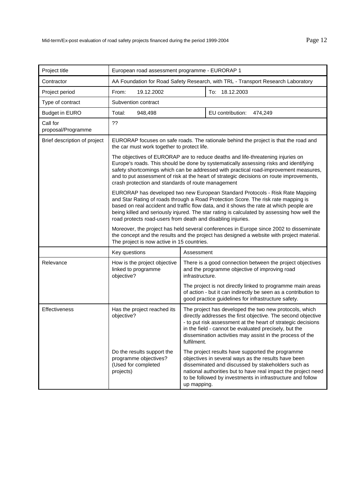| Project title                  | European road assessment programme - EURORAP 1                                                                                                                                                                                                                                                                                                                                                                               |                                                                                                                                                                                                                                                                                                                                                                                                                    |  |  |
|--------------------------------|------------------------------------------------------------------------------------------------------------------------------------------------------------------------------------------------------------------------------------------------------------------------------------------------------------------------------------------------------------------------------------------------------------------------------|--------------------------------------------------------------------------------------------------------------------------------------------------------------------------------------------------------------------------------------------------------------------------------------------------------------------------------------------------------------------------------------------------------------------|--|--|
| Contractor                     | AA Foundation for Road Safety Research, with TRL - Transport Research Laboratory                                                                                                                                                                                                                                                                                                                                             |                                                                                                                                                                                                                                                                                                                                                                                                                    |  |  |
| Project period                 | From:<br>19.12.2002                                                                                                                                                                                                                                                                                                                                                                                                          | To: 18.12.2003                                                                                                                                                                                                                                                                                                                                                                                                     |  |  |
| Type of contract               | Subvention contract                                                                                                                                                                                                                                                                                                                                                                                                          |                                                                                                                                                                                                                                                                                                                                                                                                                    |  |  |
| <b>Budget in EURO</b>          | Total:<br>948,498                                                                                                                                                                                                                                                                                                                                                                                                            | EU contribution:<br>474,249                                                                                                                                                                                                                                                                                                                                                                                        |  |  |
| Call for<br>proposal/Programme | ??                                                                                                                                                                                                                                                                                                                                                                                                                           |                                                                                                                                                                                                                                                                                                                                                                                                                    |  |  |
| Brief description of project   | EURORAP focuses on safe roads. The rationale behind the project is that the road and<br>the car must work together to protect life.                                                                                                                                                                                                                                                                                          |                                                                                                                                                                                                                                                                                                                                                                                                                    |  |  |
|                                |                                                                                                                                                                                                                                                                                                                                                                                                                              | The objectives of EURORAP are to reduce deaths and life-threatening injuries on<br>Europe's roads. This should be done by systematically assessing risks and identifying<br>safety shortcomings which can be addressed with practical road-improvement measures,<br>and to put assessment of risk at the heart of strategic decisions on route improvements,<br>crash protection and standards of route management |  |  |
|                                | EURORAP has developed two new European Standard Protocols - Risk Rate Mapping<br>and Star Rating of roads through a Road Protection Score. The risk rate mapping is<br>based on real accident and traffic flow data, and it shows the rate at which people are<br>being killed and seriously injured. The star rating is calculated by assessing how well the<br>road protects road-users from death and disabling injuries. |                                                                                                                                                                                                                                                                                                                                                                                                                    |  |  |
|                                | The project is now active in 15 countries.                                                                                                                                                                                                                                                                                                                                                                                   | Moreover, the project has held several conferences in Europe since 2002 to disseminate<br>the concept and the results and the project has designed a website with project material.                                                                                                                                                                                                                                |  |  |
|                                | Key questions                                                                                                                                                                                                                                                                                                                                                                                                                | Assessment                                                                                                                                                                                                                                                                                                                                                                                                         |  |  |
| Relevance                      | How is the project objective<br>linked to programme<br>objective?                                                                                                                                                                                                                                                                                                                                                            | There is a good connection between the project objectives<br>and the programme objective of improving road<br>infrastructure.                                                                                                                                                                                                                                                                                      |  |  |
|                                |                                                                                                                                                                                                                                                                                                                                                                                                                              | The project is not directly linked to programme main areas<br>of action - but it can indirectly be seen as a contribution to<br>good practice guidelines for infrastructure safety.                                                                                                                                                                                                                                |  |  |
| <b>Effectiveness</b>           | Has the project reached its<br>objective?                                                                                                                                                                                                                                                                                                                                                                                    | The project has developed the two new protocols, which<br>directly addresses the first objective. The second objective<br>- to put risk assessment at the heart of strategic decisions<br>in the field - cannot be evaluated precisely, but the<br>dissemination activities may assist in the process of the<br>fulfilment.                                                                                        |  |  |
|                                | Do the results support the<br>programme objectives?<br>(Used for completed<br>projects)                                                                                                                                                                                                                                                                                                                                      | The project results have supported the programme<br>objectives in several ways as the results have been<br>disseminated and discussed by stakeholders such as<br>national authorities but to have real impact the project need<br>to be followed by investments in infrastructure and follow<br>up mapping.                                                                                                        |  |  |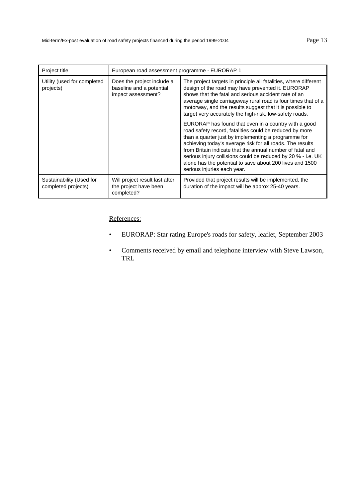| Project title                                                                                                            | European road assessment programme - EURORAP 1                                                                                                                                                                                                                                                                                                                                                                                                              |                                                                                                              |  |
|--------------------------------------------------------------------------------------------------------------------------|-------------------------------------------------------------------------------------------------------------------------------------------------------------------------------------------------------------------------------------------------------------------------------------------------------------------------------------------------------------------------------------------------------------------------------------------------------------|--------------------------------------------------------------------------------------------------------------|--|
| Utility (used for completed<br>Does the project include a<br>baseline and a potential<br>projects)<br>impact assessment? | The project targets in principle all fatalities, where different<br>design of the road may have prevented it. EURORAP<br>shows that the fatal and serious accident rate of an<br>average single carriageway rural road is four times that of a<br>motorway, and the results suggest that it is possible to<br>target very accurately the high-risk, low-safety roads.                                                                                       |                                                                                                              |  |
|                                                                                                                          | EURORAP has found that even in a country with a good<br>road safety record, fatalities could be reduced by more<br>than a quarter just by implementing a programme for<br>achieving today's average risk for all roads. The results<br>from Britain indicate that the annual number of fatal and<br>serious injury collisions could be reduced by 20 % - i.e. UK<br>alone has the potential to save about 200 lives and 1500<br>serious injuries each year. |                                                                                                              |  |
| Sustainability (Used for<br>completed projects)                                                                          | Will project result last after<br>the project have been<br>completed?                                                                                                                                                                                                                                                                                                                                                                                       | Provided that project results will be implemented, the<br>duration of the impact will be approx 25-40 years. |  |

- EURORAP: Star rating Europe's roads for safety, leaflet, September 2003
- Comments received by email and telephone interview with Steve Lawson, TRL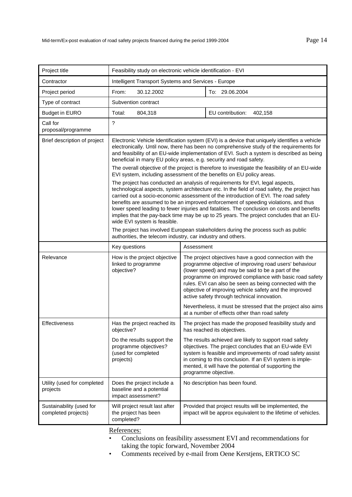| Project title                                   | Feasibility study on electronic vehicle identification - EVI                                                                                                                                                                                                                                                                                                                                                                                                                                                                                                                         |                                                                                                                                                                                                                                                                                                                                                                                                      |  |
|-------------------------------------------------|--------------------------------------------------------------------------------------------------------------------------------------------------------------------------------------------------------------------------------------------------------------------------------------------------------------------------------------------------------------------------------------------------------------------------------------------------------------------------------------------------------------------------------------------------------------------------------------|------------------------------------------------------------------------------------------------------------------------------------------------------------------------------------------------------------------------------------------------------------------------------------------------------------------------------------------------------------------------------------------------------|--|
| Contractor                                      | Intelligent Transport Systems and Services - Europe                                                                                                                                                                                                                                                                                                                                                                                                                                                                                                                                  |                                                                                                                                                                                                                                                                                                                                                                                                      |  |
| Project period                                  | From:<br>30.12.2002                                                                                                                                                                                                                                                                                                                                                                                                                                                                                                                                                                  | To: 29.06.2004                                                                                                                                                                                                                                                                                                                                                                                       |  |
| Type of contract                                | Subvention contract                                                                                                                                                                                                                                                                                                                                                                                                                                                                                                                                                                  |                                                                                                                                                                                                                                                                                                                                                                                                      |  |
| <b>Budget in EURO</b>                           | Total:<br>804,318                                                                                                                                                                                                                                                                                                                                                                                                                                                                                                                                                                    | EU contribution:<br>402,158                                                                                                                                                                                                                                                                                                                                                                          |  |
| Call for<br>proposal/programme                  | ?                                                                                                                                                                                                                                                                                                                                                                                                                                                                                                                                                                                    |                                                                                                                                                                                                                                                                                                                                                                                                      |  |
| Brief description of project                    | Electronic Vehicle Identification system (EVI) is a device that uniquely identifies a vehicle<br>electronically. Until now, there has been no comprehensive study of the requirements for<br>and feasibility of an EU-wide implementation of EVI. Such a system is described as being<br>beneficial in many EU policy areas, e.g. security and road safety.                                                                                                                                                                                                                          |                                                                                                                                                                                                                                                                                                                                                                                                      |  |
|                                                 |                                                                                                                                                                                                                                                                                                                                                                                                                                                                                                                                                                                      | The overall objective of the project is therefore to investigate the feasibility of an EU-wide<br>EVI system, including assessment of the benefits on EU policy areas.                                                                                                                                                                                                                               |  |
|                                                 | The project has conducted an analysis of requirements for EVI, legal aspects,<br>technological aspects, system architecture etc. In the field of road safety, the project has<br>carried out a socio-economic assessment of the introduction of EVI. The road safety<br>benefits are assumed to be an improved enforcement of speeding violations, and thus<br>lower speed leading to fewer injuries and fatalities. The conclusion on costs and benefits<br>implies that the pay-back time may be up to 25 years. The project concludes that an EU-<br>wide EVI system is feasible. |                                                                                                                                                                                                                                                                                                                                                                                                      |  |
|                                                 | authorities, the telecom industry, car industry and others.                                                                                                                                                                                                                                                                                                                                                                                                                                                                                                                          | The project has involved European stakeholders during the process such as public                                                                                                                                                                                                                                                                                                                     |  |
|                                                 | Key questions<br>Assessment                                                                                                                                                                                                                                                                                                                                                                                                                                                                                                                                                          |                                                                                                                                                                                                                                                                                                                                                                                                      |  |
| Relevance                                       | How is the project objective<br>linked to programme<br>objective?                                                                                                                                                                                                                                                                                                                                                                                                                                                                                                                    | The project objectives have a good connection with the<br>programme objective of improving road users' behaviour<br>(lower speed) and may be said to be a part of the<br>programme on improved compliance with basic road safety<br>rules. EVI can also be seen as being connected with the<br>objective of improving vehicle safety and the improved<br>active safety through technical innovation. |  |
|                                                 |                                                                                                                                                                                                                                                                                                                                                                                                                                                                                                                                                                                      | Nevertheless, it must be stressed that the project also aims<br>at a number of effects other than road safety                                                                                                                                                                                                                                                                                        |  |
| <b>Effectiveness</b>                            | Has the project reached its<br>objective?                                                                                                                                                                                                                                                                                                                                                                                                                                                                                                                                            | The project has made the proposed feasibility study and<br>has reached its objectives.                                                                                                                                                                                                                                                                                                               |  |
|                                                 | Do the results support the<br>programme objectives?<br>(used for completed<br>projects)                                                                                                                                                                                                                                                                                                                                                                                                                                                                                              | The results achieved are likely to support road safety<br>objectives. The project concludes that an EU-wide EVI<br>system is feasible and improvements of road safety assist<br>in coming to this conclusion. If an EVI system is imple-<br>mented, it will have the potential of supporting the<br>programme objective.                                                                             |  |
| Utility (used for completed<br>projects         | Does the project include a<br>baseline and a potential<br>impact assessment?                                                                                                                                                                                                                                                                                                                                                                                                                                                                                                         | No description has been found.                                                                                                                                                                                                                                                                                                                                                                       |  |
| Sustainability (used for<br>completed projects) | Will project result last after<br>the project has been<br>completed?                                                                                                                                                                                                                                                                                                                                                                                                                                                                                                                 | Provided that project results will be implemented, the<br>impact will be approx equivalent to the lifetime of vehicles.                                                                                                                                                                                                                                                                              |  |

- Conclusions on feasibility assessment EVI and recommendations for taking the topic forward, November 2004
- Comments received by e-mail from Oene Kerstjens, ERTICO SC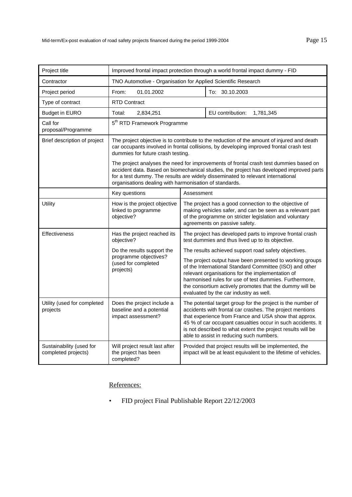| Project title                                   | Improved frontal impact protection through a world frontal impact dummy - FID                                                                                                                                                                                                                                                 |                                                                                                                                                                                                                                                                                                                                                            |  |
|-------------------------------------------------|-------------------------------------------------------------------------------------------------------------------------------------------------------------------------------------------------------------------------------------------------------------------------------------------------------------------------------|------------------------------------------------------------------------------------------------------------------------------------------------------------------------------------------------------------------------------------------------------------------------------------------------------------------------------------------------------------|--|
| Contractor                                      | TNO Automotive - Organisation for Applied Scientific Research                                                                                                                                                                                                                                                                 |                                                                                                                                                                                                                                                                                                                                                            |  |
| Project period                                  | From:<br>01.01.2002                                                                                                                                                                                                                                                                                                           | To: 30.10.2003                                                                                                                                                                                                                                                                                                                                             |  |
| Type of contract                                | <b>RTD Contract</b>                                                                                                                                                                                                                                                                                                           |                                                                                                                                                                                                                                                                                                                                                            |  |
| <b>Budget in EURO</b>                           | 2,834,251<br>Total:                                                                                                                                                                                                                                                                                                           | EU contribution:<br>1,781,345                                                                                                                                                                                                                                                                                                                              |  |
| Call for<br>proposal/Programme                  | 5 <sup>th</sup> RTD Framework Programme                                                                                                                                                                                                                                                                                       |                                                                                                                                                                                                                                                                                                                                                            |  |
| Brief description of project                    | The project objective is to contribute to the reduction of the amount of injured and death<br>car occupants involved in frontal collisions, by developing improved frontal crash test<br>dummies for future crash testing.                                                                                                    |                                                                                                                                                                                                                                                                                                                                                            |  |
|                                                 | The project analyses the need for improvements of frontal crash test dummies based on<br>accident data. Based on biomechanical studies, the project has developed improved parts<br>for a test dummy. The results are widely disseminated to relevant international<br>organisations dealing with harmonisation of standards. |                                                                                                                                                                                                                                                                                                                                                            |  |
|                                                 | Key questions                                                                                                                                                                                                                                                                                                                 | Assessment                                                                                                                                                                                                                                                                                                                                                 |  |
| Utility                                         | How is the project objective<br>linked to programme<br>objective?                                                                                                                                                                                                                                                             | The project has a good connection to the objective of<br>making vehicles safer, and can be seen as a relevant part<br>of the programme on stricter legislation and voluntary<br>agreements on passive safety.                                                                                                                                              |  |
| Effectiveness                                   | Has the project reached its<br>objective?                                                                                                                                                                                                                                                                                     | The project has developed parts to improve frontal crash<br>test dummies and thus lived up to its objective.                                                                                                                                                                                                                                               |  |
|                                                 | Do the results support the                                                                                                                                                                                                                                                                                                    | The results achieved support road safety objectives.                                                                                                                                                                                                                                                                                                       |  |
|                                                 | programme objectives?<br>(used for completed<br>projects)                                                                                                                                                                                                                                                                     | The project output have been presented to working groups<br>of the International Standard Committee (ISO) and other<br>relevant organisations for the implementation of<br>harmonised rules for use of test dummies. Furthermore,<br>the consortium actively promotes that the dummy will be<br>evaluated by the car industry as well.                     |  |
| Utility (used for completed<br>projects         | Does the project include a<br>baseline and a potential<br>impact assessment?                                                                                                                                                                                                                                                  | The potential target group for the project is the number of<br>accidents with frontal car crashes. The project mentions<br>that experience from France and USA show that approx.<br>45 % of car occupant casualties occur in such accidents. It<br>is not described to what extent the project results will be<br>able to assist in reducing such numbers. |  |
| Sustainability (used for<br>completed projects) | Will project result last after<br>the project has been<br>completed?                                                                                                                                                                                                                                                          | Provided that project results will be implemented, the<br>impact will be at least equivalent to the lifetime of vehicles.                                                                                                                                                                                                                                  |  |

• FID project Final Publishable Report 22/12/2003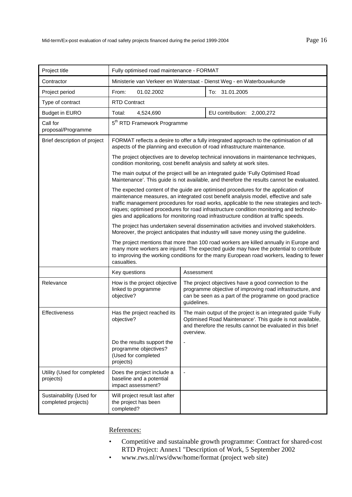| Project title                                   | Fully optimised road maintenance - FORMAT                                                                                                                                                                                                                                                                                                                                                                                                                |             |                                                                                                                                                                                          |  |
|-------------------------------------------------|----------------------------------------------------------------------------------------------------------------------------------------------------------------------------------------------------------------------------------------------------------------------------------------------------------------------------------------------------------------------------------------------------------------------------------------------------------|-------------|------------------------------------------------------------------------------------------------------------------------------------------------------------------------------------------|--|
| Contractor                                      | Ministerie van Verkeer en Waterstaat - Dienst Weg - en Waterbouwkunde                                                                                                                                                                                                                                                                                                                                                                                    |             |                                                                                                                                                                                          |  |
| Project period                                  | From:<br>01.02.2002<br>To: 31.01.2005                                                                                                                                                                                                                                                                                                                                                                                                                    |             |                                                                                                                                                                                          |  |
| Type of contract                                | <b>RTD Contract</b>                                                                                                                                                                                                                                                                                                                                                                                                                                      |             |                                                                                                                                                                                          |  |
| <b>Budget in EURO</b>                           | Total:<br>4,524,690<br>EU contribution: 2,000,272                                                                                                                                                                                                                                                                                                                                                                                                        |             |                                                                                                                                                                                          |  |
| Call for<br>proposal/Programme                  | 5 <sup>th</sup> RTD Framework Programme                                                                                                                                                                                                                                                                                                                                                                                                                  |             |                                                                                                                                                                                          |  |
| Brief description of project                    |                                                                                                                                                                                                                                                                                                                                                                                                                                                          |             | FORMAT reflects a desire to offer a fully integrated approach to the optimisation of all<br>aspects of the planning and execution of road infrastructure maintenance.                    |  |
|                                                 | condition monitoring, cost benefit analysis and safety at work sites.                                                                                                                                                                                                                                                                                                                                                                                    |             | The project objectives are to develop technical innovations in maintenance techniques,                                                                                                   |  |
|                                                 |                                                                                                                                                                                                                                                                                                                                                                                                                                                          |             | The main output of the project will be an integrated guide 'Fully Optimised Road<br>Maintenance'. This guide is not available, and therefore the results cannot be evaluated.            |  |
|                                                 | The expected content of the guide are optimised procedures for the application of<br>maintenance measures, an integrated cost benefit analysis model, effective and safe<br>traffic management procedures for road works, applicable to the new strategies and tech-<br>niques; optimised procedures for road infrastructure condition monitoring and technolo-<br>gies and applications for monitoring road infrastructure condition at traffic speeds. |             |                                                                                                                                                                                          |  |
|                                                 |                                                                                                                                                                                                                                                                                                                                                                                                                                                          |             | The project has undertaken several dissemination activities and involved stakeholders.<br>Moreover, the project anticipates that industry will save money using the guideline.           |  |
|                                                 | The project mentions that more than 100 road workers are killed annually in Europe and<br>many more workers are injured. The expected guide may have the potential to contribute<br>to improving the working conditions for the many European road workers, leading to fewer<br>casualties.                                                                                                                                                              |             |                                                                                                                                                                                          |  |
|                                                 | Key questions                                                                                                                                                                                                                                                                                                                                                                                                                                            | Assessment  |                                                                                                                                                                                          |  |
| Relevance                                       | How is the project objective<br>linked to programme<br>objective?                                                                                                                                                                                                                                                                                                                                                                                        | guidelines. | The project objectives have a good connection to the<br>programme objective of improving road infrastructure, and<br>can be seen as a part of the programme on good practice             |  |
| Effectiveness                                   | Has the project reached its<br>objective?                                                                                                                                                                                                                                                                                                                                                                                                                | overview.   | The main output of the project is an integrated guide 'Fully<br>Optimised Road Maintenance'. This guide is not available,<br>and therefore the results cannot be evaluated in this brief |  |
|                                                 | Do the results support the<br>programme objectives?<br>(Used for completed<br>projects)                                                                                                                                                                                                                                                                                                                                                                  |             |                                                                                                                                                                                          |  |
| Utility (Used for completed<br>projects)        | Does the project include a<br>baseline and a potential<br>impact assessment?                                                                                                                                                                                                                                                                                                                                                                             |             |                                                                                                                                                                                          |  |
| Sustainability (Used for<br>completed projects) | Will project result last after<br>the project has been<br>completed?                                                                                                                                                                                                                                                                                                                                                                                     |             |                                                                                                                                                                                          |  |

- Competitive and sustainable growth programme: Contract for shared-cost RTD Project: Annex1 "Description of Work, 5 September 2002
- www.rws.nl/rws/dww/home/format (project web site)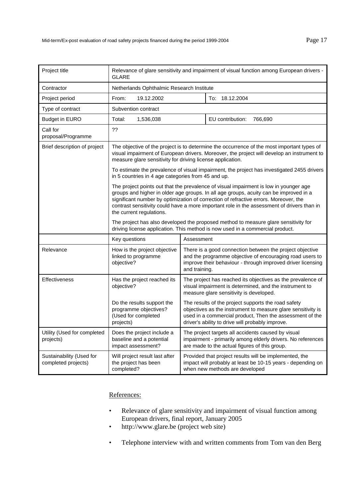| Project title                                   | Relevance of glare sensitivity and impairment of visual function among European drivers -<br><b>GLARE</b>                                                                                                                                                                                                                                                                                        |                                                                                                                                                                                                      |                                                                                                                                                                                                                                     |
|-------------------------------------------------|--------------------------------------------------------------------------------------------------------------------------------------------------------------------------------------------------------------------------------------------------------------------------------------------------------------------------------------------------------------------------------------------------|------------------------------------------------------------------------------------------------------------------------------------------------------------------------------------------------------|-------------------------------------------------------------------------------------------------------------------------------------------------------------------------------------------------------------------------------------|
| Contractor                                      | Netherlands Ophthalmic Research Institute                                                                                                                                                                                                                                                                                                                                                        |                                                                                                                                                                                                      |                                                                                                                                                                                                                                     |
| Project period                                  | 19.12.2002<br>From:                                                                                                                                                                                                                                                                                                                                                                              |                                                                                                                                                                                                      | To: 18.12.2004                                                                                                                                                                                                                      |
| Type of contract                                | Subvention contract                                                                                                                                                                                                                                                                                                                                                                              |                                                                                                                                                                                                      |                                                                                                                                                                                                                                     |
| <b>Budget in EURO</b>                           | 1,536,038<br>Total:                                                                                                                                                                                                                                                                                                                                                                              | EU contribution:<br>766,690                                                                                                                                                                          |                                                                                                                                                                                                                                     |
| Call for<br>proposal/Programme                  | ??                                                                                                                                                                                                                                                                                                                                                                                               |                                                                                                                                                                                                      |                                                                                                                                                                                                                                     |
| Brief description of project                    | The objective of the project is to determine the occurrence of the most important types of<br>visual impairment of European drivers. Moreover, the project will develop an instrument to<br>measure glare sensitivity for driving license application.                                                                                                                                           |                                                                                                                                                                                                      |                                                                                                                                                                                                                                     |
|                                                 | in 5 countries in 4 age categories from 45 and up.                                                                                                                                                                                                                                                                                                                                               |                                                                                                                                                                                                      | To estimate the prevalence of visual impairment, the project has investigated 2455 drivers                                                                                                                                          |
|                                                 | The project points out that the prevalence of visual impairment is low in younger age<br>groups and higher in older age groups. In all age groups, acuity can be improved in a<br>significant number by optimization of correction of refractive errors. Moreover, the<br>contrast sensitivity could have a more important role in the assessment of drivers than in<br>the current regulations. |                                                                                                                                                                                                      |                                                                                                                                                                                                                                     |
|                                                 | The project has also developed the proposed method to measure glare sensitivity for<br>driving license application. This method is now used in a commercial product.                                                                                                                                                                                                                             |                                                                                                                                                                                                      |                                                                                                                                                                                                                                     |
|                                                 | Key questions                                                                                                                                                                                                                                                                                                                                                                                    | Assessment                                                                                                                                                                                           |                                                                                                                                                                                                                                     |
| Relevance                                       | How is the project objective<br>linked to programme<br>objective?                                                                                                                                                                                                                                                                                                                                | There is a good connection between the project objective<br>and the programme objective of encouraging road users to<br>improve their behaviour - through improved driver licensing<br>and training. |                                                                                                                                                                                                                                     |
| <b>Effectiveness</b>                            | Has the project reached its<br>objective?                                                                                                                                                                                                                                                                                                                                                        |                                                                                                                                                                                                      | The project has reached its objectives as the prevalence of<br>visual impairment is determined, and the instrument to<br>measure glare sensitivity is developed.                                                                    |
|                                                 | Do the results support the<br>programme objectives?<br>(Used for completed<br>projects)                                                                                                                                                                                                                                                                                                          |                                                                                                                                                                                                      | The results of the project supports the road safety<br>objectives as the instrument to measure glare sensitivity is<br>used in a commercial product, Then the assessment of the<br>driver's ability to drive will probably improve. |
| Utility (Used for completed<br>projects)        | Does the project include a<br>baseline and a potential<br>impact assessment?                                                                                                                                                                                                                                                                                                                     | The project targets all accidents caused by visual<br>impairment - primarily among elderly drivers. No references<br>are made to the actual figures of this group.                                   |                                                                                                                                                                                                                                     |
| Sustainability (Used for<br>completed projects) | Will project result last after<br>the project has been<br>completed?                                                                                                                                                                                                                                                                                                                             |                                                                                                                                                                                                      | Provided that project results will be implemented, the<br>impact will probably at least be 10-15 years - depending on<br>when new methods are developed                                                                             |

- Relevance of glare sensitivity and impairment of visual function among European drivers, final report, January 2005
- http://www.glare.be (project web site)
- Telephone interview with and written comments from Tom van den Berg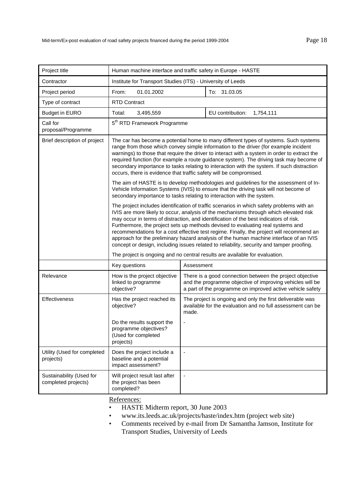| Project title                                   | Human machine interface and traffic safety in Europe - HASTE                                                                                                                                                                                                                                                                                                                                                                                                                                                                                                                                                                                      |                |                                                                                                                                                                                    |
|-------------------------------------------------|---------------------------------------------------------------------------------------------------------------------------------------------------------------------------------------------------------------------------------------------------------------------------------------------------------------------------------------------------------------------------------------------------------------------------------------------------------------------------------------------------------------------------------------------------------------------------------------------------------------------------------------------------|----------------|------------------------------------------------------------------------------------------------------------------------------------------------------------------------------------|
| Contractor                                      | Institute for Transport Studies (ITS) - University of Leeds                                                                                                                                                                                                                                                                                                                                                                                                                                                                                                                                                                                       |                |                                                                                                                                                                                    |
| Project period                                  | 01.01.2002<br>To: 31.03.05<br>From:                                                                                                                                                                                                                                                                                                                                                                                                                                                                                                                                                                                                               |                |                                                                                                                                                                                    |
| Type of contract                                | <b>RTD Contract</b>                                                                                                                                                                                                                                                                                                                                                                                                                                                                                                                                                                                                                               |                |                                                                                                                                                                                    |
| <b>Budget in EURO</b>                           | Total:<br>3,495,559                                                                                                                                                                                                                                                                                                                                                                                                                                                                                                                                                                                                                               |                | EU contribution:<br>1,754,111                                                                                                                                                      |
| Call for<br>proposal/Programme                  | 5 <sup>th</sup> RTD Framework Programme                                                                                                                                                                                                                                                                                                                                                                                                                                                                                                                                                                                                           |                |                                                                                                                                                                                    |
| Brief description of project                    | The car has become a potential home to many different types of systems. Such systems<br>range from those which convey simple information to the driver (for example incident<br>warnings) to those that require the driver to interact with a system in order to extract the<br>required function (for example a route guidance system). The driving task may become of<br>secondary importance to tasks relating to interaction with the system. If such distraction<br>occurs, there is evidence that traffic safety will be compromised.                                                                                                       |                |                                                                                                                                                                                    |
|                                                 | The aim of HASTE is to develop methodologies and guidelines for the assessment of In-<br>Vehicle Information Systems (IVIS) to ensure that the driving task will not become of<br>secondary importance to tasks relating to interaction with the system.                                                                                                                                                                                                                                                                                                                                                                                          |                |                                                                                                                                                                                    |
|                                                 | The project includes identification of traffic scenarios in which safety problems with an<br>IVIS are more likely to occur, analysis of the mechanisms through which elevated risk<br>may occur in terms of distraction, and identification of the best indicators of risk.<br>Furthermore, the project sets up methods devised to evaluating real systems and<br>recommendations for a cost effective test regime. Finally, the project will recommend an<br>approach for the preliminary hazard analysis of the human machine interface of an IVIS<br>concept or design, including issues related to reliability, security and tamper proofing. |                |                                                                                                                                                                                    |
|                                                 | The project is ongoing and no central results are available for evaluation.                                                                                                                                                                                                                                                                                                                                                                                                                                                                                                                                                                       |                |                                                                                                                                                                                    |
|                                                 | Key questions                                                                                                                                                                                                                                                                                                                                                                                                                                                                                                                                                                                                                                     | Assessment     |                                                                                                                                                                                    |
| Relevance                                       | How is the project objective<br>linked to programme<br>objective?                                                                                                                                                                                                                                                                                                                                                                                                                                                                                                                                                                                 |                | There is a good connection between the project objective<br>and the programme objective of improving vehicles will be<br>a part of the programme on improved active vehicle safety |
| <b>Effectiveness</b>                            | Has the project reached its<br>objective?                                                                                                                                                                                                                                                                                                                                                                                                                                                                                                                                                                                                         | made.          | The project is ongoing and only the first deliverable was<br>available for the evaluation and no full assessment can be                                                            |
|                                                 | Do the results support the<br>programme objectives?<br>(Used for completed<br>projects)                                                                                                                                                                                                                                                                                                                                                                                                                                                                                                                                                           |                |                                                                                                                                                                                    |
| Utility (Used for completed<br>projects)        | Does the project include a<br>baseline and a potential<br>impact assessment?                                                                                                                                                                                                                                                                                                                                                                                                                                                                                                                                                                      | $\blacksquare$ |                                                                                                                                                                                    |
| Sustainability (Used for<br>completed projects) | Will project result last after<br>the project has been<br>completed?                                                                                                                                                                                                                                                                                                                                                                                                                                                                                                                                                                              |                |                                                                                                                                                                                    |

- HASTE Midterm report, 30 June 2003
- www.its.leeds.ac.uk/projects/haste/index.htm (project web site)
- Comments received by e-mail from Dr Samantha Jamson, Institute for Transport Studies, University of Leeds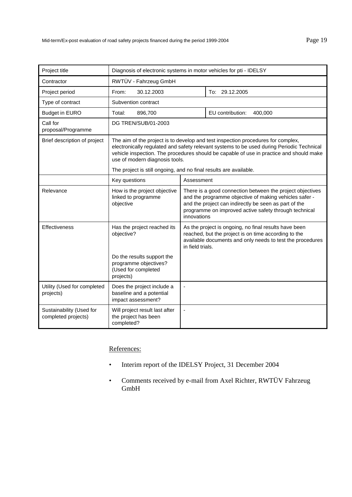| Project title                                   | Diagnosis of electronic systems in motor vehicles for pti - IDELSY                                                                                                                                                                                                                                         |                                                                                                                                                                                                                                                      |                             |
|-------------------------------------------------|------------------------------------------------------------------------------------------------------------------------------------------------------------------------------------------------------------------------------------------------------------------------------------------------------------|------------------------------------------------------------------------------------------------------------------------------------------------------------------------------------------------------------------------------------------------------|-----------------------------|
| Contractor                                      | RWTÜV - Fahrzeug GmbH                                                                                                                                                                                                                                                                                      |                                                                                                                                                                                                                                                      |                             |
| Project period                                  | 30.12.2003<br>From:                                                                                                                                                                                                                                                                                        |                                                                                                                                                                                                                                                      | To: 29.12.2005              |
| Type of contract                                | Subvention contract                                                                                                                                                                                                                                                                                        |                                                                                                                                                                                                                                                      |                             |
| <b>Budget in EURO</b>                           | 896,700<br>Total:                                                                                                                                                                                                                                                                                          |                                                                                                                                                                                                                                                      | EU contribution:<br>400,000 |
| Call for<br>proposal/Programme                  | DG TREN/SUB/01-2003                                                                                                                                                                                                                                                                                        |                                                                                                                                                                                                                                                      |                             |
| Brief description of project                    | The aim of the project is to develop and test inspection procedures for complex,<br>electronically regulated and safety relevant systems to be used during Periodic Technical<br>vehicle inspection. The procedures should be capable of use in practice and should make<br>use of modern diagnosis tools. |                                                                                                                                                                                                                                                      |                             |
|                                                 | The project is still ongoing, and no final results are available.                                                                                                                                                                                                                                          |                                                                                                                                                                                                                                                      |                             |
|                                                 | Key questions                                                                                                                                                                                                                                                                                              | Assessment                                                                                                                                                                                                                                           |                             |
| Relevance                                       | How is the project objective<br>linked to programme<br>objective                                                                                                                                                                                                                                           | There is a good connection between the project objectives<br>and the programme objective of making vehicles safer -<br>and the project can indirectly be seen as part of the<br>programme on improved active safety through technical<br>innovations |                             |
| Effectiveness                                   | Has the project reached its<br>objective?                                                                                                                                                                                                                                                                  | As the project is ongoing, no final results have been<br>reached, but the project is on time according to the<br>available documents and only needs to test the procedures<br>in field trials.                                                       |                             |
|                                                 | Do the results support the<br>programme objectives?<br>(Used for completed<br>projects)                                                                                                                                                                                                                    |                                                                                                                                                                                                                                                      |                             |
| Utility (Used for completed<br>projects)        | Does the project include a<br>baseline and a potential<br>impact assessment?                                                                                                                                                                                                                               | ٠                                                                                                                                                                                                                                                    |                             |
| Sustainability (Used for<br>completed projects) | Will project result last after<br>the project has been<br>completed?                                                                                                                                                                                                                                       | $\overline{a}$                                                                                                                                                                                                                                       |                             |

- Interim report of the IDELSY Project, 31 December 2004
- Comments received by e-mail from Axel Richter, RWTÜV Fahrzeug GmbH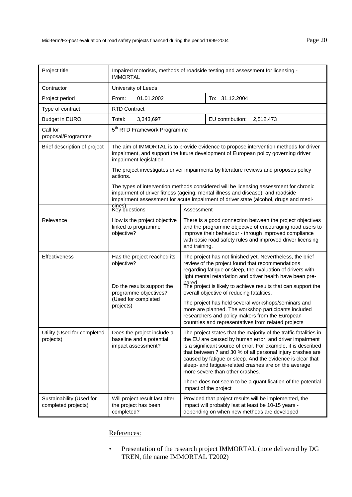| Project title                                   | Impaired motorists, methods of roadside testing and assessment for licensing -<br><b>IMMORTAL</b>                                                                                                                                                                |                                                                                                                                                                                                                                                                                                                                                                                                                                                                                                                                                                                           |                                                                                       |  |
|-------------------------------------------------|------------------------------------------------------------------------------------------------------------------------------------------------------------------------------------------------------------------------------------------------------------------|-------------------------------------------------------------------------------------------------------------------------------------------------------------------------------------------------------------------------------------------------------------------------------------------------------------------------------------------------------------------------------------------------------------------------------------------------------------------------------------------------------------------------------------------------------------------------------------------|---------------------------------------------------------------------------------------|--|
| Contractor                                      | University of Leeds                                                                                                                                                                                                                                              |                                                                                                                                                                                                                                                                                                                                                                                                                                                                                                                                                                                           |                                                                                       |  |
| Project period                                  | From:<br>01.01.2002                                                                                                                                                                                                                                              |                                                                                                                                                                                                                                                                                                                                                                                                                                                                                                                                                                                           | To: 31.12.2004                                                                        |  |
| Type of contract                                | <b>RTD Contract</b>                                                                                                                                                                                                                                              |                                                                                                                                                                                                                                                                                                                                                                                                                                                                                                                                                                                           |                                                                                       |  |
| <b>Budget in EURO</b>                           | Total:<br>3,343,697                                                                                                                                                                                                                                              |                                                                                                                                                                                                                                                                                                                                                                                                                                                                                                                                                                                           | EU contribution:<br>2,512,473                                                         |  |
| Call for<br>proposal/Programme                  | 5 <sup>th</sup> RTD Framework Programme                                                                                                                                                                                                                          |                                                                                                                                                                                                                                                                                                                                                                                                                                                                                                                                                                                           |                                                                                       |  |
| Brief description of project                    | The aim of IMMORTAL is to provide evidence to propose intervention methods for driver<br>impairment, and support the future development of European policy governing driver<br>impairment legislation.                                                           |                                                                                                                                                                                                                                                                                                                                                                                                                                                                                                                                                                                           |                                                                                       |  |
|                                                 | actions.                                                                                                                                                                                                                                                         |                                                                                                                                                                                                                                                                                                                                                                                                                                                                                                                                                                                           | The project investigates driver impairments by literature reviews and proposes policy |  |
|                                                 | The types of intervention methods considered will be licensing assessment for chronic<br>impairment of driver fitness (ageing, mental illness and disease), and roadside<br>impairment assessment for acute impairment of driver state (alcohol, drugs and medi- |                                                                                                                                                                                                                                                                                                                                                                                                                                                                                                                                                                                           |                                                                                       |  |
|                                                 | cines).<br>Key questions                                                                                                                                                                                                                                         | Assessment                                                                                                                                                                                                                                                                                                                                                                                                                                                                                                                                                                                |                                                                                       |  |
| Relevance                                       | How is the project objective<br>linked to programme<br>objective?                                                                                                                                                                                                | There is a good connection between the project objectives<br>and the programme objective of encouraging road users to<br>improve their behaviour - through improved compliance<br>with basic road safety rules and improved driver licensing<br>and training.                                                                                                                                                                                                                                                                                                                             |                                                                                       |  |
| <b>Effectiveness</b>                            | Has the project reached its<br>objective?<br>Do the results support the                                                                                                                                                                                          | The project has not finished yet. Nevertheless, the brief<br>review of the project found that recommendations<br>regarding fatigue or sleep, the evaluation of drivers with<br>light mental retardation and driver health have been pre-<br>pared.<br>The project is likely to achieve results that can support the<br>overall objective of reducing fatalities.<br>The project has held several workshops/seminars and<br>more are planned. The workshop participants included<br>researchers and policy makers from the European<br>countries and representatives from related projects |                                                                                       |  |
|                                                 | programme objectives?<br>(Used for completed<br>projects)                                                                                                                                                                                                        |                                                                                                                                                                                                                                                                                                                                                                                                                                                                                                                                                                                           |                                                                                       |  |
| Utility (Used for completed<br>projects)        | Does the project include a<br>baseline and a potential<br>impact assessment?                                                                                                                                                                                     | The project states that the majority of the traffic fatalities in<br>the EU are caused by human error, and driver impairment<br>is a significant source of error. For example, it is described<br>that between 7 and 30 % of all personal injury crashes are<br>caused by fatigue or sleep. And the evidence is clear that<br>sleep- and fatigue-related crashes are on the average<br>more severe than other crashes.                                                                                                                                                                    |                                                                                       |  |
|                                                 |                                                                                                                                                                                                                                                                  | There does not seem to be a quantification of the potential<br>impact of the project                                                                                                                                                                                                                                                                                                                                                                                                                                                                                                      |                                                                                       |  |
| Sustainability (Used for<br>completed projects) | Will project result last after<br>the project has been<br>completed?                                                                                                                                                                                             | Provided that project results will be implemented, the<br>impact will probably last at least be 10-15 years -<br>depending on when new methods are developed                                                                                                                                                                                                                                                                                                                                                                                                                              |                                                                                       |  |

• Presentation of the research project IMMORTAL (note delivered by DG TREN, file name IMMORTAL T2002)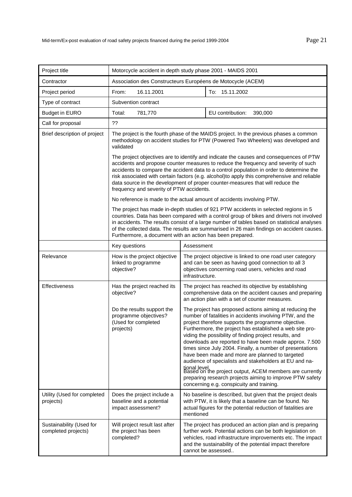| Project title                                   | Motorcycle accident in depth study phase 2001 - MAIDS 2001                                                                                                                                                                                                                                                                                                                                                                                                                                             |                                                                                                                                                                                                                                                                                                                                                                                                                                                                                                                                                                                                                                                                                                                           |  |
|-------------------------------------------------|--------------------------------------------------------------------------------------------------------------------------------------------------------------------------------------------------------------------------------------------------------------------------------------------------------------------------------------------------------------------------------------------------------------------------------------------------------------------------------------------------------|---------------------------------------------------------------------------------------------------------------------------------------------------------------------------------------------------------------------------------------------------------------------------------------------------------------------------------------------------------------------------------------------------------------------------------------------------------------------------------------------------------------------------------------------------------------------------------------------------------------------------------------------------------------------------------------------------------------------------|--|
| Contractor                                      | Association des Constructeurs Européens de Motocycle (ACEM)                                                                                                                                                                                                                                                                                                                                                                                                                                            |                                                                                                                                                                                                                                                                                                                                                                                                                                                                                                                                                                                                                                                                                                                           |  |
| Project period                                  | To: 15.11.2002<br>16.11.2001<br>From:                                                                                                                                                                                                                                                                                                                                                                                                                                                                  |                                                                                                                                                                                                                                                                                                                                                                                                                                                                                                                                                                                                                                                                                                                           |  |
| Type of contract                                | Subvention contract                                                                                                                                                                                                                                                                                                                                                                                                                                                                                    |                                                                                                                                                                                                                                                                                                                                                                                                                                                                                                                                                                                                                                                                                                                           |  |
| <b>Budget in EURO</b>                           | Total:<br>781,770                                                                                                                                                                                                                                                                                                                                                                                                                                                                                      | EU contribution:<br>390,000                                                                                                                                                                                                                                                                                                                                                                                                                                                                                                                                                                                                                                                                                               |  |
| Call for proposal                               | ??                                                                                                                                                                                                                                                                                                                                                                                                                                                                                                     |                                                                                                                                                                                                                                                                                                                                                                                                                                                                                                                                                                                                                                                                                                                           |  |
| Brief description of project                    | The project is the fourth phase of the MAIDS project. In the previous phases a common<br>methodology on accident studies for PTW (Powered Two Wheelers) was developed and<br>validated                                                                                                                                                                                                                                                                                                                 |                                                                                                                                                                                                                                                                                                                                                                                                                                                                                                                                                                                                                                                                                                                           |  |
|                                                 | The project objectives are to identify and indicate the causes and consequences of PTW<br>accidents and propose counter measures to reduce the frequency and severity of such<br>accidents to compare the accident data to a control population in order to determine the<br>risk associated with certain factors (e.g. alcohol)to apply this comprehensive and reliable<br>data source in the development of proper counter-measures that will reduce the<br>frequency and severity of PTW accidents. |                                                                                                                                                                                                                                                                                                                                                                                                                                                                                                                                                                                                                                                                                                                           |  |
|                                                 |                                                                                                                                                                                                                                                                                                                                                                                                                                                                                                        | No reference is made to the actual amount of accidents involving PTW.                                                                                                                                                                                                                                                                                                                                                                                                                                                                                                                                                                                                                                                     |  |
|                                                 | The project has made in-depth studies of 921 PTW accidents in selected regions in 5<br>countries. Data has been compared with a control group of bikes and drivers not involved<br>in accidents. The results consist of a large number of tables based on statistical analyses<br>of the collected data. The results are summarised in 26 main findings on accident causes.<br>Furthermore, a document with an action has been prepared.                                                               |                                                                                                                                                                                                                                                                                                                                                                                                                                                                                                                                                                                                                                                                                                                           |  |
|                                                 | Key questions                                                                                                                                                                                                                                                                                                                                                                                                                                                                                          | Assessment                                                                                                                                                                                                                                                                                                                                                                                                                                                                                                                                                                                                                                                                                                                |  |
| Relevance                                       | How is the project objective<br>linked to programme<br>objective?                                                                                                                                                                                                                                                                                                                                                                                                                                      | The project objective is linked to one road user category<br>and can be seen as having good connection to all 3<br>objectives concerning road users, vehicles and road<br>infrastructure.                                                                                                                                                                                                                                                                                                                                                                                                                                                                                                                                 |  |
| Effectiveness                                   | Has the project reached its<br>objective?                                                                                                                                                                                                                                                                                                                                                                                                                                                              | The project has reached its objective by establishing<br>comprehensive data on the accident causes and preparing<br>an action plan with a set of counter measures.                                                                                                                                                                                                                                                                                                                                                                                                                                                                                                                                                        |  |
|                                                 | Do the results support the<br>programme objectives?<br>(Used for completed<br>projects)                                                                                                                                                                                                                                                                                                                                                                                                                | The project has proposed actions aiming at reducing the<br>number of fatalities in accidents involving PTW, and the<br>project therefore supports the programme objective.<br>Furthermore, the project has established a web site pro-<br>viding the possibility of finding project results, and<br>downloads are reported to have been made approx. 7.500<br>times since July 2004. Finally, a number of presentations<br>have been made and more are planned to targeted<br>audience of specialists and stakeholders at EU and na-<br>tional level.<br>Based on the project output, ACEM members are currently<br>preparing research projects aiming to improve PTW safety<br>concerning e.g. conspicuity and training. |  |
| Utility (Used for completed<br>projects)        | Does the project include a<br>baseline and a potential<br>impact assessment?                                                                                                                                                                                                                                                                                                                                                                                                                           | No baseline is described, but given that the project deals<br>with PTW, it is likely that a baseline can be found. No<br>actual figures for the potential reduction of fatalities are<br>mentioned                                                                                                                                                                                                                                                                                                                                                                                                                                                                                                                        |  |
| Sustainability (Used for<br>completed projects) | Will project result last after<br>the project has been<br>completed?                                                                                                                                                                                                                                                                                                                                                                                                                                   | The project has produced an action plan and is preparing<br>further work. Potential actions can be both legislation on<br>vehicles, road infrastructure improvements etc. The impact<br>and the sustainability of the potential impact therefore<br>cannot be assessed                                                                                                                                                                                                                                                                                                                                                                                                                                                    |  |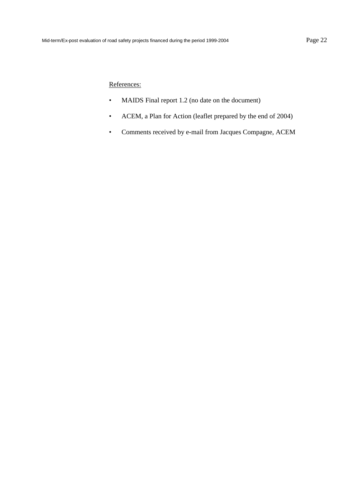- MAIDS Final report 1.2 (no date on the document)
- ACEM, a Plan for Action (leaflet prepared by the end of 2004)
- Comments received by e-mail from Jacques Compagne, ACEM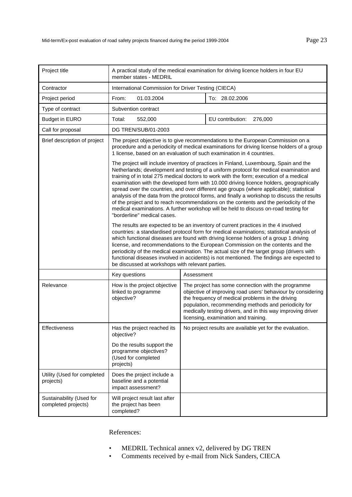| Project title                                   | A practical study of the medical examination for driving licence holders in four EU<br>member states - MEDRIL                                                                                                                                                                                                                                                                                                                                                                                                                                                                                                                                                                                                                                                                    |                                                                                                                                                                                                                                                                                                                                      |  |
|-------------------------------------------------|----------------------------------------------------------------------------------------------------------------------------------------------------------------------------------------------------------------------------------------------------------------------------------------------------------------------------------------------------------------------------------------------------------------------------------------------------------------------------------------------------------------------------------------------------------------------------------------------------------------------------------------------------------------------------------------------------------------------------------------------------------------------------------|--------------------------------------------------------------------------------------------------------------------------------------------------------------------------------------------------------------------------------------------------------------------------------------------------------------------------------------|--|
| Contractor                                      | International Commission for Driver Testing (CIECA)                                                                                                                                                                                                                                                                                                                                                                                                                                                                                                                                                                                                                                                                                                                              |                                                                                                                                                                                                                                                                                                                                      |  |
| Project period                                  | From:<br>01.03.2004                                                                                                                                                                                                                                                                                                                                                                                                                                                                                                                                                                                                                                                                                                                                                              | To: 28.02.2006                                                                                                                                                                                                                                                                                                                       |  |
| Type of contract                                | Subvention contract                                                                                                                                                                                                                                                                                                                                                                                                                                                                                                                                                                                                                                                                                                                                                              |                                                                                                                                                                                                                                                                                                                                      |  |
| <b>Budget in EURO</b>                           | Total:<br>552,000                                                                                                                                                                                                                                                                                                                                                                                                                                                                                                                                                                                                                                                                                                                                                                | EU contribution:<br>276,000                                                                                                                                                                                                                                                                                                          |  |
| Call for proposal                               | DG TREN/SUB/01-2003                                                                                                                                                                                                                                                                                                                                                                                                                                                                                                                                                                                                                                                                                                                                                              |                                                                                                                                                                                                                                                                                                                                      |  |
| Brief description of project                    | The project objective is to give recommendations to the European Commission on a<br>procedure and a periodicity of medical examinations for driving license holders of a group<br>1 license, based on an evaluation of such examination in 4 countries.                                                                                                                                                                                                                                                                                                                                                                                                                                                                                                                          |                                                                                                                                                                                                                                                                                                                                      |  |
|                                                 | The project will include inventory of practices in Finland, Luxembourg, Spain and the<br>Netherlands; development and testing of a uniform protocol for medical examination and<br>training of in total 275 medical doctors to work with the form; execution of a medical<br>examination with the developed form with 10.000 driving licence holders, geographically<br>spread over the countries, and over different age groups (where applicable); statistical<br>analysis of the data from the protocol forms, and finally a workshop to discuss the results<br>of the project and to reach recommendations on the contents and the periodicity of the<br>medical examinations. A further workshop will be held to discuss on-road testing for<br>"borderline" medical cases. |                                                                                                                                                                                                                                                                                                                                      |  |
|                                                 | The results are expected to be an inventory of current practices in the 4 involved<br>countries: a standardised protocol form for medical examinations; statistical analysis of<br>which functional diseases are found with driving license holders of a group 1 driving<br>license, and recommendations to the European Commission on the contents and the<br>periodicity of the medical examination. The actual size of the target group (drivers with<br>functional diseases involved in accidents) is not mentioned. The findings are expected to<br>be discussed at workshops with relevant parties.                                                                                                                                                                        |                                                                                                                                                                                                                                                                                                                                      |  |
|                                                 | Key questions                                                                                                                                                                                                                                                                                                                                                                                                                                                                                                                                                                                                                                                                                                                                                                    | Assessment                                                                                                                                                                                                                                                                                                                           |  |
| Relevance                                       | How is the project objective<br>linked to programme<br>objective?                                                                                                                                                                                                                                                                                                                                                                                                                                                                                                                                                                                                                                                                                                                | The project has some connection with the programme<br>objective of improving road users' behaviour by considering<br>the frequency of medical problems in the driving<br>population, recommending methods and periodicity for<br>medically testing drivers, and in this way improving driver<br>licensing, examination and training. |  |
| Effectiveness                                   | Has the project reached its<br>objective?                                                                                                                                                                                                                                                                                                                                                                                                                                                                                                                                                                                                                                                                                                                                        | No project results are available yet for the evaluation.                                                                                                                                                                                                                                                                             |  |
|                                                 | Do the results support the<br>programme objectives?<br>(Used for completed<br>projects)                                                                                                                                                                                                                                                                                                                                                                                                                                                                                                                                                                                                                                                                                          |                                                                                                                                                                                                                                                                                                                                      |  |
| Utility (Used for completed<br>projects)        | Does the project include a<br>baseline and a potential<br>impact assessment?                                                                                                                                                                                                                                                                                                                                                                                                                                                                                                                                                                                                                                                                                                     |                                                                                                                                                                                                                                                                                                                                      |  |
| Sustainability (Used for<br>completed projects) | Will project result last after<br>the project has been<br>completed?                                                                                                                                                                                                                                                                                                                                                                                                                                                                                                                                                                                                                                                                                                             |                                                                                                                                                                                                                                                                                                                                      |  |

- MEDRIL Technical annex v2, delivered by DG TREN
- Comments received by e-mail from Nick Sanders, CIECA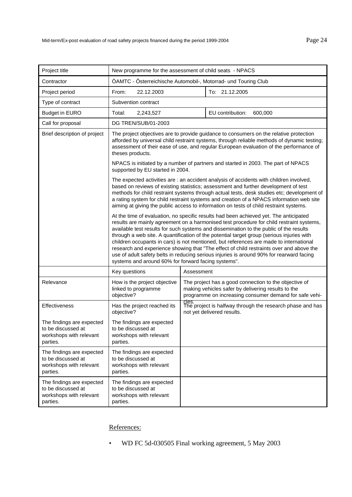| Project title                                                                          | New programme for the assessment of child seats - NPACS                                                                                                                                                                                                                                                                                                                                                                                                                                                                                                                                                                                                                                                          |                                                                                                                                                                       |                                                                                         |
|----------------------------------------------------------------------------------------|------------------------------------------------------------------------------------------------------------------------------------------------------------------------------------------------------------------------------------------------------------------------------------------------------------------------------------------------------------------------------------------------------------------------------------------------------------------------------------------------------------------------------------------------------------------------------------------------------------------------------------------------------------------------------------------------------------------|-----------------------------------------------------------------------------------------------------------------------------------------------------------------------|-----------------------------------------------------------------------------------------|
| Contractor                                                                             | ÖAMTC - Ôsterreichische Automobil-, Motorrad- und Touring Club                                                                                                                                                                                                                                                                                                                                                                                                                                                                                                                                                                                                                                                   |                                                                                                                                                                       |                                                                                         |
| Project period                                                                         | From:<br>22.12.2003                                                                                                                                                                                                                                                                                                                                                                                                                                                                                                                                                                                                                                                                                              |                                                                                                                                                                       | To: 21.12.2005                                                                          |
| Type of contract                                                                       | Subvention contract                                                                                                                                                                                                                                                                                                                                                                                                                                                                                                                                                                                                                                                                                              |                                                                                                                                                                       |                                                                                         |
| <b>Budget in EURO</b>                                                                  | Total:<br>2,243,527                                                                                                                                                                                                                                                                                                                                                                                                                                                                                                                                                                                                                                                                                              |                                                                                                                                                                       | EU contribution:<br>600,000                                                             |
| Call for proposal                                                                      | DG TREN/SUB/01-2003                                                                                                                                                                                                                                                                                                                                                                                                                                                                                                                                                                                                                                                                                              |                                                                                                                                                                       |                                                                                         |
| Brief description of project                                                           | The project objectives are to provide guidance to consumers on the relative protection<br>afforded by universal child restraint systems, through reliable methods of dynamic testing;<br>assessment of their ease of use, and regular European evaluation of the performance of<br>theses products.                                                                                                                                                                                                                                                                                                                                                                                                              |                                                                                                                                                                       |                                                                                         |
|                                                                                        | supported by EU started in 2004.                                                                                                                                                                                                                                                                                                                                                                                                                                                                                                                                                                                                                                                                                 |                                                                                                                                                                       | NPACS is initiated by a number of partners and started in 2003. The part of NPACS       |
|                                                                                        | The expected activities are : an accident analysis of accidents with children involved,<br>based on reviews of existing statistics; assessment and further development of test<br>methods for child restraint systems through actual tests, desk studies etc; development of<br>a rating system for child restraint systems and creation of a NPACS information web site<br>aiming at giving the public access to information on tests of child restraint systems.                                                                                                                                                                                                                                               |                                                                                                                                                                       |                                                                                         |
|                                                                                        | At the time of evaluation, no specific results had been achieved yet. The anticipated<br>results are mainly agreement on a harmonised test procedure for child restraint systems,<br>available test results for such systems and dissemination to the public of the results<br>through a web site. A quantification of the potential target group (serious injuries with<br>children occupants in cars) is not mentioned, but references are made to international<br>research and experience showing that "The effect of child restraints over and above the<br>use of adult safety belts in reducing serious injuries is around 90% for rearward facing<br>systems and around 60% for forward facing systems". |                                                                                                                                                                       |                                                                                         |
|                                                                                        | Key questions                                                                                                                                                                                                                                                                                                                                                                                                                                                                                                                                                                                                                                                                                                    | Assessment                                                                                                                                                            |                                                                                         |
| Relevance                                                                              | How is the project objective<br>linked to programme<br>objective?                                                                                                                                                                                                                                                                                                                                                                                                                                                                                                                                                                                                                                                | The project has a good connection to the objective of<br>making vehicles safer by delivering results to the<br>programme on increasing consumer demand for safe vehi- |                                                                                         |
| Effectiveness                                                                          | Has the project reached its<br>objective?                                                                                                                                                                                                                                                                                                                                                                                                                                                                                                                                                                                                                                                                        | cles.                                                                                                                                                                 | The project is halfway through the research phase and has<br>not yet delivered results. |
| The findings are expected<br>to be discussed at<br>workshops with relevant<br>parties. | The findings are expected<br>to be discussed at<br>workshops with relevant<br>parties.                                                                                                                                                                                                                                                                                                                                                                                                                                                                                                                                                                                                                           |                                                                                                                                                                       |                                                                                         |
| The findings are expected<br>to be discussed at<br>workshops with relevant<br>parties. | The findings are expected<br>to be discussed at<br>workshops with relevant<br>parties.                                                                                                                                                                                                                                                                                                                                                                                                                                                                                                                                                                                                                           |                                                                                                                                                                       |                                                                                         |
| The findings are expected<br>to be discussed at<br>workshops with relevant<br>parties. | The findings are expected<br>to be discussed at<br>workshops with relevant<br>parties.                                                                                                                                                                                                                                                                                                                                                                                                                                                                                                                                                                                                                           |                                                                                                                                                                       |                                                                                         |

• WD FC 5d-030505 Final working agreement, 5 May 2003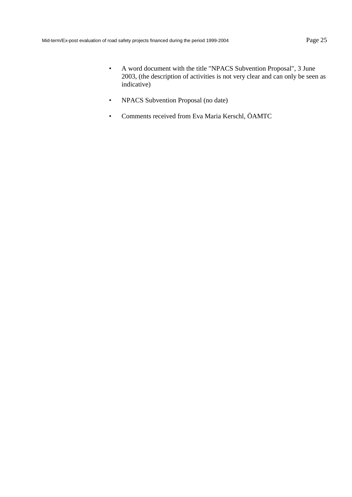- A word document with the title "NPACS Subvention Proposal", 3 June 2003, (the description of activities is not very clear and can only be seen as indicative)
- NPACS Subvention Proposal (no date)
- Comments received from Eva Maria Kerschl, ÖAMTC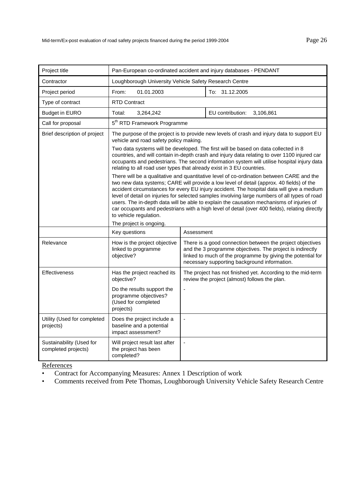| Project title                                   | Pan-European co-ordinated accident and injury databases - PENDANT                                                                                                                                                                                                                                                                                                                                                                                                                                                                                                                                          |                                                                                                                                                                                                                                                                                                                                                           |  |
|-------------------------------------------------|------------------------------------------------------------------------------------------------------------------------------------------------------------------------------------------------------------------------------------------------------------------------------------------------------------------------------------------------------------------------------------------------------------------------------------------------------------------------------------------------------------------------------------------------------------------------------------------------------------|-----------------------------------------------------------------------------------------------------------------------------------------------------------------------------------------------------------------------------------------------------------------------------------------------------------------------------------------------------------|--|
| Contractor                                      | Loughborough University Vehicle Safety Research Centre                                                                                                                                                                                                                                                                                                                                                                                                                                                                                                                                                     |                                                                                                                                                                                                                                                                                                                                                           |  |
| Project period                                  | From:<br>01.01.2003                                                                                                                                                                                                                                                                                                                                                                                                                                                                                                                                                                                        | To: 31.12.2005                                                                                                                                                                                                                                                                                                                                            |  |
| Type of contract                                | <b>RTD Contract</b>                                                                                                                                                                                                                                                                                                                                                                                                                                                                                                                                                                                        |                                                                                                                                                                                                                                                                                                                                                           |  |
| <b>Budget in EURO</b>                           | Total:<br>3,264,242                                                                                                                                                                                                                                                                                                                                                                                                                                                                                                                                                                                        | EU contribution:<br>3,106,861                                                                                                                                                                                                                                                                                                                             |  |
| Call for proposal                               | 5 <sup>th</sup> RTD Framework Programme                                                                                                                                                                                                                                                                                                                                                                                                                                                                                                                                                                    |                                                                                                                                                                                                                                                                                                                                                           |  |
| Brief description of project                    | vehicle and road safety policy making.                                                                                                                                                                                                                                                                                                                                                                                                                                                                                                                                                                     | The purpose of the project is to provide new levels of crash and injury data to support EU                                                                                                                                                                                                                                                                |  |
|                                                 |                                                                                                                                                                                                                                                                                                                                                                                                                                                                                                                                                                                                            | Two data systems will be developed. The first will be based on data collected in 8<br>countries, and will contain in-depth crash and injury data relating to over 1100 injured car<br>occupants and pedestrians. The second information system will utilise hospital injury data<br>relating to all road user types that already exist in 3 EU countries. |  |
|                                                 | There will be a qualitative and quantitative level of co-ordination between CARE and the<br>two new data systems; CARE will provide a low level of detail (approx. 40 fields) of the<br>accident circumstances for every EU injury accident. The hospital data will give a medium<br>level of detail on injuries for selected samples involving large numbers of all types of road<br>users. The in-depth data will be able to explain the causation mechanisms of injuries of<br>car occupants and pedestrians with a high level of detail (over 400 fields), relating directly<br>to vehicle regulation. |                                                                                                                                                                                                                                                                                                                                                           |  |
|                                                 | The project is ongoing.                                                                                                                                                                                                                                                                                                                                                                                                                                                                                                                                                                                    |                                                                                                                                                                                                                                                                                                                                                           |  |
|                                                 | Key questions                                                                                                                                                                                                                                                                                                                                                                                                                                                                                                                                                                                              | Assessment                                                                                                                                                                                                                                                                                                                                                |  |
| Relevance                                       | How is the project objective<br>linked to programme<br>objective?                                                                                                                                                                                                                                                                                                                                                                                                                                                                                                                                          | There is a good connection between the project objectives<br>and the 3 programme objectives. The project is indirectly<br>linked to much of the programme by giving the potential for<br>necessary supporting background information.                                                                                                                     |  |
| <b>Effectiveness</b>                            | Has the project reached its<br>objective?                                                                                                                                                                                                                                                                                                                                                                                                                                                                                                                                                                  | The project has not finished yet. According to the mid-term<br>review the project (almost) follows the plan.                                                                                                                                                                                                                                              |  |
|                                                 | Do the results support the<br>programme objectives?<br>(Used for completed<br>projects)                                                                                                                                                                                                                                                                                                                                                                                                                                                                                                                    |                                                                                                                                                                                                                                                                                                                                                           |  |
| Utility (Used for completed<br>projects)        | Does the project include a<br>baseline and a potential<br>impact assessment?                                                                                                                                                                                                                                                                                                                                                                                                                                                                                                                               | ÷,                                                                                                                                                                                                                                                                                                                                                        |  |
| Sustainability (Used for<br>completed projects) | Will project result last after<br>the project has been<br>completed?                                                                                                                                                                                                                                                                                                                                                                                                                                                                                                                                       | ÷,                                                                                                                                                                                                                                                                                                                                                        |  |

- Contract for Accompanying Measures: Annex 1 Description of work
- Comments received from Pete Thomas, Loughborough University Vehicle Safety Research Centre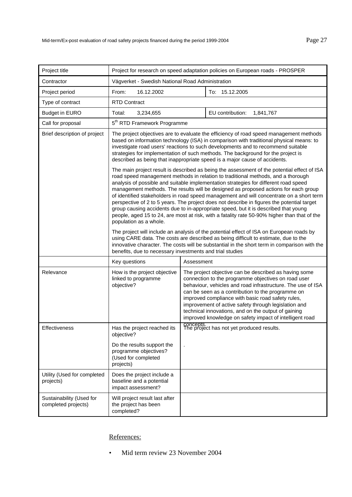| Project title                                   | Project for research on speed adaptation policies on European roads - PROSPER                                                                                                                                                                                                                                                                                                                                                                                                                                                                                                                                                                                                                                                                                             |            |                                                                                                                                                                                                                                                                                                                                                                                                                                                                 |  |
|-------------------------------------------------|---------------------------------------------------------------------------------------------------------------------------------------------------------------------------------------------------------------------------------------------------------------------------------------------------------------------------------------------------------------------------------------------------------------------------------------------------------------------------------------------------------------------------------------------------------------------------------------------------------------------------------------------------------------------------------------------------------------------------------------------------------------------------|------------|-----------------------------------------------------------------------------------------------------------------------------------------------------------------------------------------------------------------------------------------------------------------------------------------------------------------------------------------------------------------------------------------------------------------------------------------------------------------|--|
| Contractor                                      | Vägverket - Swedish National Road Administration                                                                                                                                                                                                                                                                                                                                                                                                                                                                                                                                                                                                                                                                                                                          |            |                                                                                                                                                                                                                                                                                                                                                                                                                                                                 |  |
| Project period                                  | From:<br>16.12.2002                                                                                                                                                                                                                                                                                                                                                                                                                                                                                                                                                                                                                                                                                                                                                       |            | To: 15.12.2005                                                                                                                                                                                                                                                                                                                                                                                                                                                  |  |
| Type of contract                                | <b>RTD Contract</b>                                                                                                                                                                                                                                                                                                                                                                                                                                                                                                                                                                                                                                                                                                                                                       |            |                                                                                                                                                                                                                                                                                                                                                                                                                                                                 |  |
| <b>Budget in EURO</b>                           | Total:<br>3,234,655                                                                                                                                                                                                                                                                                                                                                                                                                                                                                                                                                                                                                                                                                                                                                       |            | EU contribution:<br>1,841,767                                                                                                                                                                                                                                                                                                                                                                                                                                   |  |
| Call for proposal                               | 5 <sup>th</sup> RTD Framework Programme                                                                                                                                                                                                                                                                                                                                                                                                                                                                                                                                                                                                                                                                                                                                   |            |                                                                                                                                                                                                                                                                                                                                                                                                                                                                 |  |
| Brief description of project                    | The project objectives are to evaluate the efficiency of road speed management methods<br>based on information technology (ISA) in comparison with traditional physical means: to<br>investigate road users' reactions to such developments and to recommend suitable<br>strategies for implementation of such methods. The background for the project is<br>described as being that inappropriate speed is a major cause of accidents.                                                                                                                                                                                                                                                                                                                                   |            |                                                                                                                                                                                                                                                                                                                                                                                                                                                                 |  |
|                                                 | The main project result is described as being the assessment of the potential effect of ISA<br>road speed management methods in relation to traditional methods, and a thorough<br>analysis of possible and suitable implementation strategies for different road speed<br>management methods. The results will be designed as proposed actions for each group<br>of identified stakeholders in road speed management and will concentrate on a short term<br>perspective of 2 to 5 years. The project does not describe in figures the potential target<br>group causing accidents due to in-appropriate speed, but it is described that young<br>people, aged 15 to 24, are most at risk, with a fatality rate 50-90% higher than that of the<br>population as a whole. |            |                                                                                                                                                                                                                                                                                                                                                                                                                                                                 |  |
|                                                 | The project will include an analysis of the potential effect of ISA on European roads by<br>using CARE data. The costs are described as being difficult to estimate, due to the<br>innovative character. The costs will be substantial in the short term in comparison with the<br>benefits, due to necessary investments and trial studies                                                                                                                                                                                                                                                                                                                                                                                                                               |            |                                                                                                                                                                                                                                                                                                                                                                                                                                                                 |  |
|                                                 | Key questions                                                                                                                                                                                                                                                                                                                                                                                                                                                                                                                                                                                                                                                                                                                                                             | Assessment |                                                                                                                                                                                                                                                                                                                                                                                                                                                                 |  |
| Relevance                                       | How is the project objective<br>linked to programme<br>objective?                                                                                                                                                                                                                                                                                                                                                                                                                                                                                                                                                                                                                                                                                                         |            | The project objective can be described as having some<br>connection to the programme objectives on road user<br>behaviour, vehicles and road infrastructure. The use of ISA<br>can be seen as a contribution to the programme on<br>improved compliance with basic road safety rules,<br>improvement of active safety through legislation and<br>technical innovations, and on the output of gaining<br>improved knowledge on safety impact of intelligent road |  |
| Effectiveness                                   | Has the project reached its<br>objective?                                                                                                                                                                                                                                                                                                                                                                                                                                                                                                                                                                                                                                                                                                                                 | concepts.  | The project has not yet produced results.                                                                                                                                                                                                                                                                                                                                                                                                                       |  |
|                                                 | Do the results support the<br>programme objectives?<br>(Used for completed<br>projects)                                                                                                                                                                                                                                                                                                                                                                                                                                                                                                                                                                                                                                                                                   |            |                                                                                                                                                                                                                                                                                                                                                                                                                                                                 |  |
| Utility (Used for completed<br>projects)        | Does the project include a<br>baseline and a potential<br>impact assessment?                                                                                                                                                                                                                                                                                                                                                                                                                                                                                                                                                                                                                                                                                              |            |                                                                                                                                                                                                                                                                                                                                                                                                                                                                 |  |
| Sustainability (Used for<br>completed projects) | Will project result last after<br>the project has been<br>completed?                                                                                                                                                                                                                                                                                                                                                                                                                                                                                                                                                                                                                                                                                                      |            |                                                                                                                                                                                                                                                                                                                                                                                                                                                                 |  |

• Mid term review 23 November 2004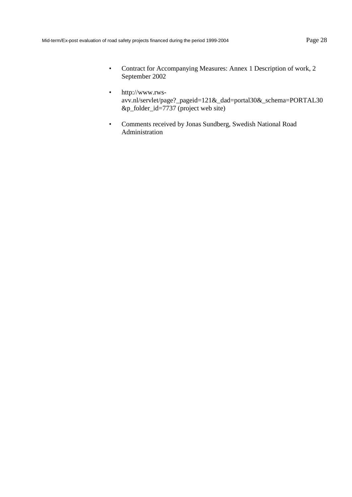- Contract for Accompanying Measures: Annex 1 Description of work, 2 September 2002
- http://www.rwsavv.nl/servlet/page?\_pageid=121&\_dad=portal30&\_schema=PORTAL30 &p\_folder\_id=7737 (project web site)
- Comments received by Jonas Sundberg, Swedish National Road Administration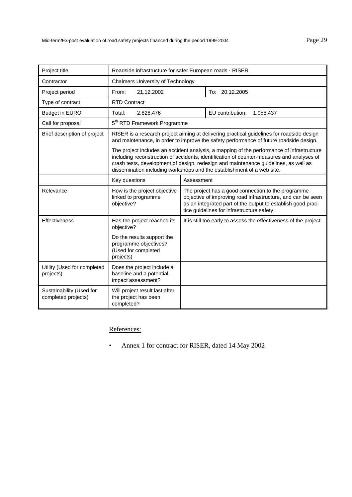| Project title                                   | Roadside infrastructure for safer European roads - RISER                                                                                                                                                                                                                                                                                                |  |                                                                                                                                                                                     |
|-------------------------------------------------|---------------------------------------------------------------------------------------------------------------------------------------------------------------------------------------------------------------------------------------------------------------------------------------------------------------------------------------------------------|--|-------------------------------------------------------------------------------------------------------------------------------------------------------------------------------------|
| Contractor                                      | <b>Chalmers University of Technology</b>                                                                                                                                                                                                                                                                                                                |  |                                                                                                                                                                                     |
| Project period                                  | 21.12.2002<br>From:                                                                                                                                                                                                                                                                                                                                     |  | To: 20.12.2005                                                                                                                                                                      |
| Type of contract                                | <b>RTD Contract</b>                                                                                                                                                                                                                                                                                                                                     |  |                                                                                                                                                                                     |
| <b>Budget in EURO</b>                           | Total:<br>2,828,476                                                                                                                                                                                                                                                                                                                                     |  | EU contribution:<br>1,955,437                                                                                                                                                       |
| Call for proposal                               | 5 <sup>th</sup> RTD Framework Programme                                                                                                                                                                                                                                                                                                                 |  |                                                                                                                                                                                     |
| Brief description of project                    |                                                                                                                                                                                                                                                                                                                                                         |  | RISER is a research project aiming at delivering practical guidelines for roadside design<br>and maintenance, in order to improve the safety performance of future roadside design. |
|                                                 | The project includes an accident analysis, a mapping of the performance of infrastructure<br>including reconstruction of accidents, identification of counter-measures and analyses of<br>crash tests, development of design, redesign and maintenance guidelines, as well as<br>dissemination including workshops and the establishment of a web site. |  |                                                                                                                                                                                     |
|                                                 | Key questions<br>Assessment                                                                                                                                                                                                                                                                                                                             |  |                                                                                                                                                                                     |
| Relevance                                       | How is the project objective<br>The project has a good connection to the programme<br>linked to programme<br>as an integrated part of the output to establish good prac-<br>objective?<br>tice guidelines for infrastructure safety.                                                                                                                    |  | objective of improving road infrastructure, and can be seen                                                                                                                         |
| Effectiveness                                   | Has the project reached its<br>objective?                                                                                                                                                                                                                                                                                                               |  | It is still too early to assess the effectiveness of the project.                                                                                                                   |
|                                                 | Do the results support the<br>programme objectives?<br>(Used for completed<br>projects)                                                                                                                                                                                                                                                                 |  |                                                                                                                                                                                     |
| Utility (Used for completed<br>projects)        | Does the project include a<br>baseline and a potential<br>impact assessment?                                                                                                                                                                                                                                                                            |  |                                                                                                                                                                                     |
| Sustainability (Used for<br>completed projects) | Will project result last after<br>the project has been<br>completed?                                                                                                                                                                                                                                                                                    |  |                                                                                                                                                                                     |

• Annex 1 for contract for RISER, dated 14 May 2002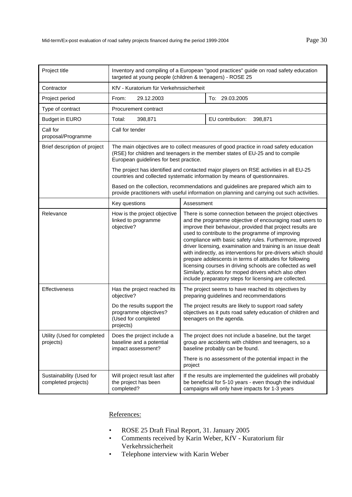| Project title                                   | Inventory and compiling of a European "good practices" guide on road safety education<br>targeted at young people (children & teenagers) - ROSE 25                               |                                                                                                                                                                                                                                                                                                                                                                                                                                                                                                                                                                                                                                                                                  |                                                                                                                                                                            |  |
|-------------------------------------------------|----------------------------------------------------------------------------------------------------------------------------------------------------------------------------------|----------------------------------------------------------------------------------------------------------------------------------------------------------------------------------------------------------------------------------------------------------------------------------------------------------------------------------------------------------------------------------------------------------------------------------------------------------------------------------------------------------------------------------------------------------------------------------------------------------------------------------------------------------------------------------|----------------------------------------------------------------------------------------------------------------------------------------------------------------------------|--|
| Contractor                                      | KfV - Kuratorium für Verkehrssicherheit                                                                                                                                          |                                                                                                                                                                                                                                                                                                                                                                                                                                                                                                                                                                                                                                                                                  |                                                                                                                                                                            |  |
| Project period                                  | 29.12.2003<br>From:                                                                                                                                                              |                                                                                                                                                                                                                                                                                                                                                                                                                                                                                                                                                                                                                                                                                  | To: 29.03.2005                                                                                                                                                             |  |
| Type of contract                                | Procurement contract                                                                                                                                                             |                                                                                                                                                                                                                                                                                                                                                                                                                                                                                                                                                                                                                                                                                  |                                                                                                                                                                            |  |
| <b>Budget in EURO</b>                           | 398,871<br>Total:                                                                                                                                                                |                                                                                                                                                                                                                                                                                                                                                                                                                                                                                                                                                                                                                                                                                  | EU contribution:<br>398,871                                                                                                                                                |  |
| Call for<br>proposal/Programme                  | Call for tender                                                                                                                                                                  |                                                                                                                                                                                                                                                                                                                                                                                                                                                                                                                                                                                                                                                                                  |                                                                                                                                                                            |  |
| Brief description of project                    | European guidelines for best practice.                                                                                                                                           |                                                                                                                                                                                                                                                                                                                                                                                                                                                                                                                                                                                                                                                                                  | The main objectives are to collect measures of good practice in road safety education<br>(RSE) for children and teenagers in the member states of EU-25 and to compile     |  |
|                                                 |                                                                                                                                                                                  |                                                                                                                                                                                                                                                                                                                                                                                                                                                                                                                                                                                                                                                                                  | The project has identified and contacted major players on RSE activities in all EU-25<br>countries and collected systematic information by means of questionnaires.        |  |
|                                                 | Based on the collection, recommendations and guidelines are prepared which aim to<br>provide practitioners with useful information on planning and carrying out such activities. |                                                                                                                                                                                                                                                                                                                                                                                                                                                                                                                                                                                                                                                                                  |                                                                                                                                                                            |  |
|                                                 | Key questions<br>Assessment                                                                                                                                                      |                                                                                                                                                                                                                                                                                                                                                                                                                                                                                                                                                                                                                                                                                  |                                                                                                                                                                            |  |
| Relevance                                       | How is the project objective<br>linked to programme<br>objective?                                                                                                                | There is some connection between the project objectives<br>and the programme objective of encouraging road users to<br>improve their behaviour, provided that project results are<br>used to contribute to the programme of improving<br>compliance with basic safety rules. Furthermore, improved<br>driver licensing, examination and training is an issue dealt<br>with indirectly, as interventions for pre-drivers which should<br>prepare adolescents in terms of attitudes for following<br>licensing courses in driving schools are collected as well<br>Similarly, actions for moped drivers which also often<br>include preparatory steps for licensing are collected. |                                                                                                                                                                            |  |
| Effectiveness                                   | Has the project reached its<br>objective?                                                                                                                                        | The project seems to have reached its objectives by<br>preparing guidelines and recommendations                                                                                                                                                                                                                                                                                                                                                                                                                                                                                                                                                                                  |                                                                                                                                                                            |  |
|                                                 | Do the results support the<br>programme objectives?<br>(Used for completed<br>projects)                                                                                          | The project results are likely to support road safety<br>objectives as it puts road safety education of children and<br>teenagers on the agenda.                                                                                                                                                                                                                                                                                                                                                                                                                                                                                                                                 |                                                                                                                                                                            |  |
| Utility (Used for completed<br>projects)        | Does the project include a<br>baseline and a potential<br>impact assessment?                                                                                                     |                                                                                                                                                                                                                                                                                                                                                                                                                                                                                                                                                                                                                                                                                  | The project does not include a baseline, but the target<br>group are accidents with children and teenagers, so a<br>baseline probably can be found.                        |  |
|                                                 |                                                                                                                                                                                  | There is no assessment of the potential impact in the<br>project                                                                                                                                                                                                                                                                                                                                                                                                                                                                                                                                                                                                                 |                                                                                                                                                                            |  |
| Sustainability (Used for<br>completed projects) | Will project result last after<br>the project has been<br>completed?                                                                                                             |                                                                                                                                                                                                                                                                                                                                                                                                                                                                                                                                                                                                                                                                                  | If the results are implemented the guidelines will probably<br>be beneficial for 5-10 years - even though the individual<br>campaigns will only have impacts for 1-3 years |  |

- ROSE 25 Draft Final Report, 31. January 2005
- Comments received by Karin Weber, KfV Kuratorium für Verkehrssicherheit
- Telephone interview with Karin Weber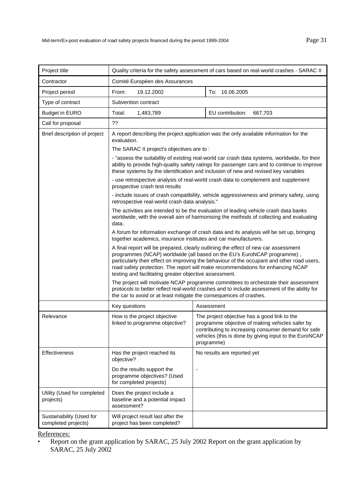| Project title                                   | Quality criteria for the safety assessment of cars based on real-world crashes - SARAC II                                                                                                                                                                                                                                                                                                                 |                                                                                                                                                                                                                                                                                     |  |
|-------------------------------------------------|-----------------------------------------------------------------------------------------------------------------------------------------------------------------------------------------------------------------------------------------------------------------------------------------------------------------------------------------------------------------------------------------------------------|-------------------------------------------------------------------------------------------------------------------------------------------------------------------------------------------------------------------------------------------------------------------------------------|--|
| Contractor                                      | Comité Européen des Assurances                                                                                                                                                                                                                                                                                                                                                                            |                                                                                                                                                                                                                                                                                     |  |
| Project period                                  | 19.12.2002<br>From:                                                                                                                                                                                                                                                                                                                                                                                       | To: 16.06.2005                                                                                                                                                                                                                                                                      |  |
| Type of contract                                | Subvention contract                                                                                                                                                                                                                                                                                                                                                                                       |                                                                                                                                                                                                                                                                                     |  |
| <b>Budget in EURO</b>                           | Total:<br>1,483,789                                                                                                                                                                                                                                                                                                                                                                                       | EU contribution:<br>667,703                                                                                                                                                                                                                                                         |  |
| Call for proposal                               | ??                                                                                                                                                                                                                                                                                                                                                                                                        |                                                                                                                                                                                                                                                                                     |  |
| Brief description of project                    | A report describing the project application was the only available information for the<br>evaluation.                                                                                                                                                                                                                                                                                                     |                                                                                                                                                                                                                                                                                     |  |
|                                                 | The SARAC II project's objectives are to:                                                                                                                                                                                                                                                                                                                                                                 |                                                                                                                                                                                                                                                                                     |  |
|                                                 |                                                                                                                                                                                                                                                                                                                                                                                                           | - "assess the suitability of existing real-world car crash data systems, worldwide, for their<br>ability to provide high-quality safety ratings for passenger cars and to continue to improve<br>these systems by the identification and inclusion of new and revised key variables |  |
|                                                 | prospective crash test results                                                                                                                                                                                                                                                                                                                                                                            | - use retrospective analysis of real-world crash data to complement and supplement                                                                                                                                                                                                  |  |
|                                                 | retrospective real-world crash data analysis."                                                                                                                                                                                                                                                                                                                                                            | - include issues of crash compatibility, vehicle aggressiveness and primary safety, using                                                                                                                                                                                           |  |
|                                                 | The activities are intended to be the evaluation of leading vehicle crash data banks<br>worldwide, with the overall aim of harmonising the methods of collecting and evaluating<br>data.                                                                                                                                                                                                                  |                                                                                                                                                                                                                                                                                     |  |
|                                                 | A forum for information exchange of crash data and its analysis will be set up, bringing<br>together academics, insurance institutes and car manufacturers.                                                                                                                                                                                                                                               |                                                                                                                                                                                                                                                                                     |  |
|                                                 | A final report will be prepared, clearly outlining the effect of new car assessment<br>programmes (NCAP) worldwide (all based on the EU's EuroNCAP programme),<br>particularly their effect on improving the behaviour of the occupant and other road users,<br>road safety protection. The report will make recommendations for enhancing NCAP<br>testing and facilitating greater objective assessment. |                                                                                                                                                                                                                                                                                     |  |
|                                                 | the car to avoid or at least mitigate the consequences of crashes.                                                                                                                                                                                                                                                                                                                                        | The project will motivate NCAP programme committees to orchestrate their assessment<br>protocols to better reflect real-world crashes and to include assessment of the ability for                                                                                                  |  |
|                                                 | Key questions                                                                                                                                                                                                                                                                                                                                                                                             | Assessment                                                                                                                                                                                                                                                                          |  |
| Relevance                                       | How is the project objective<br>linked to programme objective?                                                                                                                                                                                                                                                                                                                                            | The project objective has a good link to the<br>programme objective of making vehicles safer by<br>contributing to increasing consumer demand for safe<br>vehicles (this is done by giving input to the EuroNCAP<br>programme)                                                      |  |
| <b>Effectiveness</b>                            | Has the project reached its<br>objective?                                                                                                                                                                                                                                                                                                                                                                 | No results are reported yet                                                                                                                                                                                                                                                         |  |
|                                                 | Do the results support the<br>programme objectives? (Used<br>for completed projects)                                                                                                                                                                                                                                                                                                                      | $\overline{\phantom{a}}$                                                                                                                                                                                                                                                            |  |
| Utility (Used for completed<br>projects)        | Does the project include a<br>baseline and a potential impact<br>assessment?                                                                                                                                                                                                                                                                                                                              |                                                                                                                                                                                                                                                                                     |  |
| Sustainability (Used for<br>completed projects) | Will project result last after the<br>project has been completed?                                                                                                                                                                                                                                                                                                                                         |                                                                                                                                                                                                                                                                                     |  |

<sup>•</sup> Report on the grant application by SARAC, 25 July 2002 Report on the grant application by SARAC, 25 July 2002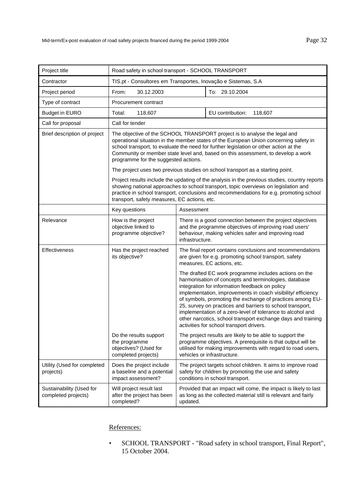| Project title                                   | Road safety in school transport - SCHOOL TRANSPORT                                                                                                                                                                                                                                                                                                                                      |                                                                                                                                                                                                                                                                                                                                                                                                                                                                                                                                      |                                                                                                                                   |
|-------------------------------------------------|-----------------------------------------------------------------------------------------------------------------------------------------------------------------------------------------------------------------------------------------------------------------------------------------------------------------------------------------------------------------------------------------|--------------------------------------------------------------------------------------------------------------------------------------------------------------------------------------------------------------------------------------------------------------------------------------------------------------------------------------------------------------------------------------------------------------------------------------------------------------------------------------------------------------------------------------|-----------------------------------------------------------------------------------------------------------------------------------|
| Contractor                                      | TIS.pt - Consultores em Transportes, Inovação e Sistemas, S.A                                                                                                                                                                                                                                                                                                                           |                                                                                                                                                                                                                                                                                                                                                                                                                                                                                                                                      |                                                                                                                                   |
| Project period                                  | 30.12.2003<br>From:                                                                                                                                                                                                                                                                                                                                                                     |                                                                                                                                                                                                                                                                                                                                                                                                                                                                                                                                      | To: 29.10.2004                                                                                                                    |
| Type of contract                                | Procurement contract                                                                                                                                                                                                                                                                                                                                                                    |                                                                                                                                                                                                                                                                                                                                                                                                                                                                                                                                      |                                                                                                                                   |
| <b>Budget in EURO</b>                           | Total:<br>118,607                                                                                                                                                                                                                                                                                                                                                                       |                                                                                                                                                                                                                                                                                                                                                                                                                                                                                                                                      | EU contribution:<br>118,607                                                                                                       |
| Call for proposal                               | Call for tender                                                                                                                                                                                                                                                                                                                                                                         |                                                                                                                                                                                                                                                                                                                                                                                                                                                                                                                                      |                                                                                                                                   |
| Brief description of project                    | The objective of the SCHOOL TRANSPORT project is to analyse the legal and<br>operational situation in the member states of the European Union concerning safety in<br>school transport, to evaluate the need for further legislation or other action at the<br>Community or member state level and, based on this assessment, to develop a work<br>programme for the suggested actions. |                                                                                                                                                                                                                                                                                                                                                                                                                                                                                                                                      |                                                                                                                                   |
|                                                 |                                                                                                                                                                                                                                                                                                                                                                                         |                                                                                                                                                                                                                                                                                                                                                                                                                                                                                                                                      | The project uses two previous studies on school transport as a starting point.                                                    |
|                                                 | Project results include the updating of the analysis in the previous studies, country reports<br>showing national approaches to school transport, topic overviews on legislation and<br>practice in school transport, conclusions and recommendations for e.g. promoting school<br>transport, safety measures, EC actions, etc.                                                         |                                                                                                                                                                                                                                                                                                                                                                                                                                                                                                                                      |                                                                                                                                   |
|                                                 | Key questions                                                                                                                                                                                                                                                                                                                                                                           | Assessment                                                                                                                                                                                                                                                                                                                                                                                                                                                                                                                           |                                                                                                                                   |
| Relevance                                       | How is the project<br>objective linked to<br>programme objective?                                                                                                                                                                                                                                                                                                                       | There is a good connection between the project objectives<br>and the programme objectives of improving road users'<br>behaviour, making vehicles safer and improving road<br>infrastructure.                                                                                                                                                                                                                                                                                                                                         |                                                                                                                                   |
| Effectiveness                                   | Has the project reached<br>its objective?                                                                                                                                                                                                                                                                                                                                               | The final report contains conclusions and recommendations<br>are given for e.g. promoting school transport, safety<br>measures, EC actions, etc.                                                                                                                                                                                                                                                                                                                                                                                     |                                                                                                                                   |
|                                                 |                                                                                                                                                                                                                                                                                                                                                                                         | The drafted EC work programme includes actions on the<br>harmonisation of concepts and terminologies, database<br>integration for information feedback on policy<br>implementation, improvements in coach visibility/ efficiency<br>of symbols, promoting the exchange of practices among EU-<br>25, survey on practices and barriers to school transport,<br>implementation of a zero-level of tolerance to alcohol and<br>other narcotics, school transport exchange days and training<br>activities for school transport drivers. |                                                                                                                                   |
|                                                 | Do the results support<br>the programme<br>objectives? (Used for<br>completed projects)                                                                                                                                                                                                                                                                                                 | The project results are likely to be able to support the<br>programme objectives. A prerequisite is that output will be<br>utilised for making improvements with regard to road users,<br>vehicles or infrastructure.                                                                                                                                                                                                                                                                                                                |                                                                                                                                   |
| Utility (Used for completed<br>projects)        | Does the project include<br>a baseline and a potential<br>impact assessment?                                                                                                                                                                                                                                                                                                            | The project targets school children. It aims to improve road<br>safety for children by promoting the use and safety<br>conditions in school transport.                                                                                                                                                                                                                                                                                                                                                                               |                                                                                                                                   |
| Sustainability (Used for<br>completed projects) | Will project result last<br>after the project has been<br>completed?                                                                                                                                                                                                                                                                                                                    | updated.                                                                                                                                                                                                                                                                                                                                                                                                                                                                                                                             | Provided that an impact will come, the impact is likely to last<br>as long as the collected material still is relevant and fairly |

• SCHOOL TRANSPORT - "Road safety in school transport, Final Report", 15 October 2004.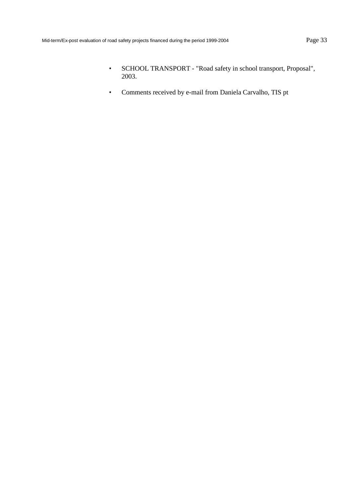- SCHOOL TRANSPORT "Road safety in school transport, Proposal", 2003.
- Comments received by e-mail from Daniela Carvalho, TIS pt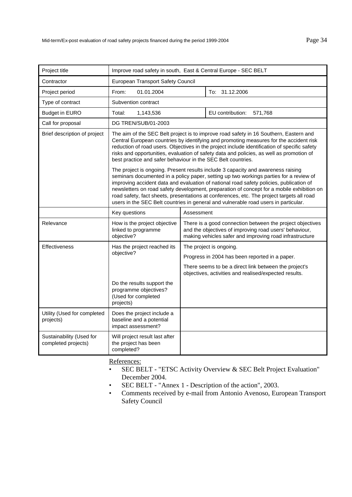| Project title                                   | Improve road safety in south, East & Central Europe - SEC BELT                                                                                                                                                                                                                                                                                                                                                                                                                                                                                         |                                                                                                                                                                                |                                                                                                                |
|-------------------------------------------------|--------------------------------------------------------------------------------------------------------------------------------------------------------------------------------------------------------------------------------------------------------------------------------------------------------------------------------------------------------------------------------------------------------------------------------------------------------------------------------------------------------------------------------------------------------|--------------------------------------------------------------------------------------------------------------------------------------------------------------------------------|----------------------------------------------------------------------------------------------------------------|
| Contractor                                      | European Transport Safety Council                                                                                                                                                                                                                                                                                                                                                                                                                                                                                                                      |                                                                                                                                                                                |                                                                                                                |
| Project period                                  | From:<br>01.01.2004                                                                                                                                                                                                                                                                                                                                                                                                                                                                                                                                    |                                                                                                                                                                                | To: 31.12.2006                                                                                                 |
| Type of contract                                | Subvention contract                                                                                                                                                                                                                                                                                                                                                                                                                                                                                                                                    |                                                                                                                                                                                |                                                                                                                |
| <b>Budget in EURO</b>                           | Total:<br>1,143,536                                                                                                                                                                                                                                                                                                                                                                                                                                                                                                                                    |                                                                                                                                                                                | EU contribution:<br>571,768                                                                                    |
| Call for proposal                               | DG TREN/SUB/01-2003                                                                                                                                                                                                                                                                                                                                                                                                                                                                                                                                    |                                                                                                                                                                                |                                                                                                                |
| Brief description of project                    | The aim of the SEC Belt project is to improve road safety in 16 Southern, Eastern and<br>Central European countries by identifying and promoting measures for the accident risk<br>reduction of road users. Objectives in the project include identification of specific safety<br>risks and opportunities, evaluation of safety data and policies, as well as promotion of<br>best practice and safer behaviour in the SEC Belt countries.                                                                                                            |                                                                                                                                                                                |                                                                                                                |
|                                                 | The project is ongoing. Present results include 3 capacity and awareness raising<br>seminars documented in a policy paper, setting up two workings parties for a review of<br>improving accident data and evaluation of national road safety policies, publication of<br>newsletters on road safety development, preparation of concept for a mobile exhibition on<br>road safety, fact sheets, presentations at conferences, etc. The project targets all road<br>users in the SEC Belt countries in general and vulnerable road users in particular. |                                                                                                                                                                                |                                                                                                                |
|                                                 | Key questions<br>Assessment                                                                                                                                                                                                                                                                                                                                                                                                                                                                                                                            |                                                                                                                                                                                |                                                                                                                |
| Relevance                                       | How is the project objective<br>linked to programme<br>objective?                                                                                                                                                                                                                                                                                                                                                                                                                                                                                      | There is a good connection between the project objectives<br>and the objectives of improving road users' behaviour,<br>making vehicles safer and improving road infrastructure |                                                                                                                |
| Effectiveness                                   | Has the project reached its                                                                                                                                                                                                                                                                                                                                                                                                                                                                                                                            |                                                                                                                                                                                | The project is ongoing.                                                                                        |
|                                                 | objective?                                                                                                                                                                                                                                                                                                                                                                                                                                                                                                                                             | Progress in 2004 has been reported in a paper.                                                                                                                                 |                                                                                                                |
|                                                 |                                                                                                                                                                                                                                                                                                                                                                                                                                                                                                                                                        |                                                                                                                                                                                | There seems to be a direct link between the project's<br>objectives, activities and realised/expected results. |
|                                                 | Do the results support the<br>programme objectives?<br>(Used for completed<br>projects)                                                                                                                                                                                                                                                                                                                                                                                                                                                                |                                                                                                                                                                                |                                                                                                                |
| Utility (Used for completed<br>projects)        | Does the project include a<br>baseline and a potential<br>impact assessment?                                                                                                                                                                                                                                                                                                                                                                                                                                                                           |                                                                                                                                                                                |                                                                                                                |
| Sustainability (Used for<br>completed projects) | Will project result last after<br>the project has been<br>completed?                                                                                                                                                                                                                                                                                                                                                                                                                                                                                   |                                                                                                                                                                                |                                                                                                                |

- SEC BELT "ETSC Activity Overview & SEC Belt Project Evaluation" December 2004.
- SEC BELT "Annex 1 Description of the action", 2003.
- Comments received by e-mail from Antonio Avenoso, European Transport Safety Council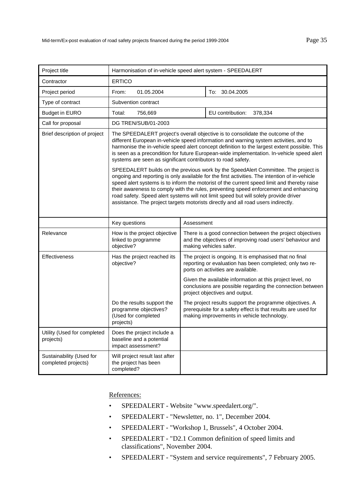| Project title                                   | Harmonisation of in-vehicle speed alert system - SPEEDALERT                                                                                                                                                                                                                                                                                                                                                                                                                                                                                            |                                                                                                                                                                        |  |
|-------------------------------------------------|--------------------------------------------------------------------------------------------------------------------------------------------------------------------------------------------------------------------------------------------------------------------------------------------------------------------------------------------------------------------------------------------------------------------------------------------------------------------------------------------------------------------------------------------------------|------------------------------------------------------------------------------------------------------------------------------------------------------------------------|--|
| Contractor                                      | <b>ERTICO</b>                                                                                                                                                                                                                                                                                                                                                                                                                                                                                                                                          |                                                                                                                                                                        |  |
| Project period                                  | From:<br>01.05.2004                                                                                                                                                                                                                                                                                                                                                                                                                                                                                                                                    | To: 30.04.2005                                                                                                                                                         |  |
| Type of contract                                | Subvention contract                                                                                                                                                                                                                                                                                                                                                                                                                                                                                                                                    |                                                                                                                                                                        |  |
| <b>Budget in EURO</b>                           | Total:<br>756,669                                                                                                                                                                                                                                                                                                                                                                                                                                                                                                                                      | EU contribution:<br>378,334                                                                                                                                            |  |
| Call for proposal                               | DG TREN/SUB/01-2003                                                                                                                                                                                                                                                                                                                                                                                                                                                                                                                                    |                                                                                                                                                                        |  |
| Brief description of project                    | The SPEEDALERT project's overall objective is to consolidate the outcome of the<br>different European in-vehicle speed information and warning system activities, and to<br>harmonise the in-vehicle speed alert concept definition to the largest extent possible. This<br>is seen as a precondition for future European-wide implementation. In-vehicle speed alert<br>systems are seen as significant contributors to road safety.                                                                                                                  |                                                                                                                                                                        |  |
|                                                 | SPEEDALERT builds on the previous work by the SpeedAlert Committee. The project is<br>ongoing and reporting is only available for the first activities. The intention of in-vehicle<br>speed alert systems is to inform the motorist of the current speed limit and thereby raise<br>their awareness to comply with the rules, preventing speed enforcement and enhancing<br>road safety. Speed alert systems will not limit speed but will solely provide driver<br>assistance. The project targets motorists directly and all road users indirectly. |                                                                                                                                                                        |  |
|                                                 | Key questions                                                                                                                                                                                                                                                                                                                                                                                                                                                                                                                                          | Assessment                                                                                                                                                             |  |
| Relevance                                       | How is the project objective<br>linked to programme<br>objective?                                                                                                                                                                                                                                                                                                                                                                                                                                                                                      | There is a good connection between the project objectives<br>and the objectives of improving road users' behaviour and<br>making vehicles safer.                       |  |
| Effectiveness                                   | Has the project reached its<br>objective?                                                                                                                                                                                                                                                                                                                                                                                                                                                                                                              | The project is ongoing. It is emphasised that no final<br>reporting or evaluation has been completed; only two re-<br>ports on activities are available.               |  |
|                                                 |                                                                                                                                                                                                                                                                                                                                                                                                                                                                                                                                                        | Given the available information at this project level, no<br>conclusions are possible regarding the connection between<br>project objectives and output.               |  |
|                                                 | Do the results support the<br>programme objectives?<br>(Used for completed<br>projects)                                                                                                                                                                                                                                                                                                                                                                                                                                                                | The project results support the programme objectives. A<br>prerequisite for a safety effect is that results are used for<br>making improvements in vehicle technology. |  |
| Utility (Used for completed<br>projects)        | Does the project include a<br>baseline and a potential<br>impact assessment?                                                                                                                                                                                                                                                                                                                                                                                                                                                                           |                                                                                                                                                                        |  |
| Sustainability (Used for<br>completed projects) | Will project result last after<br>the project has been<br>completed?                                                                                                                                                                                                                                                                                                                                                                                                                                                                                   |                                                                                                                                                                        |  |

- SPEEDALERT Website "www.speedalert.org/".
- SPEEDALERT "Newsletter, no. 1", December 2004.
- SPEEDALERT "Workshop 1, Brussels", 4 October 2004.
- SPEEDALERT "D2.1 Common definition of speed limits and classifications", November 2004.
- SPEEDALERT "System and service requirements", 7 February 2005.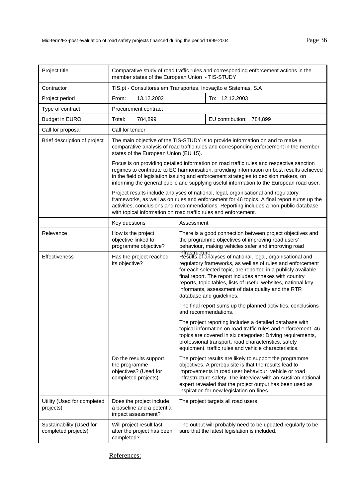| Project title                                   | Comparative study of road traffic rules and corresponding enforcement actions in the<br>member states of the European Union - TIS-STUDY |                                                                                                                                                                                                                                                                                                                                                                                                                           |                                                                                                                                                                                                                                                                                                                                                                            |
|-------------------------------------------------|-----------------------------------------------------------------------------------------------------------------------------------------|---------------------------------------------------------------------------------------------------------------------------------------------------------------------------------------------------------------------------------------------------------------------------------------------------------------------------------------------------------------------------------------------------------------------------|----------------------------------------------------------------------------------------------------------------------------------------------------------------------------------------------------------------------------------------------------------------------------------------------------------------------------------------------------------------------------|
| Contractor                                      | TIS.pt - Consultores em Transportes, Inovação e Sistemas, S.A                                                                           |                                                                                                                                                                                                                                                                                                                                                                                                                           |                                                                                                                                                                                                                                                                                                                                                                            |
| Project period                                  | 13.12.2002<br>To: 12.12.2003<br>From:                                                                                                   |                                                                                                                                                                                                                                                                                                                                                                                                                           |                                                                                                                                                                                                                                                                                                                                                                            |
| Type of contract                                | Procurement contract                                                                                                                    |                                                                                                                                                                                                                                                                                                                                                                                                                           |                                                                                                                                                                                                                                                                                                                                                                            |
| <b>Budget in EURO</b>                           | Total:<br>784,899                                                                                                                       |                                                                                                                                                                                                                                                                                                                                                                                                                           | EU contribution: 784,899                                                                                                                                                                                                                                                                                                                                                   |
| Call for proposal                               | Call for tender                                                                                                                         |                                                                                                                                                                                                                                                                                                                                                                                                                           |                                                                                                                                                                                                                                                                                                                                                                            |
| Brief description of project                    | states of the European Union (EU 15).                                                                                                   |                                                                                                                                                                                                                                                                                                                                                                                                                           | The main objective of the TIS-STUDY is to provide information on and to make a<br>comparative analysis of road traffic rules and corresponding enforcement in the member                                                                                                                                                                                                   |
|                                                 |                                                                                                                                         |                                                                                                                                                                                                                                                                                                                                                                                                                           | Focus is on providing detailed information on road traffic rules and respective sanction<br>regimes to contribute to EC harmonisation, providing information on best results achieved<br>in the field of legislation issuing and enforcement strategies to decision makers, on<br>informing the general public and supplying useful information to the European road user. |
|                                                 | with topical information on road traffic rules and enforcement.                                                                         |                                                                                                                                                                                                                                                                                                                                                                                                                           | Project results include analyses of national, legal, organisational and regulatory<br>frameworks, as well as on rules and enforcement for 46 topics. A final report sums up the<br>activities, conclusions and recommendations. Reporting includes a non-public database                                                                                                   |
|                                                 | Key questions                                                                                                                           | Assessment                                                                                                                                                                                                                                                                                                                                                                                                                |                                                                                                                                                                                                                                                                                                                                                                            |
| Relevance                                       | How is the project<br>objective linked to<br>programme objective?                                                                       | There is a good connection between project objectives and<br>the programme objectives of improving road users'<br>behaviour, making vehicles safer and improving road                                                                                                                                                                                                                                                     |                                                                                                                                                                                                                                                                                                                                                                            |
| Effectiveness                                   | Has the project reached<br>its objective?                                                                                               | infrastructure.<br>Results of analyses of national, legal, organisational and<br>regulatory frameworks, as well as of rules and enforcement<br>for each selected topic, are reported in a publicly available<br>final report. The report includes annexes with country<br>reports, topic tables, lists of useful websites, national key<br>informants, assessment of data quality and the RTR<br>database and guidelines. |                                                                                                                                                                                                                                                                                                                                                                            |
|                                                 |                                                                                                                                         |                                                                                                                                                                                                                                                                                                                                                                                                                           | The final report sums up the planned activities, conclusions<br>and recommendations.                                                                                                                                                                                                                                                                                       |
|                                                 |                                                                                                                                         | The project reporting includes a detailed database with<br>topical information on road traffic rules and enforcement. 46<br>topics are covered in six categories: Driving requirements,<br>professional transport, road characteristics, safety<br>equipment, traffic rules and vehicle characteristics.                                                                                                                  |                                                                                                                                                                                                                                                                                                                                                                            |
|                                                 | Do the results support<br>the programme<br>objectives? (Used for<br>completed projects)                                                 | The project results are likely to support the programme<br>objectives. A prerequisite is that the results lead to<br>improvements in road user behaviour, vehicle or road<br>infrastructure safety. The interview with an Austiran national<br>expert revealed that the project output has been used as<br>inspiration for new legislation on fines.                                                                      |                                                                                                                                                                                                                                                                                                                                                                            |
| Utility (Used for completed<br>projects)        | Does the project include<br>a baseline and a potential<br>impact assessment?                                                            |                                                                                                                                                                                                                                                                                                                                                                                                                           | The project targets all road users.                                                                                                                                                                                                                                                                                                                                        |
| Sustainability (Used for<br>completed projects) | Will project result last<br>after the project has been<br>completed?                                                                    |                                                                                                                                                                                                                                                                                                                                                                                                                           | The output will probably need to be updated regularly to be<br>sure that the latest legislation is included.                                                                                                                                                                                                                                                               |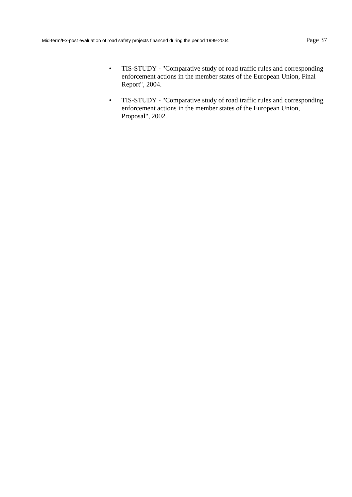- TIS-STUDY "Comparative study of road traffic rules and corresponding enforcement actions in the member states of the European Union, Final Report", 2004.
- TIS-STUDY "Comparative study of road traffic rules and corresponding enforcement actions in the member states of the European Union, Proposal", 2002.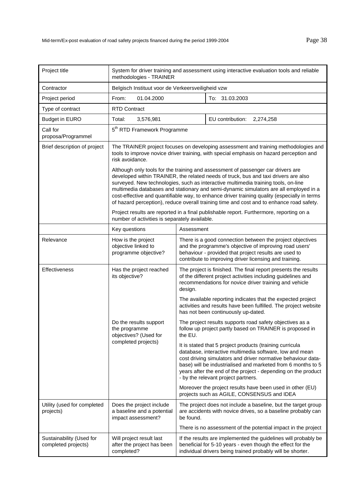| Project title                                   | System for driver training and assessment using interactive evaluation tools and reliable<br>methodologies - TRAINER                                                                                                                                                                                                                                                                                                                                                                                                                               |                                                                                                                                                                                                                                                                                                                                                             |                                                                                                                                                                                            |  |
|-------------------------------------------------|----------------------------------------------------------------------------------------------------------------------------------------------------------------------------------------------------------------------------------------------------------------------------------------------------------------------------------------------------------------------------------------------------------------------------------------------------------------------------------------------------------------------------------------------------|-------------------------------------------------------------------------------------------------------------------------------------------------------------------------------------------------------------------------------------------------------------------------------------------------------------------------------------------------------------|--------------------------------------------------------------------------------------------------------------------------------------------------------------------------------------------|--|
| Contractor                                      | Belgisch Instituut voor de Verkeersveiligheid vzw                                                                                                                                                                                                                                                                                                                                                                                                                                                                                                  |                                                                                                                                                                                                                                                                                                                                                             |                                                                                                                                                                                            |  |
| Project period                                  | 01.04.2000<br>To: 31.03.2003<br>From:                                                                                                                                                                                                                                                                                                                                                                                                                                                                                                              |                                                                                                                                                                                                                                                                                                                                                             |                                                                                                                                                                                            |  |
| Type of contract                                | <b>RTD Contract</b>                                                                                                                                                                                                                                                                                                                                                                                                                                                                                                                                |                                                                                                                                                                                                                                                                                                                                                             |                                                                                                                                                                                            |  |
| <b>Budget in EURO</b>                           | Total:<br>3,576,981                                                                                                                                                                                                                                                                                                                                                                                                                                                                                                                                |                                                                                                                                                                                                                                                                                                                                                             | EU contribution:<br>2,274,258                                                                                                                                                              |  |
| Call for<br>proposa/Programmel                  | 5 <sup>th</sup> RTD Framework Programme                                                                                                                                                                                                                                                                                                                                                                                                                                                                                                            |                                                                                                                                                                                                                                                                                                                                                             |                                                                                                                                                                                            |  |
| Brief description of project                    | risk avoidance.                                                                                                                                                                                                                                                                                                                                                                                                                                                                                                                                    |                                                                                                                                                                                                                                                                                                                                                             | The TRAINER project focuses on developing assessment and training methodologies and<br>tools to improve novice driver training, with special emphasis on hazard perception and             |  |
|                                                 | Although only tools for the training and assessment of passenger car drivers are<br>developed within TRAINER, the related needs of truck, bus and taxi drivers are also<br>surveyed. New technologies, such as interactive multimedia training tools, on-line<br>multimedia databases and stationary and semi-dynamic simulators are all employed in a<br>cost-effective and quantifiable way, to enhance driver training quality (especially in terms<br>of hazard perception), reduce overall training time and cost and to enhance road safety. |                                                                                                                                                                                                                                                                                                                                                             |                                                                                                                                                                                            |  |
|                                                 | number of activities is separately available.                                                                                                                                                                                                                                                                                                                                                                                                                                                                                                      |                                                                                                                                                                                                                                                                                                                                                             | Project results are reported in a final publishable report. Furthermore, reporting on a                                                                                                    |  |
|                                                 | Key questions                                                                                                                                                                                                                                                                                                                                                                                                                                                                                                                                      | Assessment                                                                                                                                                                                                                                                                                                                                                  |                                                                                                                                                                                            |  |
| Relevance                                       | How is the project<br>objective linked to<br>programme objective?                                                                                                                                                                                                                                                                                                                                                                                                                                                                                  | There is a good connection between the project objectives<br>and the programme's objective of improving road users'<br>behaviour - provided that project results are used to<br>contribute to improving driver licensing and training.                                                                                                                      |                                                                                                                                                                                            |  |
| Effectiveness                                   | Has the project reached<br>its objective?                                                                                                                                                                                                                                                                                                                                                                                                                                                                                                          | The project is finished. The final report presents the results<br>of the different project activities including guidelines and<br>recommendations for novice driver training and vehicle<br>design.                                                                                                                                                         |                                                                                                                                                                                            |  |
|                                                 |                                                                                                                                                                                                                                                                                                                                                                                                                                                                                                                                                    | The available reporting indicates that the expected project<br>activities and results have been fulfilled. The project website<br>has not been continuously up-dated.                                                                                                                                                                                       |                                                                                                                                                                                            |  |
|                                                 | Do the results support<br>the programme<br>objectives? (Used for                                                                                                                                                                                                                                                                                                                                                                                                                                                                                   | the EU.                                                                                                                                                                                                                                                                                                                                                     | The project results supports road safety objectives as a<br>follow up project partly based on TRAINER is proposed in                                                                       |  |
|                                                 | completed projects)                                                                                                                                                                                                                                                                                                                                                                                                                                                                                                                                | It is stated that 5 project products (training curricula<br>database, interactive multimedia software, low and mean<br>cost driving simulators and driver normative behaviour data-<br>base) will be industrialised and marketed from 6 months to 5<br>years after the end of the project - depending on the product<br>- by the relevant project partners. |                                                                                                                                                                                            |  |
|                                                 |                                                                                                                                                                                                                                                                                                                                                                                                                                                                                                                                                    |                                                                                                                                                                                                                                                                                                                                                             | Moreover the project results have been used in other (EU)<br>projects such as AGILE, CONSENSUS and IDEA                                                                                    |  |
| Utility (used for completed<br>projects)        | Does the project include<br>a baseline and a potential<br>impact assessment?                                                                                                                                                                                                                                                                                                                                                                                                                                                                       | be found.                                                                                                                                                                                                                                                                                                                                                   | The project does not include a baseline, but the target group<br>are accidents with novice drives, so a baseline probably can                                                              |  |
|                                                 |                                                                                                                                                                                                                                                                                                                                                                                                                                                                                                                                                    |                                                                                                                                                                                                                                                                                                                                                             | There is no assessment of the potential impact in the project                                                                                                                              |  |
| Sustainability (Used for<br>completed projects) | Will project result last<br>after the project has been<br>completed?                                                                                                                                                                                                                                                                                                                                                                                                                                                                               |                                                                                                                                                                                                                                                                                                                                                             | If the results are implemented the guidelines will probably be<br>beneficial for 5-10 years - even though the effect for the<br>individual drivers being trained probably will be shorter. |  |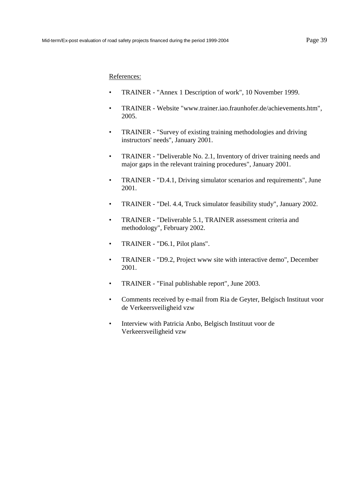- TRAINER "Annex 1 Description of work", 10 November 1999.
- TRAINER Website "www.trainer.iao.fraunhofer.de/achievements.htm", 2005.
- TRAINER "Survey of existing training methodologies and driving instructors' needs", January 2001.
- TRAINER "Deliverable No. 2.1, Inventory of driver training needs and major gaps in the relevant training procedures", January 2001.
- TRAINER "D.4.1, Driving simulator scenarios and requirements", June 2001.
- TRAINER "Del. 4.4, Truck simulator feasibility study", January 2002.
- TRAINER "Deliverable 5.1, TRAINER assessment criteria and methodology", February 2002.
- TRAINER "D6.1, Pilot plans".
- TRAINER "D9.2, Project www site with interactive demo", December 2001.
- TRAINER "Final publishable report", June 2003.
- Comments received by e-mail from Ria de Geyter, Belgisch Instituut voor de Verkeersveiligheid vzw
- Interview with Patricia Anbo, Belgisch Instituut voor de Verkeersveiligheid vzw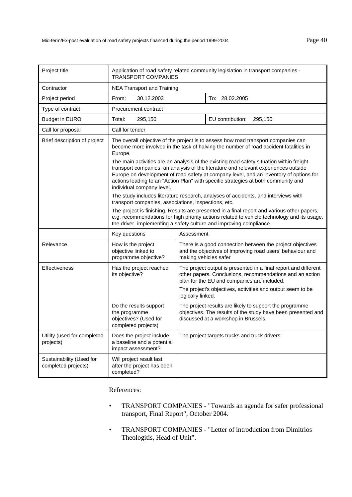| Project title                                   | Application of road safety related community legislation in transport companies -<br><b>TRANSPORT COMPANIES</b>                                                                                                                                                                                                                                                                              |                                                                                                                                                 |                                                                                                                                                                            |  |
|-------------------------------------------------|----------------------------------------------------------------------------------------------------------------------------------------------------------------------------------------------------------------------------------------------------------------------------------------------------------------------------------------------------------------------------------------------|-------------------------------------------------------------------------------------------------------------------------------------------------|----------------------------------------------------------------------------------------------------------------------------------------------------------------------------|--|
| Contractor                                      | <b>NEA Transport and Training</b>                                                                                                                                                                                                                                                                                                                                                            |                                                                                                                                                 |                                                                                                                                                                            |  |
| Project period                                  | 30.12.2003<br>From:                                                                                                                                                                                                                                                                                                                                                                          |                                                                                                                                                 | To: 28.02.2005                                                                                                                                                             |  |
| Type of contract                                | Procurement contract                                                                                                                                                                                                                                                                                                                                                                         |                                                                                                                                                 |                                                                                                                                                                            |  |
| <b>Budget in EURO</b>                           | Total:<br>295,150                                                                                                                                                                                                                                                                                                                                                                            |                                                                                                                                                 | EU contribution:<br>295,150                                                                                                                                                |  |
| Call for proposal                               | Call for tender                                                                                                                                                                                                                                                                                                                                                                              |                                                                                                                                                 |                                                                                                                                                                            |  |
| Brief description of project                    | The overall objective of the project is to assess how road transport companies can<br>become more involved in the task of halving the number of road accident fatalities in<br>Europe.                                                                                                                                                                                                       |                                                                                                                                                 |                                                                                                                                                                            |  |
|                                                 | The main activities are an analysis of the existing road safety situation within freight<br>transport companies, an analysis of the literature and relevant experiences outside<br>Europe on development of road safety at company level, and an inventory of options for<br>actions leading to an "Action Plan" with specific strategies at both community and<br>individual company level. |                                                                                                                                                 |                                                                                                                                                                            |  |
|                                                 | The study includes literature research, analyses of accidents, and interviews with<br>transport companies, associations, inspections, etc.                                                                                                                                                                                                                                                   |                                                                                                                                                 |                                                                                                                                                                            |  |
|                                                 | The project is finishing. Results are presented in a final report and various other papers,<br>e.g. recommendations for high priority actions related to vehicle technology and its usage,<br>the driver, implementing a safety culture and improving compliance.                                                                                                                            |                                                                                                                                                 |                                                                                                                                                                            |  |
|                                                 | Key questions                                                                                                                                                                                                                                                                                                                                                                                | Assessment                                                                                                                                      |                                                                                                                                                                            |  |
| Relevance                                       | How is the project<br>objective linked to<br>programme objective?                                                                                                                                                                                                                                                                                                                            | There is a good connection between the project objectives<br>and the objectives of improving road users' behaviour and<br>making vehicles safer |                                                                                                                                                                            |  |
| Effectiveness                                   | Has the project reached<br>its objective?                                                                                                                                                                                                                                                                                                                                                    |                                                                                                                                                 | The project output is presented in a final report and different<br>other papers. Conclusions, recommendations and an action<br>plan for the EU and companies are included. |  |
|                                                 |                                                                                                                                                                                                                                                                                                                                                                                              | logically linked.                                                                                                                               | The project's objectives, activities and output seem to be                                                                                                                 |  |
|                                                 | Do the results support<br>the programme<br>objectives? (Used for<br>completed projects)                                                                                                                                                                                                                                                                                                      |                                                                                                                                                 | The project results are likely to support the programme<br>objectives. The results of the study have been presented and<br>discussed at a workshop in Brussels.            |  |
| Utility (used for completed<br>projects)        | Does the project include<br>a baseline and a potential<br>impact assessment?                                                                                                                                                                                                                                                                                                                 |                                                                                                                                                 | The project targets trucks and truck drivers                                                                                                                               |  |
| Sustainability (Used for<br>completed projects) | Will project result last<br>after the project has been<br>completed?                                                                                                                                                                                                                                                                                                                         |                                                                                                                                                 |                                                                                                                                                                            |  |

- TRANSPORT COMPANIES "Towards an agenda for safer professional transport, Final Report", October 2004.
- TRANSPORT COMPANIES "Letter of introduction from Dimitrios Theologitis, Head of Unit".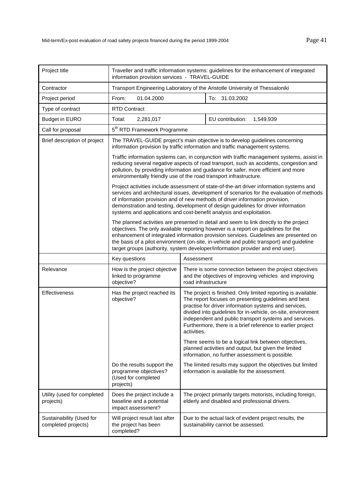| Project title                                   | Traveller and traffic information systems: guidelines for the enhancement of integrated<br>information provision services - TRAVEL-GUIDE                                                                                                                                                                                                                                                                                                              |                                                                                                                                                                                                                                                                                                                                                                                       |  |  |
|-------------------------------------------------|-------------------------------------------------------------------------------------------------------------------------------------------------------------------------------------------------------------------------------------------------------------------------------------------------------------------------------------------------------------------------------------------------------------------------------------------------------|---------------------------------------------------------------------------------------------------------------------------------------------------------------------------------------------------------------------------------------------------------------------------------------------------------------------------------------------------------------------------------------|--|--|
| Contractor                                      | Transport Engineering Laboratory of the Aristotle University of Thessaloniki                                                                                                                                                                                                                                                                                                                                                                          |                                                                                                                                                                                                                                                                                                                                                                                       |  |  |
| Project period                                  | From:<br>01.04.2000<br>To: 31.03.2002                                                                                                                                                                                                                                                                                                                                                                                                                 |                                                                                                                                                                                                                                                                                                                                                                                       |  |  |
| Type of contract                                | <b>RTD Contract</b>                                                                                                                                                                                                                                                                                                                                                                                                                                   |                                                                                                                                                                                                                                                                                                                                                                                       |  |  |
| <b>Budget in EURO</b>                           | Total:<br>2,281,017                                                                                                                                                                                                                                                                                                                                                                                                                                   | EU contribution:<br>1,549,939                                                                                                                                                                                                                                                                                                                                                         |  |  |
| Call for proposal                               | 5 <sup>th</sup> RTD Framework Programme                                                                                                                                                                                                                                                                                                                                                                                                               |                                                                                                                                                                                                                                                                                                                                                                                       |  |  |
| Brief description of project                    | The TRAVEL-GUIDE project's main objective is to develop guidelines concerning<br>information provision by traffic information and traffic management systems.                                                                                                                                                                                                                                                                                         |                                                                                                                                                                                                                                                                                                                                                                                       |  |  |
|                                                 | Traffic information systems can, in conjunction with traffic management systems, assist in<br>reducing several negative aspects of road transport, such as accidents, congestion and<br>pollution, by providing information and guidance for safer, more efficient and more<br>environmentally friendly use of the road transport infrastructure.                                                                                                     |                                                                                                                                                                                                                                                                                                                                                                                       |  |  |
|                                                 | Project activities include assessment of state-of-the-art driver information systems and<br>services and architectural issues, development of scenarios for the evaluation of methods<br>of information provision and of new methods of driver information provision,<br>demonstration and testing, development of design guidelines for driver information<br>systems and applications and cost-benefit analysis and exploitation.                   |                                                                                                                                                                                                                                                                                                                                                                                       |  |  |
|                                                 | The planned activities are presented in detail and seem to link directly to the project<br>objectives. The only available reporting however is a report on guidelines for the<br>enhancement of integrated information provision services. Guidelines are presented on<br>the basis of a pilot environment (on-site, in-vehicle and public transport) and guideline<br>target groups (authority, system developer/information provider and end user). |                                                                                                                                                                                                                                                                                                                                                                                       |  |  |
|                                                 | Key questions                                                                                                                                                                                                                                                                                                                                                                                                                                         | Assessment                                                                                                                                                                                                                                                                                                                                                                            |  |  |
| Relevance                                       | How is the project objective<br>linked to programme<br>objective?                                                                                                                                                                                                                                                                                                                                                                                     | There is some connection between the project objectives<br>and the objectives of improving vehicles and improving<br>road infrastructure                                                                                                                                                                                                                                              |  |  |
| Effectiveness                                   | Has the project reached its<br>objective?                                                                                                                                                                                                                                                                                                                                                                                                             | The project is finished. Only limited reporting is available.<br>The report focuses on presenting guidelines and best<br>practise for driver information systems and services,<br>divided into guidelines for in-vehicle, on-site, environment<br>independent and public transport systems and services.<br>Furthermore, there is a brief reference to earlier project<br>activities. |  |  |
|                                                 |                                                                                                                                                                                                                                                                                                                                                                                                                                                       | There seems to be a logical link between objectives,<br>planned activities and output, but given the limited<br>information, no further assessment is possible.                                                                                                                                                                                                                       |  |  |
|                                                 | Do the results support the<br>programme objectives?<br>(Used for completed<br>projects)                                                                                                                                                                                                                                                                                                                                                               | The limited results may support the objectives but limited<br>information is available for the assessment.                                                                                                                                                                                                                                                                            |  |  |
| Utility (used for completed<br>projects)        | Does the project include a<br>baseline and a potential<br>impact assessment?                                                                                                                                                                                                                                                                                                                                                                          | The project primarily targets motorists, including foreign,<br>elderly and disabled and professional drivers.                                                                                                                                                                                                                                                                         |  |  |
| Sustainability (Used for<br>completed projects) | Will project result last after<br>the project has been<br>completed?                                                                                                                                                                                                                                                                                                                                                                                  | Due to the actual lack of evident project results, the<br>sustainability cannot be assessed.                                                                                                                                                                                                                                                                                          |  |  |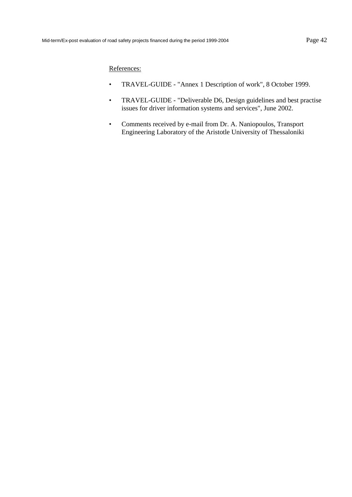- TRAVEL-GUIDE "Annex 1 Description of work", 8 October 1999.
- TRAVEL-GUIDE "Deliverable D6, Design guidelines and best practise issues for driver information systems and services", June 2002.
- Comments received by e-mail from Dr. A. Naniopoulos, Transport Engineering Laboratory of the Aristotle University of Thessaloniki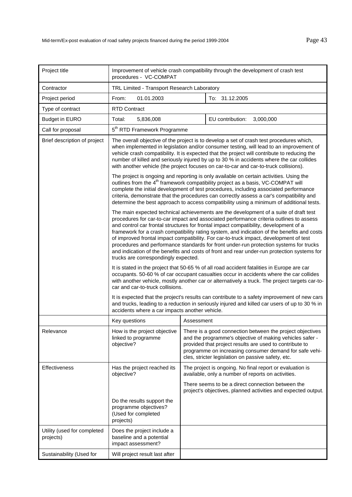| Project title                            | Improvement of vehicle crash compatibility through the development of crash test<br>procedures - VC-COMPAT                                                                                                                                                                                                                                                                                                                                                                                                                                                                                                                                                                                          |            |                                                                                                                                                                                                                                                                                                  |  |
|------------------------------------------|-----------------------------------------------------------------------------------------------------------------------------------------------------------------------------------------------------------------------------------------------------------------------------------------------------------------------------------------------------------------------------------------------------------------------------------------------------------------------------------------------------------------------------------------------------------------------------------------------------------------------------------------------------------------------------------------------------|------------|--------------------------------------------------------------------------------------------------------------------------------------------------------------------------------------------------------------------------------------------------------------------------------------------------|--|
| Contractor                               | TRL Limited - Transport Research Laboratory                                                                                                                                                                                                                                                                                                                                                                                                                                                                                                                                                                                                                                                         |            |                                                                                                                                                                                                                                                                                                  |  |
| Project period                           | From:<br>01.01.2003<br>To: 31.12.2005                                                                                                                                                                                                                                                                                                                                                                                                                                                                                                                                                                                                                                                               |            |                                                                                                                                                                                                                                                                                                  |  |
| Type of contract                         | <b>RTD Contract</b>                                                                                                                                                                                                                                                                                                                                                                                                                                                                                                                                                                                                                                                                                 |            |                                                                                                                                                                                                                                                                                                  |  |
| <b>Budget in EURO</b>                    | 5,836,008<br>Total:                                                                                                                                                                                                                                                                                                                                                                                                                                                                                                                                                                                                                                                                                 |            | EU contribution:<br>3,000,000                                                                                                                                                                                                                                                                    |  |
| Call for proposal                        | 5 <sup>th</sup> RTD Framework Programme                                                                                                                                                                                                                                                                                                                                                                                                                                                                                                                                                                                                                                                             |            |                                                                                                                                                                                                                                                                                                  |  |
| Brief description of project             | The overall objective of the project is to develop a set of crash test procedures which,<br>when implemented in legislation and/or consumer testing, will lead to an improvement of<br>vehicle crash compatibility. It is expected that the project will contribute to reducing the<br>number of killed and seriously injured by up to 30 % in accidents where the car collides<br>with another vehicle (the project focuses on car-to-car and car-to-truck collisions).<br>The project is ongoing and reporting is only available on certain activities. Using the<br>outlines from the 4 <sup>th</sup> framework compatibility project as a basis, VC-COMPAT will                                 |            |                                                                                                                                                                                                                                                                                                  |  |
|                                          | complete the initial development of test procedures, including associated performance<br>criteria, demonstrate that the procedures can correctly assess a car's compatibility and<br>determine the best approach to access compatibility using a minimum of additional tests.                                                                                                                                                                                                                                                                                                                                                                                                                       |            |                                                                                                                                                                                                                                                                                                  |  |
|                                          | The main expected technical achievements are the development of a suite of draft test<br>procedures for car-to-car impact and associated performance criteria outlines to assess<br>and control car frontal structures for frontal impact compatibility, development of a<br>framework for a crash compatibility rating system, and indication of the benefits and costs<br>of improved frontal impact compatibility. For car-to-truck impact, development of test<br>procedures and performance standards for front under-run protection systems for trucks<br>and indication of the benefits and costs of front and rear under-run protection systems for<br>trucks are correspondingly expected. |            |                                                                                                                                                                                                                                                                                                  |  |
|                                          | It is stated in the project that 50-65 % of all road accident fatalities in Europe are car<br>occupants. 50-60 % of car occupant casualties occur in accidents where the car collides<br>with another vehicle, mostly another car or alternatively a truck. The project targets car-to-<br>car and car-to-truck collisions.                                                                                                                                                                                                                                                                                                                                                                         |            |                                                                                                                                                                                                                                                                                                  |  |
|                                          | It is expected that the project's results can contribute to a safety improvement of new cars<br>and trucks, leading to a reduction in seriously injured and killed car users of up to 30 % in<br>accidents where a car impacts another vehicle.                                                                                                                                                                                                                                                                                                                                                                                                                                                     |            |                                                                                                                                                                                                                                                                                                  |  |
|                                          | Key questions                                                                                                                                                                                                                                                                                                                                                                                                                                                                                                                                                                                                                                                                                       | Assessment |                                                                                                                                                                                                                                                                                                  |  |
| Relevance                                | How is the project objective<br>linked to programme<br>objective?                                                                                                                                                                                                                                                                                                                                                                                                                                                                                                                                                                                                                                   |            | There is a good connection between the project objectives<br>and the programme's objective of making vehicles safer -<br>provided that project results are used to contribute to<br>programme on increasing consumer demand for safe vehi-<br>cles, stricter legislation on passive safety, etc. |  |
| Effectiveness                            | Has the project reached its<br>objective?                                                                                                                                                                                                                                                                                                                                                                                                                                                                                                                                                                                                                                                           |            | The project is ongoing. No final report or evaluation is<br>available, only a number of reports on activities.                                                                                                                                                                                   |  |
|                                          |                                                                                                                                                                                                                                                                                                                                                                                                                                                                                                                                                                                                                                                                                                     |            | There seems to be a direct connection between the<br>project's objectives, planned activities and expected output.                                                                                                                                                                               |  |
|                                          | Do the results support the<br>programme objectives?<br>(Used for completed<br>projects)                                                                                                                                                                                                                                                                                                                                                                                                                                                                                                                                                                                                             |            |                                                                                                                                                                                                                                                                                                  |  |
| Utility (used for completed<br>projects) | Does the project include a<br>baseline and a potential<br>impact assessment?                                                                                                                                                                                                                                                                                                                                                                                                                                                                                                                                                                                                                        |            |                                                                                                                                                                                                                                                                                                  |  |
| Sustainability (Used for                 | Will project result last after                                                                                                                                                                                                                                                                                                                                                                                                                                                                                                                                                                                                                                                                      |            |                                                                                                                                                                                                                                                                                                  |  |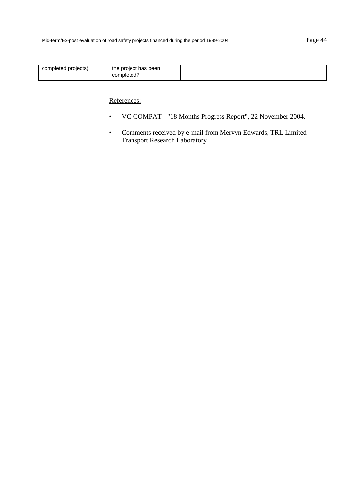| the project has been<br>completed projects)<br>completed? |  |
|-----------------------------------------------------------|--|
|-----------------------------------------------------------|--|

- VC-COMPAT "18 Months Progress Report", 22 November 2004.
- Comments received by e-mail from Mervyn Edwards, TRL Limited Transport Research Laboratory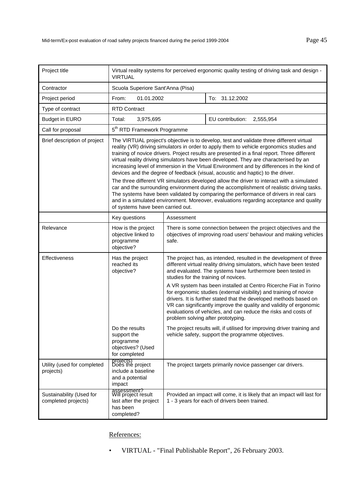| Project title                                   | Virtual reality systems for perceived ergonomic quality testing of driving task and design -<br><b>VIRTUAL</b>                                                                                                                                                                                                                                                                                                                                                                                                                                                                                                                                                                                                                                                                                                                                                                                                                                                                 |                                                                                                                                                                                                                                                                                                                                                                                                                                                                 |                                                                                                                                      |  |
|-------------------------------------------------|--------------------------------------------------------------------------------------------------------------------------------------------------------------------------------------------------------------------------------------------------------------------------------------------------------------------------------------------------------------------------------------------------------------------------------------------------------------------------------------------------------------------------------------------------------------------------------------------------------------------------------------------------------------------------------------------------------------------------------------------------------------------------------------------------------------------------------------------------------------------------------------------------------------------------------------------------------------------------------|-----------------------------------------------------------------------------------------------------------------------------------------------------------------------------------------------------------------------------------------------------------------------------------------------------------------------------------------------------------------------------------------------------------------------------------------------------------------|--------------------------------------------------------------------------------------------------------------------------------------|--|
| Contractor                                      | Scuola Superiore Sant'Anna (Pisa)                                                                                                                                                                                                                                                                                                                                                                                                                                                                                                                                                                                                                                                                                                                                                                                                                                                                                                                                              |                                                                                                                                                                                                                                                                                                                                                                                                                                                                 |                                                                                                                                      |  |
| Project period                                  | From:<br>01.01.2002                                                                                                                                                                                                                                                                                                                                                                                                                                                                                                                                                                                                                                                                                                                                                                                                                                                                                                                                                            |                                                                                                                                                                                                                                                                                                                                                                                                                                                                 | To: 31.12.2002                                                                                                                       |  |
| Type of contract                                | <b>RTD Contract</b>                                                                                                                                                                                                                                                                                                                                                                                                                                                                                                                                                                                                                                                                                                                                                                                                                                                                                                                                                            |                                                                                                                                                                                                                                                                                                                                                                                                                                                                 |                                                                                                                                      |  |
| <b>Budget in EURO</b>                           | Total:<br>3,975,695                                                                                                                                                                                                                                                                                                                                                                                                                                                                                                                                                                                                                                                                                                                                                                                                                                                                                                                                                            |                                                                                                                                                                                                                                                                                                                                                                                                                                                                 | EU contribution:<br>2,555,954                                                                                                        |  |
| Call for proposal                               |                                                                                                                                                                                                                                                                                                                                                                                                                                                                                                                                                                                                                                                                                                                                                                                                                                                                                                                                                                                | 5 <sup>th</sup> RTD Framework Programme                                                                                                                                                                                                                                                                                                                                                                                                                         |                                                                                                                                      |  |
| Brief description of project                    | The VIRTUAL project's objective is to develop, test and validate three different virtual<br>reality (VR) driving simulators in order to apply them to vehicle ergonomics studies and<br>training of novice drivers. Project results are presented in a final report. Three different<br>virtual reality driving simulators have been developed. They are characterised by an<br>increasing level of immersion in the Virtual Environment and by differences in the kind of<br>devices and the degree of feedback (visual, acoustic and haptic) to the driver.<br>The three different VR simulators developed allow the driver to interact with a simulated<br>car and the surrounding environment during the accomplishment of realistic driving tasks.<br>The systems have been validated by comparing the performance of drivers in real cars<br>and in a simulated environment. Moreover, evaluations regarding acceptance and quality<br>of systems have been carried out. |                                                                                                                                                                                                                                                                                                                                                                                                                                                                 |                                                                                                                                      |  |
|                                                 | Key questions                                                                                                                                                                                                                                                                                                                                                                                                                                                                                                                                                                                                                                                                                                                                                                                                                                                                                                                                                                  | Assessment                                                                                                                                                                                                                                                                                                                                                                                                                                                      |                                                                                                                                      |  |
| Relevance                                       | How is the project<br>objective linked to<br>programme<br>objective?                                                                                                                                                                                                                                                                                                                                                                                                                                                                                                                                                                                                                                                                                                                                                                                                                                                                                                           | safe.                                                                                                                                                                                                                                                                                                                                                                                                                                                           | There is some connection between the project objectives and the<br>objectives of improving road users' behaviour and making vehicles |  |
| Effectiveness                                   | Has the project<br>reached its<br>objective?                                                                                                                                                                                                                                                                                                                                                                                                                                                                                                                                                                                                                                                                                                                                                                                                                                                                                                                                   | The project has, as intended, resulted in the development of three<br>different virtual reality driving simulators, which have been tested<br>and evaluated. The systems have furthermore been tested in<br>studies for the training of novices.<br>A VR system has been installed at Centro Ricerche Fiat in Torino<br>for ergonomic studies (external visibility) and training of novice<br>drivers. It is further stated that the developed methods based on |                                                                                                                                      |  |
|                                                 |                                                                                                                                                                                                                                                                                                                                                                                                                                                                                                                                                                                                                                                                                                                                                                                                                                                                                                                                                                                | VR can significantly improve the quality and validity of ergonomic<br>evaluations of vehicles, and can reduce the risks and costs of<br>problem solving after prototyping.                                                                                                                                                                                                                                                                                      |                                                                                                                                      |  |
|                                                 | Do the results<br>support the<br>programme<br>objectives? (Used<br>for completed                                                                                                                                                                                                                                                                                                                                                                                                                                                                                                                                                                                                                                                                                                                                                                                                                                                                                               |                                                                                                                                                                                                                                                                                                                                                                                                                                                                 | The project results will, if utilised for improving driver training and<br>vehicle safety, support the programme objectives.         |  |
| Utility (used for completed<br>projects)        | projects)<br>Does the project<br>include a baseline<br>and a potential<br>impact                                                                                                                                                                                                                                                                                                                                                                                                                                                                                                                                                                                                                                                                                                                                                                                                                                                                                               |                                                                                                                                                                                                                                                                                                                                                                                                                                                                 | The project targets primarily novice passenger car drivers.                                                                          |  |
| Sustainability (Used for<br>completed projects) | assessment?<br>Will project result<br>last after the project<br>has been<br>completed?                                                                                                                                                                                                                                                                                                                                                                                                                                                                                                                                                                                                                                                                                                                                                                                                                                                                                         |                                                                                                                                                                                                                                                                                                                                                                                                                                                                 | Provided an impact will come, it is likely that an impact will last for<br>1 - 3 years for each of drivers been trained.             |  |

• VIRTUAL - "Final Publishable Report", 26 February 2003.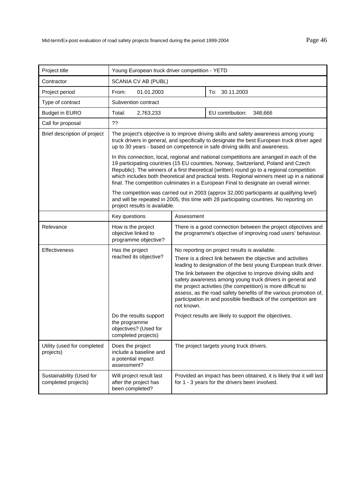| Project title                                   | Young European truck driver competition - YETD                                                                                                                                                                                                                                                                                                                                                                                                                        |                                                                                                                                                                                                                                                                                                                                                                                                                                                                                                                                                                                           |                                                                                                                        |  |
|-------------------------------------------------|-----------------------------------------------------------------------------------------------------------------------------------------------------------------------------------------------------------------------------------------------------------------------------------------------------------------------------------------------------------------------------------------------------------------------------------------------------------------------|-------------------------------------------------------------------------------------------------------------------------------------------------------------------------------------------------------------------------------------------------------------------------------------------------------------------------------------------------------------------------------------------------------------------------------------------------------------------------------------------------------------------------------------------------------------------------------------------|------------------------------------------------------------------------------------------------------------------------|--|
| Contractor                                      | SCANIA CV AB (PUBL)                                                                                                                                                                                                                                                                                                                                                                                                                                                   |                                                                                                                                                                                                                                                                                                                                                                                                                                                                                                                                                                                           |                                                                                                                        |  |
| Project period                                  | From:<br>01.01.2003                                                                                                                                                                                                                                                                                                                                                                                                                                                   |                                                                                                                                                                                                                                                                                                                                                                                                                                                                                                                                                                                           | To: 30.11.2003                                                                                                         |  |
| Type of contract                                | Subvention contract                                                                                                                                                                                                                                                                                                                                                                                                                                                   |                                                                                                                                                                                                                                                                                                                                                                                                                                                                                                                                                                                           |                                                                                                                        |  |
| <b>Budget in EURO</b>                           | Total:<br>2,763,233                                                                                                                                                                                                                                                                                                                                                                                                                                                   |                                                                                                                                                                                                                                                                                                                                                                                                                                                                                                                                                                                           | EU contribution:<br>348,666                                                                                            |  |
| Call for proposal                               | 22                                                                                                                                                                                                                                                                                                                                                                                                                                                                    |                                                                                                                                                                                                                                                                                                                                                                                                                                                                                                                                                                                           |                                                                                                                        |  |
| Brief description of project                    | The project's objective is to improve driving skills and safety awareness among young<br>truck drivers in general, and specifically to designate the best European truck driver aged<br>up to 30 years - based on competence in safe driving skills and awareness.                                                                                                                                                                                                    |                                                                                                                                                                                                                                                                                                                                                                                                                                                                                                                                                                                           |                                                                                                                        |  |
|                                                 | In this connection, local, regional and national competitions are arranged in each of the<br>19 participating countries (15 EU countries, Norway, Switzerland, Poland and Czech<br>Republic). The winners of a first theoretical (written) round go to a regional competition<br>which includes both theoretical and practical tests. Regional winners meet up in a national<br>final. The competition culminates in a European Final to designate an overall winner. |                                                                                                                                                                                                                                                                                                                                                                                                                                                                                                                                                                                           |                                                                                                                        |  |
|                                                 | The competition was carried out in 2003 (approx 32,000 participants at qualifying level)<br>and will be repeated in 2005, this time with 28 participating countries. No reporting on<br>project results is available.                                                                                                                                                                                                                                                 |                                                                                                                                                                                                                                                                                                                                                                                                                                                                                                                                                                                           |                                                                                                                        |  |
|                                                 | Key questions                                                                                                                                                                                                                                                                                                                                                                                                                                                         | Assessment                                                                                                                                                                                                                                                                                                                                                                                                                                                                                                                                                                                |                                                                                                                        |  |
| Relevance                                       | How is the project<br>objective linked to<br>programme objective?                                                                                                                                                                                                                                                                                                                                                                                                     | There is a good connection between the project objectives and<br>the programme's objective of improving road users' behaviour.                                                                                                                                                                                                                                                                                                                                                                                                                                                            |                                                                                                                        |  |
| Effectiveness                                   | Has the project<br>reached its objective?<br>Do the results support                                                                                                                                                                                                                                                                                                                                                                                                   | No reporting on project results is available.<br>There is a direct link between the objective and activities<br>leading to designation of the best young European truck driver.<br>The link between the objective to improve driving skills and<br>safety awareness among young truck drivers in general and<br>the project activities (the competition) is more difficult to<br>assess, as the road safety benefits of the various promotion of,<br>participation in and possible feedback of the competition are<br>not known.<br>Project results are likely to support the objectives. |                                                                                                                        |  |
|                                                 | the programme<br>objectives? (Used for<br>completed projects)                                                                                                                                                                                                                                                                                                                                                                                                         |                                                                                                                                                                                                                                                                                                                                                                                                                                                                                                                                                                                           |                                                                                                                        |  |
| Utility (used for completed<br>projects)        | Does the project<br>include a baseline and<br>a potential impact<br>assessment?                                                                                                                                                                                                                                                                                                                                                                                       | The project targets young truck drivers.                                                                                                                                                                                                                                                                                                                                                                                                                                                                                                                                                  |                                                                                                                        |  |
| Sustainability (Used for<br>completed projects) | Will project result last<br>after the project has<br>been completed?                                                                                                                                                                                                                                                                                                                                                                                                  |                                                                                                                                                                                                                                                                                                                                                                                                                                                                                                                                                                                           | Provided an impact has been obtained, it is likely that it will last<br>for 1 - 3 years for the drivers been involved. |  |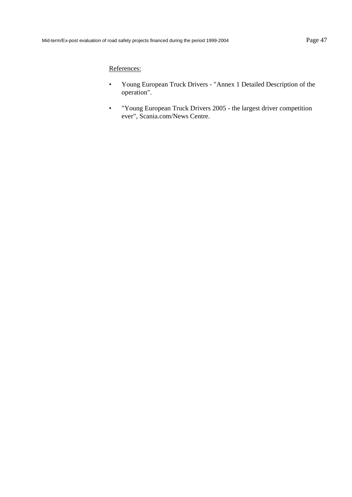- Young European Truck Drivers "Annex 1 Detailed Description of the operation".
- "Young European Truck Drivers 2005 the largest driver competition ever", Scania.com/News Centre.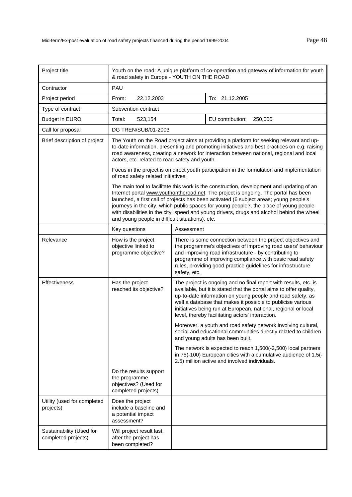| Project title                                   | Youth on the road: A unique platform of co-operation and gateway of information for youth<br>& road safety in Europe - YOUTH ON THE ROAD                                                                                                                                                                                                                                                                                                                                                                              |                                                                                                                                                                                                                                                                                                                                    |                                                                                                                                                                                                                                                                                                                                                                                           |  |
|-------------------------------------------------|-----------------------------------------------------------------------------------------------------------------------------------------------------------------------------------------------------------------------------------------------------------------------------------------------------------------------------------------------------------------------------------------------------------------------------------------------------------------------------------------------------------------------|------------------------------------------------------------------------------------------------------------------------------------------------------------------------------------------------------------------------------------------------------------------------------------------------------------------------------------|-------------------------------------------------------------------------------------------------------------------------------------------------------------------------------------------------------------------------------------------------------------------------------------------------------------------------------------------------------------------------------------------|--|
| Contractor                                      | PAU                                                                                                                                                                                                                                                                                                                                                                                                                                                                                                                   |                                                                                                                                                                                                                                                                                                                                    |                                                                                                                                                                                                                                                                                                                                                                                           |  |
| Project period                                  | 22.12.2003<br>From:                                                                                                                                                                                                                                                                                                                                                                                                                                                                                                   |                                                                                                                                                                                                                                                                                                                                    | To: 21.12.2005                                                                                                                                                                                                                                                                                                                                                                            |  |
| Type of contract                                | Subvention contract                                                                                                                                                                                                                                                                                                                                                                                                                                                                                                   |                                                                                                                                                                                                                                                                                                                                    |                                                                                                                                                                                                                                                                                                                                                                                           |  |
| <b>Budget in EURO</b>                           | Total:<br>523,154                                                                                                                                                                                                                                                                                                                                                                                                                                                                                                     |                                                                                                                                                                                                                                                                                                                                    | EU contribution:<br>250,000                                                                                                                                                                                                                                                                                                                                                               |  |
| Call for proposal                               | DG TREN/SUB/01-2003                                                                                                                                                                                                                                                                                                                                                                                                                                                                                                   |                                                                                                                                                                                                                                                                                                                                    |                                                                                                                                                                                                                                                                                                                                                                                           |  |
| Brief description of project                    | The Youth on the Road project aims at providing a platform for seeking relevant and up-<br>to-date information, presenting and promoting initiatives and best practices on e.g. raising<br>road awareness, creating a network for interaction between national, regional and local<br>actors, etc. related to road safety and youth.                                                                                                                                                                                  |                                                                                                                                                                                                                                                                                                                                    |                                                                                                                                                                                                                                                                                                                                                                                           |  |
|                                                 |                                                                                                                                                                                                                                                                                                                                                                                                                                                                                                                       | Focus in the project is on direct youth participation in the formulation and implementation<br>of road safety related initiatives.                                                                                                                                                                                                 |                                                                                                                                                                                                                                                                                                                                                                                           |  |
|                                                 | The main tool to facilitate this work is the construction, development and updating of an<br>Internet portal www.youthontheroad.net. The project is ongoing. The portal has been<br>launched, a first call of projects has been activated (6 subject areas; young people's<br>journeys in the city, which public spaces for young people?, the place of young people<br>with disabilities in the city, speed and young drivers, drugs and alcohol behind the wheel<br>and young people in difficult situations), etc. |                                                                                                                                                                                                                                                                                                                                    |                                                                                                                                                                                                                                                                                                                                                                                           |  |
|                                                 | Key questions                                                                                                                                                                                                                                                                                                                                                                                                                                                                                                         | Assessment                                                                                                                                                                                                                                                                                                                         |                                                                                                                                                                                                                                                                                                                                                                                           |  |
| Relevance                                       | How is the project<br>objective linked to<br>programme objective?                                                                                                                                                                                                                                                                                                                                                                                                                                                     | There is some connection between the project objectives and<br>the programme's objectives of improving road users' behaviour<br>and improving road infrastructure - by contributing to<br>programme of improving compliance with basic road safety<br>rules, providing good practice guidelines for infrastructure<br>safety, etc. |                                                                                                                                                                                                                                                                                                                                                                                           |  |
| Effectiveness                                   | Has the project<br>reached its objective?                                                                                                                                                                                                                                                                                                                                                                                                                                                                             |                                                                                                                                                                                                                                                                                                                                    | The project is ongoing and no final report with results, etc. is<br>available, but it is stated that the portal aims to offer quality,<br>up-to-date information on young people and road safety, as<br>well a database that makes it possible to publicise various<br>initiatives being run at European, national, regional or local<br>level, thereby facilitating actors' interaction. |  |
|                                                 |                                                                                                                                                                                                                                                                                                                                                                                                                                                                                                                       |                                                                                                                                                                                                                                                                                                                                    | Moreover, a youth and road safety network involving cultural,<br>social and educational communities directly related to children<br>and young adults has been built.                                                                                                                                                                                                                      |  |
|                                                 |                                                                                                                                                                                                                                                                                                                                                                                                                                                                                                                       |                                                                                                                                                                                                                                                                                                                                    | The network is expected to reach 1,500(-2,500) local partners<br>in 75(-100) European cities with a cumulative audience of 1.5(-<br>2.5) million active and involved individuals.                                                                                                                                                                                                         |  |
|                                                 | Do the results support<br>the programme<br>objectives? (Used for<br>completed projects)                                                                                                                                                                                                                                                                                                                                                                                                                               |                                                                                                                                                                                                                                                                                                                                    |                                                                                                                                                                                                                                                                                                                                                                                           |  |
| Utility (used for completed<br>projects)        | Does the project<br>include a baseline and<br>a potential impact<br>assessment?                                                                                                                                                                                                                                                                                                                                                                                                                                       |                                                                                                                                                                                                                                                                                                                                    |                                                                                                                                                                                                                                                                                                                                                                                           |  |
| Sustainability (Used for<br>completed projects) | Will project result last<br>after the project has<br>been completed?                                                                                                                                                                                                                                                                                                                                                                                                                                                  |                                                                                                                                                                                                                                                                                                                                    |                                                                                                                                                                                                                                                                                                                                                                                           |  |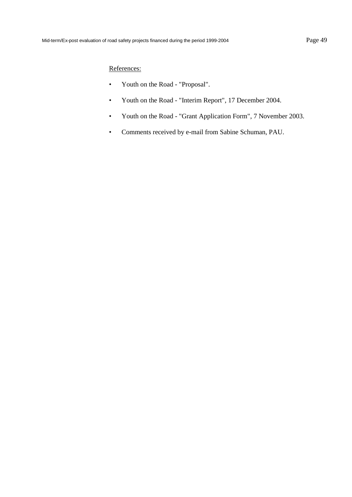- Youth on the Road "Proposal".
- Youth on the Road "Interim Report", 17 December 2004.
- Youth on the Road "Grant Application Form", 7 November 2003.
- Comments received by e-mail from Sabine Schuman, PAU.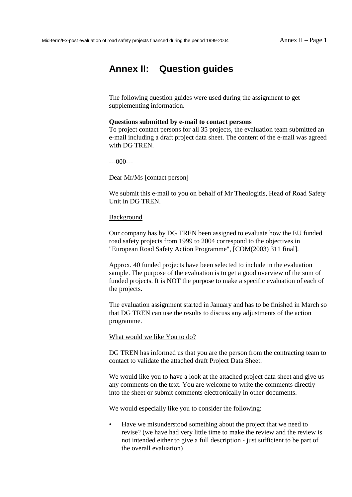# **Annex II: Question guides**

The following question guides were used during the assignment to get supplementing information.

#### **Questions submitted by e-mail to contact persons**

To project contact persons for all 35 projects, the evaluation team submitted an e-mail including a draft project data sheet. The content of the e-mail was agreed with DG TREN.

---000---

Dear Mr/Ms [contact person]

We submit this e-mail to you on behalf of Mr Theologitis, Head of Road Safety Unit in DG TREN.

### Background

Our company has by DG TREN been assigned to evaluate how the EU funded road safety projects from 1999 to 2004 correspond to the objectives in "European Road Safety Action Programme", [COM(2003) 311 final].

Approx. 40 funded projects have been selected to include in the evaluation sample. The purpose of the evaluation is to get a good overview of the sum of funded projects. It is NOT the purpose to make a specific evaluation of each of the projects.

The evaluation assignment started in January and has to be finished in March so that DG TREN can use the results to discuss any adjustments of the action programme.

What would we like You to do?

DG TREN has informed us that you are the person from the contracting team to contact to validate the attached draft Project Data Sheet.

We would like you to have a look at the attached project data sheet and give us any comments on the text. You are welcome to write the comments directly into the sheet or submit comments electronically in other documents.

We would especially like you to consider the following:

• Have we misunderstood something about the project that we need to revise? (we have had very little time to make the review and the review is not intended either to give a full description - just sufficient to be part of the overall evaluation)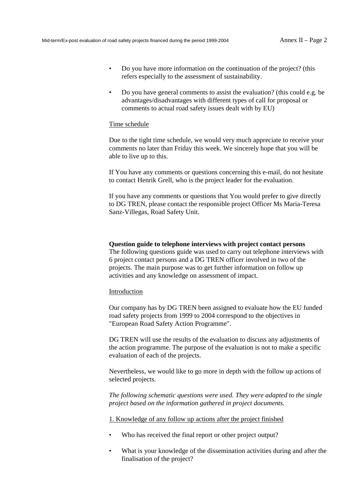- Do you have more information on the continuation of the project? (this refers especially to the assessment of sustainability.
- Do you have general comments to assist the evaluation? (this could e.g. be advantages/disadvantages with different types of call for proposal or comments to actual road safety issues dealt with by EU)

#### Time schedule

Due to the tight time schedule, we would very much appreciate to receive your comments no later than Friday this week. We sincerely hope that you will be able to live up to this.

If You have any comments or questions concerning this e-mail, do not hesitate to contact Henrik Grell, who is the project leader for the evaluation.

If you have any comments or questions that You would prefer to give directly to DG TREN, please contact the responsible project Officer Ms Maria-Teresa Sanz-Villegas, Road Safety Unit.

## **Question guide to telephone interviews with project contact persons**

The following questions guide was used to carry out telephone interviews with 6 project contact persons and a DG TREN officer involved in two of the projects. The main purpose was to get further information on follow up activities and any knowledge on assessment of impact.

## Introduction

Our company has by DG TREN been assigned to evaluate how the EU funded road safety projects from 1999 to 2004 correspond to the objectives in "European Road Safety Action Programme".

DG TREN will use the results of the evaluation to discuss any adjustments of the action programme. The purpose of the evaluation is not to make a specific evaluation of each of the projects.

Nevertheless, we would like to go more in depth with the follow up actions of selected projects.

*The following schematic questions were used. They were adapted to the single project based on the information gathered in project documents.* 

1. Knowledge of any follow up actions after the project finished

- Who has received the final report or other project output?
- What is your knowledge of the dissemination activities during and after the finalisation of the project?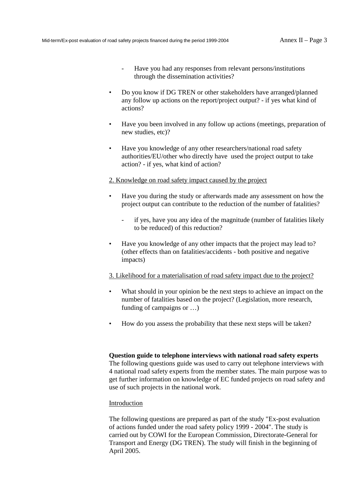- Have you had any responses from relevant persons/institutions through the dissemination activities?
- Do you know if DG TREN or other stakeholders have arranged/planned any follow up actions on the report/project output? - if yes what kind of actions?
- Have you been involved in any follow up actions (meetings, preparation of new studies, etc)?
- Have you knowledge of any other researchers/national road safety authorities/EU/other who directly have used the project output to take action? - if yes, what kind of action?

#### 2. Knowledge on road safety impact caused by the project

- Have you during the study or afterwards made any assessment on how the project output can contribute to the reduction of the number of fatalities?
	- if yes, have you any idea of the magnitude (number of fatalities likely to be reduced) of this reduction?
- Have you knowledge of any other impacts that the project may lead to? (other effects than on fatalities/accidents - both positive and negative impacts)

### 3. Likelihood for a materialisation of road safety impact due to the project?

- What should in your opinion be the next steps to achieve an impact on the number of fatalities based on the project? (Legislation, more research, funding of campaigns or …)
- How do you assess the probability that these next steps will be taken?

## **Question guide to telephone interviews with national road safety experts**

The following questions guide was used to carry out telephone interviews with 4 national road safety experts from the member states. The main purpose was to get further information on knowledge of EC funded projects on road safety and use of such projects in the national work.

#### Introduction

The following questions are prepared as part of the study "Ex-post evaluation of actions funded under the road safety policy 1999 - 2004". The study is carried out by COWI for the European Commission, Directorate-General for Transport and Energy (DG TREN). The study will finish in the beginning of April 2005.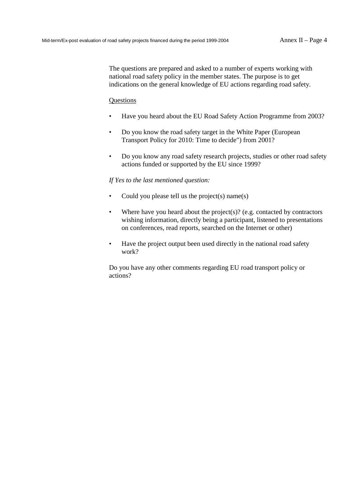The questions are prepared and asked to a number of experts working with national road safety policy in the member states. The purpose is to get indications on the general knowledge of EU actions regarding road safety.

### **Ouestions**

- Have you heard about the EU Road Safety Action Programme from 2003?
- Do you know the road safety target in the White Paper (European Transport Policy for 2010: Time to decide") from 2001?
- Do you know any road safety research projects, studies or other road safety actions funded or supported by the EU since 1999?

#### *If Yes to the last mentioned question:*

- Could you please tell us the project(s) name(s)
- Where have you heard about the project(s)? (e.g. contacted by contractors wishing information, directly being a participant, listened to presentations on conferences, read reports, searched on the Internet or other)
- Have the project output been used directly in the national road safety work?

Do you have any other comments regarding EU road transport policy or actions?